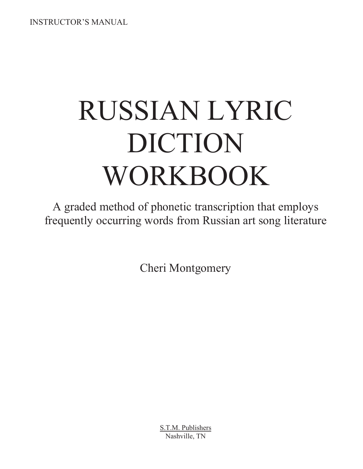INSTRUCTOR'S MANUAL

# RUSSIAN LYRIC DICTION WORKBOOK

A graded method of phonetic transcription that employs frequently occurring words from Russian art song literature

Cheri Montgomery

S.T.M. Publishers Nashville, TN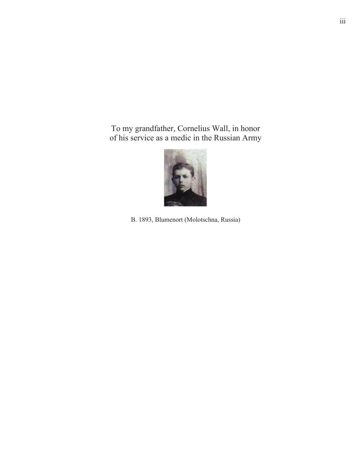To my grandfather, Cornelius Wall, in honor of his service as a medic in the Russian Army



B. 1893, Blumenort (Molotschna, Russia)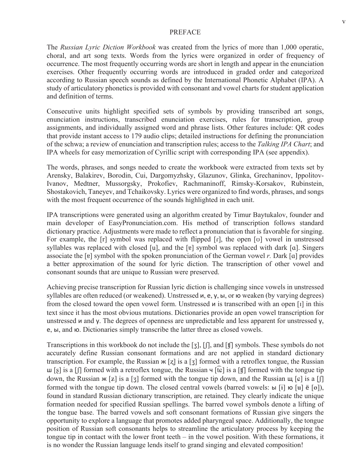#### PREFACE

The *Russian Lyric Diction Workbook* was created from the lyrics of more than 1,000 operatic, choral, and art song texts. Words from the lyrics were organized in order of frequency of occurrence. The most frequently occurring words are short in length and appear in the enunciation exercises. Other frequently occurring words are introduced in graded order and categorized according to Russian speech sounds as defined by the International Phonetic Alphabet (IPA). A study of articulatory phonetics is provided with consonant and vowel charts for student application and definition of terms.

Consecutive units highlight specified sets of symbols by providing transcribed art songs, enunciation instructions, transcribed enunciation exercises, rules for transcription, group assignments, and individually assigned word and phrase lists. Other features include: QR codes that provide instant access to 179 audio clips; detailed instructions for defining the pronunciation of the schwa; a review of enunciation and transcription rules; access to the *Talking IPA Chart*; and IPA wheels for easy memorization of Cyrillic script with corresponding IPA (see appendix).

The words, phrases, and songs needed to create the workbook were extracted from texts set by Arensky, Balakirev, Borodin, Cui, Dargomyzhsky, Glazunov, Glinka, Grechaninov, Ippolitov-Ivanov, Medtner, Mussorgsky, Prokofiev, Rachmaninoff, Rimsky-Korsakov, Rubinstein, Shostakovich, Taneyev, and Tchaikovsky. Lyrics were organized to find words, phrases, and songs with the most frequent occurrence of the sounds highlighted in each unit.

IPA transcriptions were generated using an algorithm created by Timur Baytukalov, founder and main developer of EasyPronunciation.com. His method of transcription follows standard dictionary practice. Adjustments were made to reflect a pronunciation that is favorable for singing. For example, the  $\lceil r \rceil$  symbol was replaced with flipped  $\lceil r \rceil$ , the open  $\lceil \upsilon \rceil$  vowel in unstressed syllables was replaced with closed [u], and the [ɐ] symbol was replaced with dark [a]. Singers associate the [ɐ] symbol with the spoken pronunciation of the German vowel *r*. Dark [a] provides a better approximation of the sound for lyric diction. The transcription of other vowel and consonant sounds that are unique to Russian were preserved.

Achieving precise transcription for Russian lyric diction is challenging since vowels in unstressed syllables are often reduced (or weakened). Unstressed  $\nu$ ,  $e$ ,  $\gamma$ ,  $\omega$ , or  $\omega$  weaken (by varying degrees) from the closed toward the open vowel form. Unstressed  $\mu$  is transcribed with an open [1] in this text since it has the most obvious mutations. Dictionaries provide an open vowel transcription for unstressed  $\mu$  and  $\gamma$ . The degrees of openness are unpredictable and less apparent for unstressed  $\gamma$ , e,  $\mathbf{b}$ , and  $\mathbf{b}$ . Dictionaries simply transcribe the latter three as closed vowels.

Transcriptions in this workbook do not include the [3], [f], and [t] symbols. These symbols do not accurately define Russian consonant formations and are not applied in standard dictionary transcription. For example, the Russian  $\kappa$  [z] is a [ $\bar{3}$ ] formed with a retroflex tongue, the Russian  $\vert \text{I}_S \vert$  is a  $\vert \text{II} \vert$  formed with a retroflex tongue, the Russian  $\vert \text{I}_S \vert$  is a  $\vert \text{II} \vert$  formed with the tongue tip down, the Russian  $\mathcal{H}[\mathbf{z}]$  is a [3] formed with the tongue tip down, and the Russian  $\mathcal{H}[\mathbf{c}]$  is a [ $\mathcal{F}$ ] formed with the tongue tip down. The closed central vowels (barred vowels: ы [i] ю [u] ё [o]), found in standard Russian dictionary transcription, are retained. They clearly indicate the unique formation needed for specified Russian spellings. The barred vowel symbols denote a lifting of the tongue base. The barred vowels and soft consonant formations of Russian give singers the opportunity to explore a language that promotes added pharyngeal space. Additionally, the tongue position of Russian soft consonants helps to streamline the articulatory process by keeping the tongue tip in contact with the lower front teeth – in the vowel position. With these formations, it is no wonder the Russian language lends itself to grand singing and elevated composition!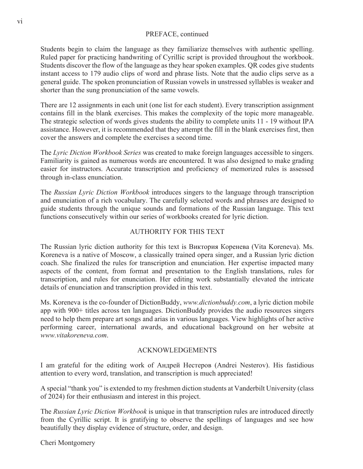#### PREFACE, continued

Students begin to claim the language as they familiarize themselves with authentic spelling. Ruled paper for practicing handwriting of Cyrillic script is provided throughout the workbook. Students discover the flow of the language as they hear spoken examples. QR codes give students instant access to 179 audio clips of word and phrase lists. Note that the audio clips serve as a general guide. The spoken pronunciation of Russian vowels in unstressed syllables is weaker and shorter than the sung pronunciation of the same vowels.

There are 12 assignments in each unit (one list for each student). Every transcription assignment contains fill in the blank exercises. This makes the complexity of the topic more manageable. The strategic selection of words gives students the ability to complete units 11 - 19 without IPA assistance. However, it is recommended that they attempt the fill in the blank exercises first, then cover the answers and complete the exercises a second time.

The *Lyric Diction Workbook Series* was created to make foreign languages accessible to singers. Familiarity is gained as numerous words are encountered. It was also designed to make grading easier for instructors. Accurate transcription and proficiency of memorized rules is assessed through in-class enunciation.

The *Russian Lyric Diction Workbook* introduces singers to the language through transcription and enunciation of a rich vocabulary. The carefully selected words and phrases are designed to guide students through the unique sounds and formations of the Russian language. This text functions consecutively within our series of workbooks created for lyric diction.

#### AUTHORITY FOR THIS TEXT

The Russian lyric diction authority for this text is Виктория Коренева (Vita Koreneva). Ms. Koreneva is a native of Moscow, a classically trained opera singer, and a Russian lyric diction coach. She finalized the rules for transcription and enunciation. Her expertise impacted many aspects of the content, from format and presentation to the English translations, rules for transcription, and rules for enunciation. Her editing work substantially elevated the intricate details of enunciation and transcription provided in this text.

Ms. Koreneva is the co-founder of DictionBuddy, *www.dictionbuddy.com*, a lyric diction mobile app with 900+ titles across ten languages. DictionBuddy provides the audio resources singers need to help them prepare art songs and arias in various languages. View highlights of her active performing career, international awards, and educational background on her website at *www.vitakoreneva.com*.

#### ACKNOWLEDGEMENTS

I am grateful for the editing work of Андрей Нестеров (Andrei Nesterov). His fastidious attention to every word, translation, and transcription is much appreciated!

A special "thank you" is extended to my freshmen diction students at Vanderbilt University (class of 2024) for their enthusiasm and interest in this project.

The *Russian Lyric Diction Workbook* is unique in that transcription rules are introduced directly from the Cyrillic script. It is gratifying to observe the spellings of languages and see how beautifully they display evidence of structure, order, and design.

Cheri Montgomery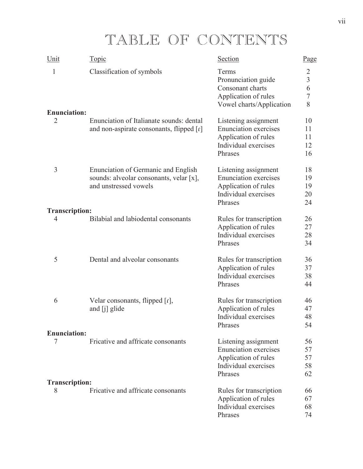# TABLE OF CONTENTS

| Unit                       | <b>Topic</b>                                                                                                   | Section                                                                                                         | Page                                                 |
|----------------------------|----------------------------------------------------------------------------------------------------------------|-----------------------------------------------------------------------------------------------------------------|------------------------------------------------------|
| $\mathbf{1}$               | Classification of symbols                                                                                      | Terms<br>Pronunciation guide<br>Consonant charts<br>Application of rules<br>Vowel charts/Application            | $\overline{2}$<br>$rac{3}{6}$<br>$\overline{7}$<br>8 |
| <b>Enunciation:</b>        |                                                                                                                |                                                                                                                 |                                                      |
| $\overline{2}$             | Enunciation of Italianate sounds: dental<br>and non-aspirate consonants, flipped [r]                           | Listening assignment<br><b>Enunciation exercises</b><br>Application of rules<br>Individual exercises<br>Phrases | 10<br>11<br>11<br>12<br>16                           |
| 3                          | <b>Enunciation of Germanic and English</b><br>sounds: alveolar consonants, velar [x],<br>and unstressed vowels | Listening assignment<br><b>Enunciation</b> exercises<br>Application of rules<br>Individual exercises<br>Phrases | 18<br>19<br>19<br>20<br>24                           |
| <b>Transcription:</b>      |                                                                                                                |                                                                                                                 |                                                      |
| 4                          | Bilabial and labiodental consonants                                                                            | Rules for transcription<br>Application of rules<br>Individual exercises<br>Phrases                              | 26<br>27<br>28<br>34                                 |
| 5                          | Dental and alveolar consonants                                                                                 | Rules for transcription<br>Application of rules<br>Individual exercises<br>Phrases                              | 36<br>37<br>38<br>44                                 |
| 6                          | Velar consonants, flipped $[r]$ ,<br>and [j] glide                                                             | Rules for transcription<br>Application of rules<br>Individual exercises<br>Phrases                              | 46<br>47<br>48<br>54                                 |
| <b>Enunciation:</b>        |                                                                                                                |                                                                                                                 |                                                      |
| 7                          | Fricative and affricate consonants                                                                             | Listening assignment<br><b>Enunciation</b> exercises<br>Application of rules<br>Individual exercises<br>Phrases | 56<br>57<br>57<br>58<br>62                           |
| <b>Transcription:</b><br>8 | Fricative and affricate consonants                                                                             | Rules for transcription<br>Application of rules<br>Individual exercises<br>Phrases                              | 66<br>67<br>68<br>74                                 |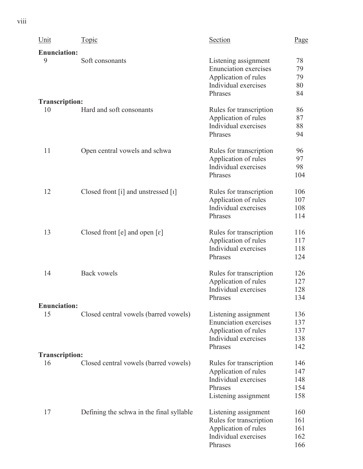| Unit                  | <u>Topic</u>                             | <b>Section</b>                               | Page       |
|-----------------------|------------------------------------------|----------------------------------------------|------------|
| <b>Enunciation:</b>   |                                          |                                              |            |
| 9                     | Soft consonants                          | Listening assignment                         | 78         |
|                       |                                          | <b>Enunciation</b> exercises                 | 79         |
|                       |                                          | Application of rules                         | 79         |
|                       |                                          | Individual exercises                         | 80         |
|                       |                                          | Phrases                                      | 84         |
| <b>Transcription:</b> |                                          |                                              |            |
| 10                    | Hard and soft consonants                 | Rules for transcription                      | 86         |
|                       |                                          | Application of rules                         | 87         |
|                       |                                          | Individual exercises<br>Phrases              | 88<br>94   |
|                       |                                          |                                              |            |
| 11                    | Open central vowels and schwa            | Rules for transcription                      | 96         |
|                       |                                          | Application of rules                         | 97         |
|                       |                                          | Individual exercises                         | 98         |
|                       |                                          | Phrases                                      | 104        |
| 12                    | Closed front [i] and unstressed $[I]$    | Rules for transcription                      | 106        |
|                       |                                          | Application of rules                         | 107        |
|                       |                                          | Individual exercises                         | 108        |
|                       |                                          | Phrases                                      | 114        |
| 13                    | Closed front [e] and open $[\epsilon]$   | Rules for transcription                      | 116        |
|                       |                                          | Application of rules                         | 117        |
|                       |                                          | Individual exercises                         | 118        |
|                       |                                          | Phrases                                      | 124        |
| 14                    | <b>Back vowels</b>                       | Rules for transcription                      | 126        |
|                       |                                          | Application of rules                         | 127        |
|                       |                                          | Individual exercises                         | 128        |
|                       |                                          | Phrases                                      | 134        |
| <b>Enunciation:</b>   |                                          |                                              |            |
| 15                    | Closed central vowels (barred vowels)    | Listening assignment                         | 136        |
|                       |                                          | <b>Enunciation</b> exercises                 | 137        |
|                       |                                          | Application of rules<br>Individual exercises | 137<br>138 |
|                       |                                          | Phrases                                      | 142        |
| <b>Transcription:</b> |                                          |                                              |            |
| 16                    | Closed central vowels (barred vowels)    | Rules for transcription                      | 146        |
|                       |                                          | Application of rules                         | 147        |
|                       |                                          | Individual exercises                         | 148        |
|                       |                                          | Phrases                                      | 154        |
|                       |                                          | Listening assignment                         | 158        |
| 17                    | Defining the schwa in the final syllable | Listening assignment                         | 160        |
|                       |                                          | Rules for transcription                      | 161        |
|                       |                                          | Application of rules                         | 161        |
|                       |                                          | Individual exercises                         | 162        |
|                       |                                          | Phrases                                      | 166        |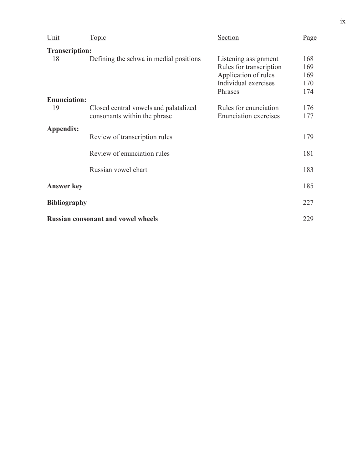| Unit                  | <u>Topic</u>                              | Section                                         | Page       |
|-----------------------|-------------------------------------------|-------------------------------------------------|------------|
| <b>Transcription:</b> |                                           |                                                 |            |
| 18                    | Defining the schwa in medial positions    | Listening assignment<br>Rules for transcription | 168<br>169 |
|                       |                                           | Application of rules                            | 169        |
|                       |                                           | Individual exercises                            | 170        |
|                       |                                           | Phrases                                         | 174        |
| <b>Enunciation:</b>   |                                           |                                                 |            |
| 19                    | Closed central vowels and palatalized     | Rules for enunciation                           | 176        |
|                       | consonants within the phrase              | <b>Enunciation</b> exercises                    | 177        |
| Appendix:             |                                           |                                                 |            |
|                       | Review of transcription rules             |                                                 | 179        |
|                       | Review of enunciation rules               |                                                 | 181        |
|                       | Russian vowel chart                       |                                                 | 183        |
|                       |                                           |                                                 |            |
| <b>Answer key</b>     |                                           |                                                 | 185        |
| <b>Bibliography</b>   |                                           |                                                 | 227        |
|                       | <b>Russian consonant and vowel wheels</b> |                                                 | 229        |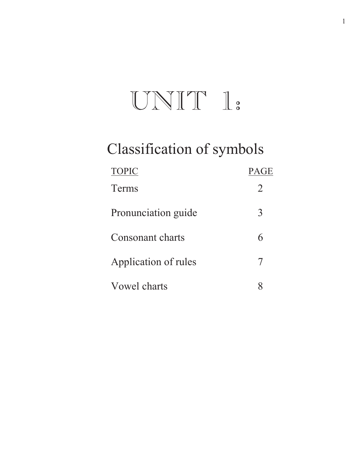# $UNIT I:$

# Classification of symbols

| <b>TOPIC</b>         | <b>PAGE</b> |
|----------------------|-------------|
| Terms                | 2           |
| Pronunciation guide  | 3           |
| Consonant charts     | 6           |
| Application of rules |             |
| Vowel charts         |             |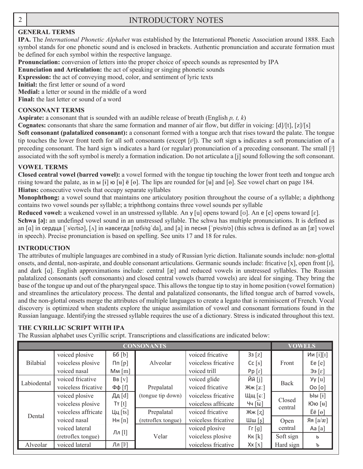$\overline{a}$ 

#### 2 | INTRODUCTORY NOTES

#### **GENERAL TERMS**

**IPA.** The *International Phonetic Alphabet* was established by the International Phonetic Association around 1888. Each symbol stands for one phonetic sound and is enclosed in brackets. Authentic pronunciation and accurate formation must be defined for each symbol within the respective language.

**Pronunciation:** conversion of letters into the proper choice of speech sounds as represented by IPA

**Enunciation and Articulation:** the act of speaking or singing phonetic sounds

**Expression:** the act of conveying mood, color, and sentiment of lyric texts

**Initial:** the first letter or sound of a word

**Medial:** a letter or sound in the middle of a word

**Final:** the last letter or sound of a word

#### **CONSONANT TERMS**

**Aspirate:** a consonant that is sounded with an audible release of breath (English *p, t, k*)

**Cognates:** consonants that share the same formation and manner of air flow, but differ in voicing: [d]/[t], [z]/[s]

**Soft consonant (palatalized consonant):** a consonant formed with a tongue arch that rises toward the palate. The tongue tip touches the lower front teeth for all soft consonants (except  $[\vec{v}]$ ). The soft sign  $\vec{v}$  indicates a soft pronunciation of a preceding consonant. The hard sign  $\triangleright$  indicates a hard (or regular) pronunciation of a preceding consonant. The small [i] associated with the soft symbol is merely a formation indication. Do not articulate a [j] sound following the soft consonant.

#### **VOWEL TERMS**

**Closed central vowel (barred vowel):** a vowel formed with the tongue tip touching the lower front teeth and tongue arch rising toward the palate, as in ы  $[i]$  ю  $[i]$  ẽ  $[0]$ . The lips are rounded for  $[i]$  and  $[0]$ . See vowel chart on page 184. **Hiatus:** consecutive vowels that occupy separate syllables

**Monophthong:** a vowel sound that maintains one articulatory position throughout the course of a syllable; a diphthong contains two vowel sounds per syllable; a triphthong contains three vowel sounds per syllable

Reduced vowel: a weakened vowel in an unstressed syllable. An y [u] opens toward [v]. An e [e] opens toward [ɛ].

Schwa [ə]: an undefined vowel sound in an unstressed syllable. The schwa has multiple pronunciations. It is defined as an  $\lceil \alpha \rceil$  in сердца  $\lceil$ 'sʲeɾt͡sə],  $\lceil \alpha \rceil$  in навсегда  $\lceil \alpha \rceil$ 'da], and  $\lceil \alpha \rceil$  in песня  $\lceil \lceil \alpha \rceil$  (this schwa is defined as an  $\lceil \alpha \rceil$  vowel in speech). Precise pronunciation is based on spelling. See units 17 and 18 for rules.

#### **INTRODUCTION**

The attributes of multiple languages are combined in a study of Russian lyric diction. Italianate sounds include: non-glottal onsets, and dental, non-aspirate, and double consonant articulations. Germanic sounds include: fricative [x], open front [ܼ], and dark [a]. English approximations include: central [æ] and reduced vowels in unstressed syllables. The Russian palatalized consonants (soft consonants) and closed central vowels (barred vowels) are ideal for singing. They bring the base of the tongue up and out of the pharyngeal space. This allows the tongue tip to stay in home position (vowel formation) and streamlines the articulatory process. The dental and palatalized consonants, the lifted tongue arch of barred vowels, and the non-glottal onsets merge the attributes of multiple languages to create a legato that is reminiscent of French. Vocal discovery is optimized when students explore the unique assimilation of vowel and consonant formations found in the Russian language. Identifying the stressed syllable requires the use of a dictionary. Stress is indicated throughout this text.

#### **THE CYRILLIC SCRIPT WITH IPA**

The Russian alphabet uses Cyrillic script. Transcriptions and classifications are indicated below:

| <b>CONSONANTS</b> |                                               |           |                    |                     | <b>VOWELS</b>                     |                   |                          |
|-------------------|-----------------------------------------------|-----------|--------------------|---------------------|-----------------------------------|-------------------|--------------------------|
|                   | voiced plosive                                | Бб $[b]$  |                    | voiced fricative    | 33[z]                             |                   | Ии [i][I]                |
| <b>Bilabial</b>   | voiceless plosive                             | $\ln[p]$  | Alveolar           | voiceless fricative | Cc[s]                             | Front             | Ee $[e]$                 |
|                   | voiced nasal                                  | $Mm$ [m]  |                    | voiced trill        | Pp[r]                             |                   | $[\epsilon]$ ee          |
| Labiodental       | voiced fricative                              | BB[V]     |                    | voiced glide        | Йй [j]                            | <b>Back</b>       | $Yy$ [u]                 |
|                   | voiceless fricative<br>$Φφ$ [f]<br>Prepalatal |           | voiced fricative   | Жж $[z]$            |                                   | Oo[o]             |                          |
|                   | voiced plosive                                | Дд [d]    | (tongue tip down)  | voiceless fricative | Щщ [с:]                           |                   | blbl[i]                  |
|                   | voiceless plosive                             | Tr[t]     |                    | voiceless affricate | Чч $[tc]$                         | Closed<br>central | Юю [н]                   |
| Dental            | voiceless affricate                           | Цц $[ts]$ | Prepalatal         | voiced fricative    | Жж [z]                            |                   | $E\ddot{e}$ [ $\theta$ ] |
|                   | voiced nasal                                  | HH[n]     | (retroflex tongue) | voiceless fricative | Шш $[s]$                          | Open              | Яя $[a/x]$               |
|                   | voiced lateral                                |           |                    | voiced plosive      | $\lceil \Gamma \lfloor g \rfloor$ | central           | Aa [a]                   |
|                   | (retroflex tongue)                            | Лл [1]    | Velar              | voiceless plosive   | KK[k]                             | Soft sign         | ь                        |
| Alveolar          | voiced lateral                                | Лл [lʲ]   |                    | voiceless fricative | $\mathsf{X}\mathsf{x}$ [x]        | Hard sign         | ъ                        |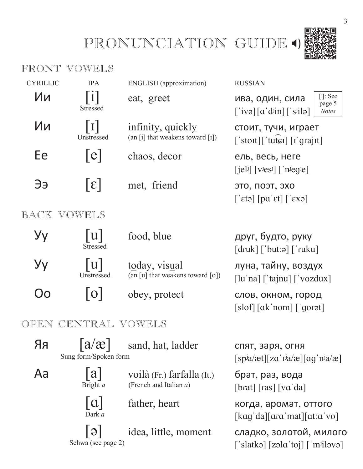# PRONUNCIATION GUIDE 4)



|                 | FRONT VOWELS                                 |                                                            |                                                                                                                                                                      |
|-----------------|----------------------------------------------|------------------------------------------------------------|----------------------------------------------------------------------------------------------------------------------------------------------------------------------|
| <b>CYRILLIC</b> | <b>IPA</b>                                   | <b>ENGLISH</b> (approximation)                             | <b>RUSSIAN</b>                                                                                                                                                       |
| Ии              | 1 <br>Stressed                               | eat, greet                                                 | $[j]$ : See<br>ива, один, сила<br>page 5<br>$\lceil$ 'ivə $\lceil \alpha' d^{j}$ in $\rceil$ $\lceil s^{j}$ ilə $\rceil$<br><b>Notes</b>                             |
| Ии              | I <br>Unstressed                             | infinity, quickly<br>(an $[i]$ that weakens toward $[i]$ ) | стоит, тучи, играет<br>$\lceil$ 'stoit] $\lceil$ 'tutei] $\lceil$ i'qrajit]                                                                                          |
| Ee              | e                                            | chaos, decor                                               | ель, весь, неге<br>$\left[$ jel <sup>j</sup> $\left[$ $\vee$ <sup>j</sup> es <sup>j</sup> $\left[$ $\right]$ $\left[$ $\vee$ <sup>j</sup> eg <sup>j</sup> e $\left[$ |
| Ээ              | $\epsilon$                                   | met, friend                                                | это, поэт, эхо<br>$\lceil \text{`eta} \rceil$ $\lceil \text{pa'} \text{et} \rceil$ $\lceil \text{`exp} \rceil$                                                       |
|                 | BACK VOWELS                                  |                                                            |                                                                                                                                                                      |
| Уу              | u <br><b>Stressed</b>                        | food, blue                                                 | друг, будто, руку<br>$\lceil druk \rceil$ ['but:ə] $\lceil ruku \rceil$                                                                                              |
| Уу              | u <br>Unstressed                             | today, visual<br>(an [u] that weakens toward [v])          | луна, тайну, воздух<br>$\lceil \ln \ln \right $ ['tajnu] $\lceil \cdot \text{vox} \rceil$                                                                            |
| ( )ဂ            | O                                            | obey, protect                                              | слов, окном, город<br>[slof] [ak'nom] [gorot]                                                                                                                        |
| OPEN            | CENTRAL VOWELS                               |                                                            |                                                                                                                                                                      |
| Яя              | $\lceil a/x \rceil$<br>Sung form/Spoken form | sand, hat, ladder                                          | спят, заря, огня<br>$[spi/a \text{et}][z\alpha' r^ja/\text{ce}][\text{ag}^r n^ja/\text{ce}]$                                                                         |
| Aa              | a <br>Bright a                               | voilà (Fr.) farfalla (It.)<br>(French and Italian a)       | брат, раз, вода<br>[brat] [ras] [va' da]                                                                                                                             |
|                 | a <br>Dark a                                 | father, heart                                              | когда, аромат, оттого<br>$\lceil \text{kag'} \text{da} \rceil \lceil \text{ara'} \text{mat} \rceil \lceil \text{at'} \text{ca'} \text{vol} \rceil$                   |
|                 | $  \Theta  $<br>Schwa (see page 2)           | idea, little, moment                                       | сладко, золотой, милого<br>[ˈslatkə] [zəlɑˈtoj] [ˈmʲiləvə]                                                                                                           |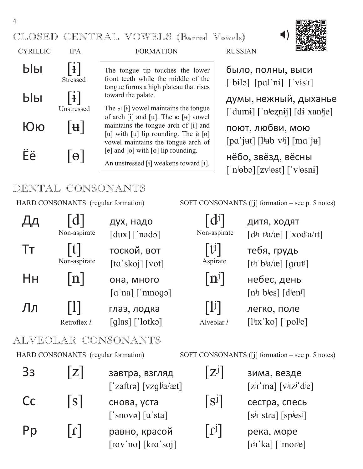CLOSED CENTRAL VOWELS (Barred Vowels)



 $\overrightarrow{b}$   $\overrightarrow{b}$   $\overrightarrow{c}$   $\overrightarrow{d}$   $\overrightarrow{d}$   $\overrightarrow{b}$  The tongue tip touches the lower  $\overrightarrow{b}$   $\overrightarrow{b}$   $\overrightarrow{d}$   $\overrightarrow{b}$   $\overrightarrow{d}$   $\overrightarrow{d}$   $\overrightarrow{b}$   $\overrightarrow{d}$   $\overrightarrow{b}$   $\overrightarrow{d}$   $\overrightarrow{b}$   $\overrightarrow{d}$   $\overrightarrow{b}$   $\overrightarrow{d}$   $\overrightarrow{b}$ The tongue tip touches the lower front teeth while the middle of the tongue forms a high plateau that rises toward the palate.

 $\left[\begin{array}{cc} \text{H} \end{array}\right]$  and  $\left[\begin{array}{cc} \text{H} \end{array}\right]$  and  $\left[\begin{array}{cc} \text{H} \end{array}\right]$  and  $\left[\begin{array}{cc} \text{H} \end{array}\right]$  and  $\left[\begin{array}{cc} \text{H} \end{array}\right]$  and  $\left[\begin{array}{cc} \text{H} \end{array}\right]$  and  $\left[\begin{array}{cc} \text{H} \end{array}\right]$  and  $\left[\begin{array}{cc} \text{H} \end{array}\right]$  a The  $\text{H}$  [i] vowel maintains the tongue of arch  $[i]$  and  $[u]$ . The  $\omega$   $[u]$  vowel [u] with [u] lip rounding. The  $\ddot{e}$  [ $\dot{e}$ ] vowel maintains the tongue arch of [e] and [o] with [o] lip rounding.

An unstressed [ $\mathbf{i}$ ] weakens toward [ $\mathbf{i}$ ].



['bila] [pal'ni] ['vis<sup>j</sup>I]  $\text{b}$  $\text{b}$  $\text{l}$   $\text{l}$   $\text{l}$ <sup>toward the palate.</sup>  $\text{l}$  думы, нежный, дыханье ['dumi] ['n<sup>j</sup>eznij] [di'xan<sup>j</sup>je]  $\lceil pa'jut \rceil \lceil l^jub'v^j \rceil \lceil ma'ju \rceil$  $\ddot{E}$   $\ddot{e}$   $\begin{bmatrix} \theta \end{bmatrix}$   $\begin{bmatrix} e^{\int \theta dx} & e^{\int \theta dx} & e^{\int \theta dx} \\ \int \theta dx & \int \theta dx \end{bmatrix}$   $\begin{bmatrix} \theta & \theta \\ \theta & \theta \end{bmatrix}$   $\begin{bmatrix} e^{\int \theta dx} & e^{\int \theta dx} & e^{\int \theta dx} \\ \int \theta & \theta & \theta \end{bmatrix}$   $\begin{bmatrix} e^{\int \theta dx} & e^{\int \theta dx} & e^{\int \theta dx} \\ \int e^{\int \theta dx} & \int \theta dx \end{bmatrix$  $\lceil$ 'n<sup>j</sup> $\theta$ bə $\lceil$ [zvʲ $\theta$ st] $\lceil$ 'vʲ $\theta$ sni]

### DENTAL CONSONANTS

HARD CONSONANTS (regular formation) SOFT CONSONANTS ([j] formation – see p. 5 notes)

|    | Non-aspirate                        | дух, надо<br>[dux] ['nado]                                                           | $\overline{d}$<br>Non-aspirate                      | дитя, ходят<br>$\left[\frac{di}{i} t^{j} a / \mathcal{E}\right] \left[\frac{\partial}{\partial a} t\right]$                                                                                                                                                                                                                                                                                                                                                                                                                                                                           |
|----|-------------------------------------|--------------------------------------------------------------------------------------|-----------------------------------------------------|---------------------------------------------------------------------------------------------------------------------------------------------------------------------------------------------------------------------------------------------------------------------------------------------------------------------------------------------------------------------------------------------------------------------------------------------------------------------------------------------------------------------------------------------------------------------------------------|
| Тт | t <br>Non-aspirate                  | тоской, вот<br>$\lceil \text{ta}' \, \text{skoj} \rceil \, \lceil \text{vot} \rceil$ | t <br>Aspirate                                      | тебя, грудь<br>$\left[\frac{\text{t}}{\text{i}}\frac{\text{i}}{\text{j}}\frac{\text{j}}{\text{k}}\frac{\text{j}}{\text{k}}\frac{\text{k}}{\text{k}}\frac{\text{k}}{\text{k}}\frac{\text{k}}{\text{k}}\frac{\text{k}}{\text{k}}\frac{\text{k}}{\text{k}}\frac{\text{k}}{\text{k}}\frac{\text{k}}{\text{k}}\frac{\text{k}}{\text{k}}\frac{\text{k}}{\text{k}}\frac{\text{k}}{\text{k}}\frac{\text{k}}{\text{k}}\frac{\text{k}}{\text{k}}\frac{\text{k}}{\text{k}}\frac{\text{k}}{\text{k}}\frac{\text{k}}{\text{k}}\frac{\text{k}}{\text{k}}\frac{\text{k}}{\text{k}}\frac{\text{k}}{\$ |
| Hн | n                                   | она, много<br>$\lceil \alpha \rangle$ na $\lceil \gamma \rangle$ mnoga               | $ n^{j} $                                           | небес, день<br>$[n^j]$ bies] $\lceil$ dien <sup>j</sup> ]                                                                                                                                                                                                                                                                                                                                                                                                                                                                                                                             |
| Лл | Retroflex l                         | глаз, лодка<br>$\lceil \text{glas} \rceil \lceil \text{lotk} \circ \rceil$           | $\lceil \mathbf{l} \mathbf{j} \rceil$<br>Alveolar l | легко, поле<br>$\left[\frac{1}{i}$ IX'ko $\right]$ $\left[\frac{1}{i}$ pol <sup>i</sup> e                                                                                                                                                                                                                                                                                                                                                                                                                                                                                             |
|    |                                     | ALVEOLAR CONSONANTS                                                                  |                                                     |                                                                                                                                                                                                                                                                                                                                                                                                                                                                                                                                                                                       |
|    | HARD CONSONANTS (regular formation) |                                                                                      |                                                     | SOFT CONSONANTS ([j] formation – see p. 5 notes)                                                                                                                                                                                                                                                                                                                                                                                                                                                                                                                                      |
| 33 | Z                                   | завтра, взгляд<br>['zaftrə] [vzql <sup>j</sup> a/æt]                                 | $\left[\overline{Z}^j\right]$                       | зима, везде<br>$[zj1'ma] [vj1zj dje]$                                                                                                                                                                                                                                                                                                                                                                                                                                                                                                                                                 |
| Cc | S                                   | снова, уста<br>$\lceil$ 'snovə $\lceil$ lu'sta $\rceil$                              | $\vert S^{\jmath} \vert$                            | сестра, спесь<br>$[s^{j}I'stra]$ [sp <sup>j</sup> es <sup>j</sup> ]                                                                                                                                                                                                                                                                                                                                                                                                                                                                                                                   |
| Pp | $ \mathbb{1} $                      | равно, красой<br>[ravˈno] [kraˈsoj]                                                  | $  \mathfrak{l} \mathfrak{l}  $                     | река, море<br>[rʲɪˈka] [ˈmoɾʲe]                                                                                                                                                                                                                                                                                                                                                                                                                                                                                                                                                       |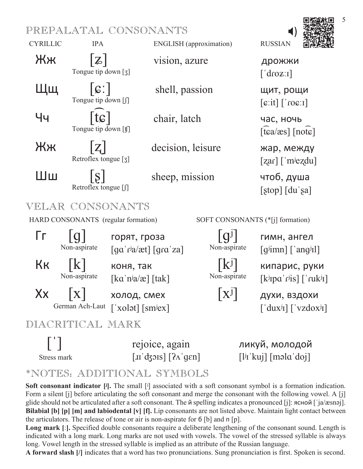#### PREPALATAL CONSONANTS



Stress mark  $\begin{bmatrix} \text{II} & \text{d} & \text{d} & \text{f} \\ \text{I} & \text{d} & \text{g} & \text{g} & \text{g} \end{bmatrix}$   $\begin{bmatrix} \text{2} \times \text{g} & \text{g} & \text{g} \\ \text{2} \times \text{g} & \text{g} & \text{g} \end{bmatrix}$   $\begin{bmatrix} \text{1} \times \text{h} & \text{h} & \text{g} \\ \text{h} & \text{h} & \text{g} & \text{g} \end{bmatrix}$ 

#### \*NOTES: ADDITIONAL SYMBOLS

**Soft consonant indicator** [i]. The small [i] associated with a soft consonant symbol is a formation indication. Form a silent [j] before articulating the soft consonant and merge the consonant with the following vowel. A [j] glide should not be articulated after a soft consonant. The  $\ddot{\textbf{v}}$  spelling indicates a pronounced [j]: ясной ['ja/æsnəj]. **Bilabial [b] [p] [m] and labiodental [v] [f].** Lip consonants are not listed above. Maintain light contact between the articulators. The release of tone or air is non-aspirate for  $6$  [b] and  $\pi$  [p].

**Long mark**  $\lbrack \cdot \rbrack$ . Specified double consonants require a deliberate lengthening of the consonant sound. Length is indicated with a long mark. Long marks are not used with vowels. The vowel of the stressed syllable is always long. Vowel length in the stressed syllable is implied as an attribute of the Russian language.

A forward slash  $\beta$  indicates that a word has two pronunciations. Sung pronunciation is first. Spoken is second.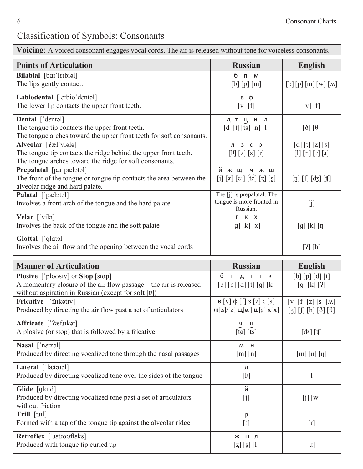# Classification of Symbols: Consonants

**Voicing**: A voiced consonant engages vocal cords. The air is released without tone for voiceless consonants.

| <b>Points of Articulation</b>                                                                                                                                               | <b>Russian</b>                                                                                                                                                                                                     | <b>English</b>                                                                                                                                                                                                                                                                                                     |
|-----------------------------------------------------------------------------------------------------------------------------------------------------------------------------|--------------------------------------------------------------------------------------------------------------------------------------------------------------------------------------------------------------------|--------------------------------------------------------------------------------------------------------------------------------------------------------------------------------------------------------------------------------------------------------------------------------------------------------------------|
| Bilabial [bar'lerbial]<br>The lips gently contact.                                                                                                                          | 6 <sub>n</sub><br>M<br>[b] [p] [m]                                                                                                                                                                                 | [b][p][m][w][M]                                                                                                                                                                                                                                                                                                    |
| Labiodental [larbio'dantal]<br>The lower lip contacts the upper front teeth.                                                                                                | в ф<br>[v] [f]                                                                                                                                                                                                     | [v] [f]                                                                                                                                                                                                                                                                                                            |
| Dental ['dentəl]<br>The tongue tip contacts the upper front teeth.<br>The tongue arches toward the upper front teeth for soft consonants.                                   | дтцнл<br>[d][t][ts][n][1]                                                                                                                                                                                          | $[\delta] [\theta]$                                                                                                                                                                                                                                                                                                |
| Alveolar [?æl'viala]<br>The tongue tip contacts the ridge behind the upper front teeth.<br>The tongue arches toward the ridge for soft consonants.                          | л з с р<br>$\begin{bmatrix} 1^{j} \end{bmatrix} \begin{bmatrix} z \end{bmatrix} \begin{bmatrix} s \end{bmatrix} \begin{bmatrix} r \end{bmatrix}$                                                                   | $\left[\begin{matrix} d \end{matrix}\right] \left[\begin{matrix} t \end{matrix}\right] \left[\begin{matrix} z \end{matrix}\right] \left[\begin{matrix} s \end{matrix}\right]$<br>$\begin{bmatrix} 1 \end{bmatrix} \begin{bmatrix} n \end{bmatrix} \begin{bmatrix} r \end{bmatrix} \begin{bmatrix} 1 \end{bmatrix}$ |
| Prepalatal [p.II'pælatal]<br>The front of the tongue or tongue tip contacts the area between the<br>alveolar ridge and hard palate.                                         | й ж щ ч ж ш<br>$\begin{bmatrix} j \end{bmatrix} \begin{bmatrix} z \end{bmatrix} \begin{bmatrix} c \end{bmatrix} \begin{bmatrix} f e \end{bmatrix} \begin{bmatrix} z \end{bmatrix} \begin{bmatrix} z \end{bmatrix}$ | $[3] \left[\int \right] \left[\mathrm{d} \xi\right] \left[\mathrm{f}\right]$                                                                                                                                                                                                                                       |
| Palatal ['pælətəl]<br>Involves a front arch of the tongue and the hard palate                                                                                               | The [j] is prepalatal. The<br>tongue is more fronted in<br>Russian.                                                                                                                                                | [j]                                                                                                                                                                                                                                                                                                                |
| Velar ['vilə]<br>Involves the back of the tongue and the soft palate                                                                                                        | r k x<br>[g][k][x]                                                                                                                                                                                                 | $[g][k][\eta]$                                                                                                                                                                                                                                                                                                     |
| Glottal ['glatal]<br>Involves the air flow and the opening between the vocal cords                                                                                          |                                                                                                                                                                                                                    | [?] [h]                                                                                                                                                                                                                                                                                                            |
| <b>Manner of Articulation</b>                                                                                                                                               | <b>Russian</b>                                                                                                                                                                                                     | <b>English</b>                                                                                                                                                                                                                                                                                                     |
| Plosive ['ploosiv] or Stop [stap]<br>A momentary closure of the air flow passage – the air is released<br>without aspiration in Russian (except for soft [t <sup>j</sup> ]) | бпдтгк<br>$[b] [p] [d] [t] [g] [k]$                                                                                                                                                                                | $[b] [p] [d] [t]$<br>[g] [k] [?]                                                                                                                                                                                                                                                                                   |
| Fricative ['fukatıv]<br>Produced by directing the air flow past a set of articulators                                                                                       | $B[V] \varphi[f]$ 3 [z] c [s]<br>$\mathcal{H}[z]/[z] \mathcal{H}[c.] \mathcal{H}[s] \mathcal{X}[x]$                                                                                                                | $[V] [f] [z] [s] [m]$<br>$[3]$ $[0]$ $[h]$ $[0]$ $[0]$                                                                                                                                                                                                                                                             |
| Affricate ['?æf.ukat]<br>A plosive (or stop) that is followed by a fricative                                                                                                | Ц<br>$\widehat{[t\varepsilon]}$ $\widehat{[t\overline{s}]}$                                                                                                                                                        | $[d]$ $[f]$                                                                                                                                                                                                                                                                                                        |
| Nasal ['neizəl]<br>Produced by directing vocalized tone through the nasal passages                                                                                          | M H<br>$[m]$ $[n]$                                                                                                                                                                                                 | $[m]$ $[n]$ $[j]$                                                                                                                                                                                                                                                                                                  |
| Lateral ['lætə.10]<br>Produced by directing vocalized tone over the sides of the tongue                                                                                     | л<br>$[1]$                                                                                                                                                                                                         | $[1]$                                                                                                                                                                                                                                                                                                              |
| Glide [glard]<br>Produced by directing vocalized tone past a set of articulators<br>without friction                                                                        | й<br>[j]                                                                                                                                                                                                           | [j] [w]                                                                                                                                                                                                                                                                                                            |
| Trill [tɪɪl]<br>Formed with a tap of the tongue tip against the alveolar ridge                                                                                              | p<br>$[1]$                                                                                                                                                                                                         | $[1]$                                                                                                                                                                                                                                                                                                              |
|                                                                                                                                                                             |                                                                                                                                                                                                                    |                                                                                                                                                                                                                                                                                                                    |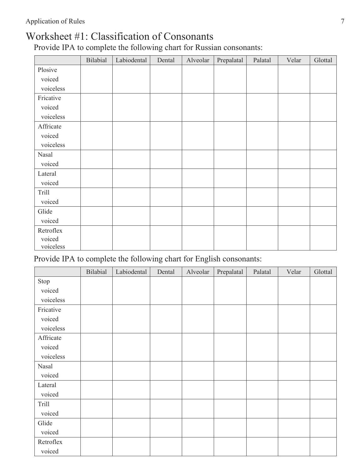#### Worksheet #1: Classification of Consonants

Provide IPA to complete the following chart for Russian consonants:

|                     | Bilabial | Labiodental | Dental | Alveolar | Prepalatal | Palatal | Velar | Glottal |
|---------------------|----------|-------------|--------|----------|------------|---------|-------|---------|
| Plosive             |          |             |        |          |            |         |       |         |
| voiced              |          |             |        |          |            |         |       |         |
| voiceless           |          |             |        |          |            |         |       |         |
| Fricative           |          |             |        |          |            |         |       |         |
| voiced              |          |             |        |          |            |         |       |         |
| voiceless           |          |             |        |          |            |         |       |         |
| Affricate           |          |             |        |          |            |         |       |         |
| voiced              |          |             |        |          |            |         |       |         |
| voiceless           |          |             |        |          |            |         |       |         |
| Nasal               |          |             |        |          |            |         |       |         |
| voiced              |          |             |        |          |            |         |       |         |
| Lateral             |          |             |        |          |            |         |       |         |
| voiced              |          |             |        |          |            |         |       |         |
| Trill               |          |             |        |          |            |         |       |         |
| voiced              |          |             |        |          |            |         |       |         |
| Glide               |          |             |        |          |            |         |       |         |
| voiced              |          |             |        |          |            |         |       |         |
| Retroflex           |          |             |        |          |            |         |       |         |
| voiced<br>voiceless |          |             |        |          |            |         |       |         |

Provide IPA to complete the following chart for English consonants:

|           | Bilabial | Labiodental | Dental | Alveolar | Prepalatal | Palatal | Velar | Glottal |
|-----------|----------|-------------|--------|----------|------------|---------|-------|---------|
| Stop      |          |             |        |          |            |         |       |         |
| voiced    |          |             |        |          |            |         |       |         |
| voiceless |          |             |        |          |            |         |       |         |
| Fricative |          |             |        |          |            |         |       |         |
| voiced    |          |             |        |          |            |         |       |         |
| voiceless |          |             |        |          |            |         |       |         |
| Affricate |          |             |        |          |            |         |       |         |
| voiced    |          |             |        |          |            |         |       |         |
| voiceless |          |             |        |          |            |         |       |         |
| Nasal     |          |             |        |          |            |         |       |         |
| voiced    |          |             |        |          |            |         |       |         |
| Lateral   |          |             |        |          |            |         |       |         |
| voiced    |          |             |        |          |            |         |       |         |
| Trill     |          |             |        |          |            |         |       |         |
| voiced    |          |             |        |          |            |         |       |         |
| Glide     |          |             |        |          |            |         |       |         |
| voiced    |          |             |        |          |            |         |       |         |
| Retroflex |          |             |        |          |            |         |       |         |
| voiced    |          |             |        |          |            |         |       |         |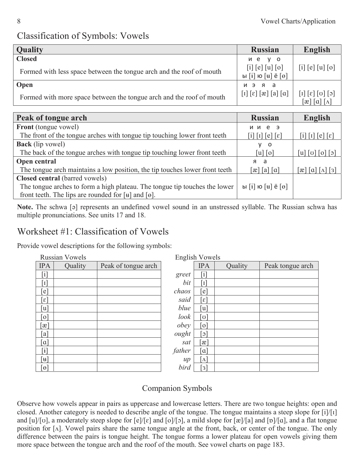#### Classification of Symbols: Vowels

| <b>Quality</b>                                                       | <b>Russian</b>                                                                                         | English                                                                            |
|----------------------------------------------------------------------|--------------------------------------------------------------------------------------------------------|------------------------------------------------------------------------------------|
| <b>Closed</b>                                                        | ие у о                                                                                                 |                                                                                    |
| Formed with less space between the tongue arch and the roof of mouth | [i] [e] [u] [o]<br>ы $[i]$ ю $[i]$ ё $[0]$                                                             | [i] [e] [u] [o]                                                                    |
| Open                                                                 | иэяа                                                                                                   |                                                                                    |
| Formed with more space between the tongue arch and the roof of mouth | $\left[1\right]\left[\varepsilon\right]\left[\varepsilon\right]\left[\alpha\right]\left[\alpha\right]$ | $\lceil c \rceil \lceil o \rceil \lceil s \rceil$<br>$ \alpha   \alpha   \Lambda $ |

| Peak of tongue arch                                                         | <b>Russian</b>                                                                                                                                                                                                                                | <b>English</b>          |
|-----------------------------------------------------------------------------|-----------------------------------------------------------------------------------------------------------------------------------------------------------------------------------------------------------------------------------------------|-------------------------|
| <b>Front</b> (tongue vowel)                                                 | ии е э                                                                                                                                                                                                                                        |                         |
| The front of the tongue arches with tongue tip touching lower front teeth   | $\left[ \begin{smallmatrix} 1 \end{smallmatrix} \right]$ $\left[ \begin{smallmatrix} 1 \end{smallmatrix} \right]$ $\left[ \begin{smallmatrix} e \end{smallmatrix} \right]$ $\left[ \begin{smallmatrix} \varepsilon \end{smallmatrix} \right]$ | $1  1  e  \epsilon  $   |
| <b>Back</b> (lip vowel)                                                     | V.<br>$\overline{\mathbf{0}}$                                                                                                                                                                                                                 |                         |
| The back of the tongue arches with tongue tip touching lower front teeth    | $\lceil u \rceil$ $\lceil o \rceil$                                                                                                                                                                                                           | $ u $ $ v $ $ o $ $ o $ |
| Open central                                                                | я а                                                                                                                                                                                                                                           |                         |
| The tongue arch maintains a low position, the tip touches lower front teeth | $\lceil x \rceil \lceil a \rceil \lceil a \rceil$                                                                                                                                                                                             | æ  ɑ                    |
| Closed central (barred vowels)                                              |                                                                                                                                                                                                                                               |                         |
| The tongue arches to form a high plateau. The tongue tip touches the lower  | ы $[i]$ ю $[i]$ ё $[0]$                                                                                                                                                                                                                       |                         |
| front teeth. The lips are rounded for $[\mathbf{u}]$ and $[\mathbf{e}]$ .   |                                                                                                                                                                                                                                               |                         |

Note. The schwa [a] represents an undefined vowel sound in an unstressed syllable. The Russian schwa has multiple pronunciations. See units 17 and 18.

#### Worksheet #1: Classification of Vowels

Provide vowel descriptions for the following symbols:

|                              | <b>Russian Vowels</b> |                     |        | <b>English Vowels</b>   |  |
|------------------------------|-----------------------|---------------------|--------|-------------------------|--|
| <b>IPA</b>                   | Quality               | Peak of tongue arch |        | <b>IPA</b>              |  |
| $\left\lceil i \right\rceil$ |                       |                     | greet  | $\mathbf{1}$            |  |
| $\mathbf{I}$                 |                       |                     | bit    | $\mathbf{I}$            |  |
| $\lceil e \rceil$            |                       |                     | chaos  | $\mathsf{e}$            |  |
| $\lceil \varepsilon \rceil$  |                       |                     | said   | $\epsilon$              |  |
| [u]                          |                       |                     | blue   | [u]                     |  |
| $\lceil 0 \rceil$            |                       |                     | look   | ا ט                     |  |
| $\lbrack x \rbrack$          |                       |                     | obey   | $\circ$                 |  |
| a                            |                       |                     | ought  | $\sigma$                |  |
| $\lceil \alpha \rceil$       |                       |                     | sat    | $\alpha$                |  |
| $\ddot{1}$                   |                       |                     | father | $\alpha$                |  |
| [u]                          |                       |                     | $\mu$  | $\Lambda$               |  |
| $\Theta$                     |                       |                     | bird   | $\overline{\mathbf{3}}$ |  |

| Russian Vowels              |         |                     |        | English Vowels               |         |                  |
|-----------------------------|---------|---------------------|--------|------------------------------|---------|------------------|
| <b>IPA</b>                  | Quality | Peak of tongue arch |        | <b>IPA</b>                   | Quality | Peak tongue arch |
| $\lceil i \rceil$           |         |                     | greet  | $\left[ \mathrm{i}\right]$   |         |                  |
| $\lceil 1 \rceil$           |         |                     | bit    | $\lceil 1 \rceil$            |         |                  |
| [e]                         |         |                     | chaos  | $\epsilon$                   |         |                  |
| $\lceil \varepsilon \rceil$ |         |                     | said   | $\lceil \varepsilon \rceil$  |         |                  |
| [u]                         |         |                     | blue   | $\lceil u \rceil$            |         |                  |
| $\lceil 0 \rceil$           |         |                     | look   | [ပ]                          |         |                  |
| $\lceil x \rceil$           |         |                     | obey   | $\lceil$ o]                  |         |                  |
| [a]                         |         |                     | ought  | $\lceil \mathfrak{c} \rceil$ |         |                  |
| $\lceil \alpha \rceil$      |         |                     | sat    | $\lbrack x \rbrack$          |         |                  |
| $\lceil i \rceil$           |         |                     | father | $\lceil \alpha \rceil$       |         |                  |
| $\lceil \mathbf{u} \rceil$  |         |                     | $\mu$  | $\lceil \Lambda \rceil$      |         |                  |
| $\lceil e \rceil$           |         |                     | bird   | $\lceil 3 \rceil$            |         |                  |

#### Companion Symbols

Observe how vowels appear in pairs as uppercase and lowercase letters. There are two tongue heights: open and closed. Another category is needed to describe angle of the tongue. The tongue maintains a steep slope for [i]/[I] and [u]/[v], a moderately steep slope for  $\lceil e \rceil / \lceil e \rceil$  and  $\lceil o \rceil / \lceil o \rceil$ , a mild slope for  $\lceil x \rceil / \lceil a \rceil$  and  $\lceil o \rceil / \lceil a \rceil$ , and a flat tongue position for  $[\Lambda]$ . Vowel pairs share the same tongue angle at the front, back, or center of the tongue. The only difference between the pairs is tongue height. The tongue forms a lower plateau for open vowels giving them more space between the tongue arch and the roof of the mouth. See vowel charts on page 183.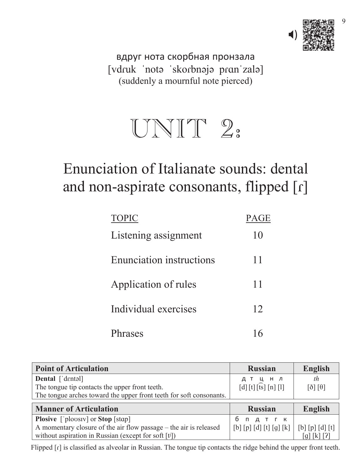

9

вдруг нота скорбная пронзала [vdruk 'nota 'skorbnaja pran'zala] (suddenly a mournful note pierced)

# UNIT 2:

# Enunciation of Italianate sounds: dental and non-aspirate consonants, flipped  $\lbrack\Gamma\rbrack$

| <b>TOPIC</b>                    | PA <sub>C</sub> |
|---------------------------------|-----------------|
| Listening assignment            | 10              |
| <b>Enunciation instructions</b> | 11              |
| Application of rules            | 11              |
| Individual exercises            | 12              |
| <b>hrases</b>                   |                 |

| <b>Point of Articulation</b>                                        | <b>Russian</b>                                                                               | <b>English</b>                              |
|---------------------------------------------------------------------|----------------------------------------------------------------------------------------------|---------------------------------------------|
| Dental ['dentəl]                                                    | дтцнл                                                                                        | th                                          |
| The tongue tip contacts the upper front teeth.                      | $\lceil d \rceil \lceil t \rceil \lceil \widehat{ts} \rceil \lceil n \rceil \lceil l \rceil$ | $\lceil \delta \rceil \lceil \theta \rceil$ |
| The tongue arches toward the upper front teeth for soft consonants. |                                                                                              |                                             |
|                                                                     |                                                                                              |                                             |
| <b>Manner of Articulation</b>                                       | <b>Russian</b>                                                                               | English                                     |
| <b>Plosive</b> ['plousiv] or <b>Stop</b> [stap]                     | Д Т Г К<br>б п                                                                               |                                             |
| A momentary closure of the air flow passage - the air is released   | [b] [p] [d] [t] [g] [k]                                                                      | $[b] [p] [d] [t]$                           |

Flipped  $[r]$  is classified as alveolar in Russian. The tongue tip contacts the ridge behind the upper front teeth.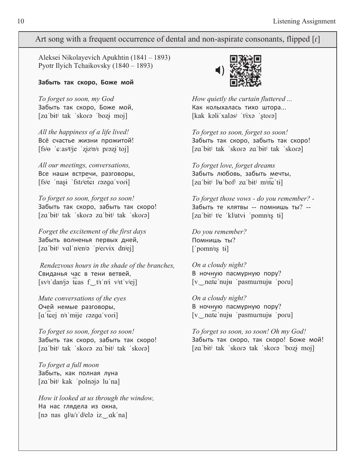#### Art song with a frequent occurrence of dental and non-aspirate consonants, flipped  $\lceil \mathbf{r} \rceil$

 Aleksei Nikolayevich Apukhtin (1841 – 1893) Pyotr Ilyich Tchaikovsky (1840 – 1893)

#### $3a6b$ **ить так скоро**, Боже мой

*To forget so soon, my God* Забыть так скоро, Боже мой,  $[za'bit' tak 'skorə 'bozi moj]$ 

*All the happiness of a life lived!* Всё счастье жизни прожитой!  $[fsj_{\theta}$  ' $\epsilon$ : as<sup>jtj</sup>je 'ziz<sup>j</sup>nji prezi toj]

*All our meetings, conversations,* Все наши встречи, разговоры, [fs<sup>j</sup>e 'nasi 'fstr<sup>j</sup>eter razga vori]

*To forget so soon, forget so soon!* Забыть так скоро, забыть так скоро! [zaˈbɨtʲ tak ˈskoɾə zaˈbɨtʲ tak ˈskoɾə]

*Forget the excitement of the first days* Забыть волненья первых дней, [zaˈbɨtʲ valˈnʲenʲə ˈpʲervɨx dnʲej]

Свиданья час в тени ветвей, месторые В н [sv<sup>j</sup>I'dan<sup>j</sup>jə teas f\_t<sup>j</sup>I'n<sup>j</sup>i v<sup>j</sup>It'v<sup>j</sup>ej] *Rendezvous hours in the shade of the branches,*

*Mute conversations of the eyes* Очей немые разговоры,  $\alpha$  teej n<sup>j</sup><sub>I</sub>'mije razga vori

*To forget so soon, forget so soon!* Забыть так скоро, забыть так скоро! [zaˈbɨtʲ tak ˈskorə zaˈbɨtʲ tak ˈskorə]

*To forget a full moon* Забыть, как полная луна [zaˈbɨtʲ kak ˈpolnəjə luˈna]

*How it looked at us through the window,* На нас глядела из окна, [nə nas q $l$ ia/ $I$ 'dielə iz ak'na]



*How quietly the curtain fluttered ...* Как колыхалась тихо штора... [kak kəli xaləs<sup>i</sup> tüxə storə]

*To forget so soon, forget so soon!* Забыть так скоро, забыть так скоро!  $[za'bit' tak 'skorə za'bit' tak 'skorə]$ 

*To forget love, forget dreams* Забыть любовь, забыть мечты, [zaˈbɨtʲ lʲuˈbofʲ zaˈbitʲ mʲiteˈti]

*To forget those vows - do you remember? -* Забыть те клятвы -- помнишь ты? --[za bit<sup>j</sup> t<sup>j</sup>e 'kl<sup>j</sup>atvi 'pomn<sup>j</sup>ıs ti]

*Do you remember?* Помнишь ты?  $\lceil$ 'pomn<sup>j</sup><sub>I</sub>s ti]

*On a cloudy night?* В ночную пасмурную пору? [vold nuju pasmurnuju poru]

*On a cloudy night?* В ночную пасмурную пору?  $[v]$  nate nuju pasmurnuju porul

*To forget so soon, so soon! Oh my God!* Забыть так скоро, так скоро! Боже мой! [zaˈbitʲ tak ˈskorə tak ˈskorə ˈbozi moj]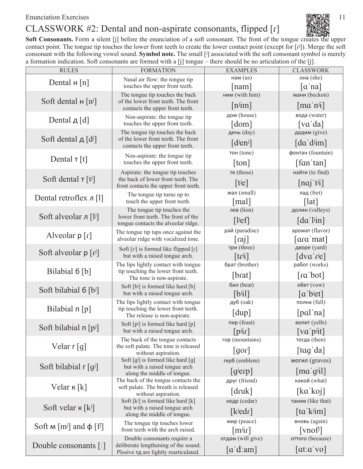Enunciation Exercises 11

#### CLASSWORK #2: Dental and non-aspirate consonants, flipped [r]



Soft Consonants. Form a silent [j] before the enunciation of a soft consonant. The front of the tongue creates the upper contact point. The tongue tip touches the lower front teeth to create the lower contact point (except for  $[\vec{F}]$ ). Merge the soft consonant with the following vowel sound. Symbol note. The small [J] associated with the soft consonant symbol is merely a formation indication. Soft consonants are formed with a [j] tongue – there should be no articulation of the [j].

| <b>RULES</b>                                            | <b>FORMATION</b>                                                            | <b>EXAMPLES</b>                                  | <b>CLASSWORK</b>                                     |
|---------------------------------------------------------|-----------------------------------------------------------------------------|--------------------------------------------------|------------------------------------------------------|
| Dental $H[n]$                                           | Nasal air flow: the tongue tip                                              | нам $(us)$                                       | она (she)                                            |
|                                                         | touches the upper front teeth.                                              | $\lceil$ nam $\rceil$                            | $\lceil \alpha \rceil$ na                            |
| Soft dental $H[n^j]$                                    | The tongue tip touches the back<br>of the lower front teeth. The front      | ним (with him)                                   | мани (beckon)                                        |
|                                                         | contacts the upper front teeth.                                             | $[n^j$ im]                                       | $\lceil ma'n^{j}i\rceil$                             |
| Dental $\mu$ [d]                                        | Non-aspirate: the tongue tip                                                | дом (house)                                      | вода (water)                                         |
|                                                         | touches the upper front teeth.                                              | $\lceil dom \rceil$                              | $\lceil \nabla \alpha' \, da \rceil$                 |
| Soft dental $\mu$ [d <sup>j</sup> ]                     | The tongue tip touches the back<br>of the lower front teeth. The front      | день (day)                                       | дадим (give)                                         |
|                                                         | contacts the upper front teeth.                                             | $\lceil$ d <sup>j</sup> en <sup>j</sup> $\rceil$ | $\lceil da'd^{j}$ im $\rceil$                        |
|                                                         | Non-aspirate: the tongue tip                                                | тон (tone)                                       | фонтан (fountain)                                    |
| Dental $\tau$ [t]                                       | touches the upper front teeth.                                              | [ton]                                            | $\lceil \text{fan 'tan} \rceil$                      |
|                                                         | Aspirate: the tongue tip touches                                            | Te (those)                                       | найти (to find)                                      |
| Soft dental $\tau$ [t <sup>j</sup> ]                    | the back of lower front teeth. The<br>front contacts the upper front teeth. | [tie]                                            | [naj' t'i]                                           |
|                                                         | The tongue tip turns up to                                                  | мал (small)                                      | лад (fret)                                           |
| Dental retroflex $\pi$ [1]                              | touch the upper front teeth.                                                | [mal]                                            | $\lceil \vert \text{at} \rceil$                      |
|                                                         | The tongue tip touches the                                                  | лев (lion)                                       | долин (valleys)                                      |
| Soft alveolar л $[1]$                                   | lower front teeth. The front of the<br>tongue contacts the alveolar ridge.  | [!]                                              | $\lceil da' \cdot \text{lin} \rceil$                 |
|                                                         | The tongue tip taps once against the                                        | рай (paradise)                                   | аромат (flavor)                                      |
| Alveolar $p[f]$                                         | alveolar ridge with vocalized tone.                                         | $\lceil$ raj $\rceil$                            | [ara mat]                                            |
|                                                         | Soft $[r^j]$ is formed like flipped $[r]$                                   | три (three)                                      | дворе (yard)                                         |
| Soft alveolar $p[f^j]$                                  | but with a raised tongue arch.                                              | $[tr^{j}i]$                                      | $\lceil d \vee a' \rceil$                            |
|                                                         | The lips lightly contact with tongue<br>tip touching the lower front teeth. | брат (brother)                                   | работ (works)                                        |
| Bilabial 6 [b]                                          | The tone is non-aspirate.                                                   | [brat]                                           | $\lceil \text{ra'}\text{bot} \rceil$                 |
| Soft bilabial $6$ [bi]                                  | Soft [bi] is formed like hard [b]                                           | бил (beat)                                       | обет (vow)                                           |
|                                                         | but with a raised tongue arch.                                              | $[b^{j}i]$                                       | $\lceil a'b^{j}et \rceil$                            |
|                                                         | The lips lightly contact with tongue<br>tip touching the lower front teeth. | дуб (oak)                                        | полна (full)                                         |
| Bilabial $\pi$ [p]                                      | The release is non-aspirate.                                                | [dup]                                            | [pal'na]                                             |
| Soft bilabial $\pi$ [p <sup>j</sup> ]                   | Soft $[p^j]$ is formed like hard $[p]$                                      | пир (feast)                                      | вопит (yells)                                        |
|                                                         | but with a raised tongue arch.                                              | $[p^{ji}r]$                                      | [va'pi]                                              |
|                                                         | The back of the tongue contacts<br>the soft palate. The tone is released    | rop (mountains)                                  | тогда (then)                                         |
| Velar $\lceil g \rceil$                                 | without aspiration.                                                         | $\lfloor$ 10 $\lfloor$                           | [tag'da]                                             |
|                                                         | Soft $[g^j]$ is formed like hard $[g]$                                      | rep6 (emblem)                                    | могил (graves)                                       |
| Soft bilabial $\lceil g^{j} \rceil$                     | but with a raised tongue arch<br>along the middle of tongue.                | $\lfloor$ g <sup>j</sup> erp $\rfloor$           | $[\text{ma}'\text{g}'\text{il}]$                     |
|                                                         | The back of the tongue contacts the                                         | друг (friend)                                    | какой (what)                                         |
| Velar $\kappa$ [k]                                      | soft palate. The breath is released                                         | [druk]                                           | [ka'koj]                                             |
|                                                         | without aspiration.<br>Soft $[k^j]$ is formed like hard $[k]$               | кедр (cedar)                                     | таким (like that)                                    |
| Soft velar $\kappa$ [k <sup>j</sup> ]                   | but with a raised tongue arch                                               | [k <sup>j</sup> edr]                             | $\left[$ ta k <sup>j</sup> im $\right]$              |
|                                                         | along the middle of tongue.                                                 | мир (реасе)                                      | вновь (again)                                        |
| Soft $M$ [m <sup>j</sup> ] and $\phi$ [f <sup>j</sup> ] | The tongue tip touches lower<br>front teeth with the arch raised.           | [m <sup>j</sup> ir]                              | $[\text{vnof}$                                       |
|                                                         | Double consonants require a                                                 | отдам (will give)                                | оттого (because)                                     |
| Double consonants $\lceil$ :                            | deliberate lengthening of the sound.                                        |                                                  |                                                      |
|                                                         | Plosive TA are lightly rearticulated.                                       | $\lceil a' d \cdot \text{am} \rceil$             | $\lceil \text{at}: \alpha \text{'} \text{vo} \rceil$ |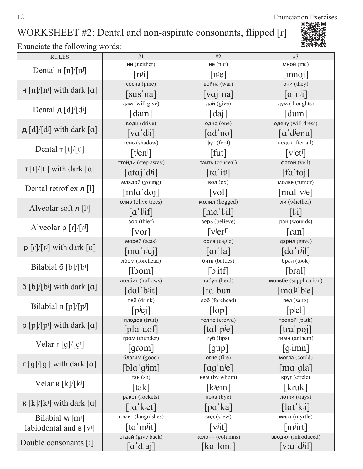12 Enunciation Exercises

# WORKSHEET #2: Dental and non-aspirate consonants, flipped [r]



| мной (me)<br>ни (neither)<br>не $(not)$<br>Dental $\text{H}$ [n]/[n <sup>j</sup> ]<br>$[n^{j}i]$<br>$[n^{j}e]$<br>[mnoj]<br>сосна (pine)<br>война (war)<br>они (they)<br>$H[n]/[n^j]$ with dark $[a]$<br>$\lceil \overline{vaj} \rceil$ na<br>$\lceil \mathbf{a}^{\mathsf{T}} \mathbf{n}^{j} \mathbf{i} \rceil$<br>[sas'na]<br>дай (give)<br>дам (will give)<br>дум (thoughts)<br>Dental д $\lceil d \rceil / \lceil d^j \rceil$ |  |
|----------------------------------------------------------------------------------------------------------------------------------------------------------------------------------------------------------------------------------------------------------------------------------------------------------------------------------------------------------------------------------------------------------------------------------|--|
|                                                                                                                                                                                                                                                                                                                                                                                                                                  |  |
|                                                                                                                                                                                                                                                                                                                                                                                                                                  |  |
|                                                                                                                                                                                                                                                                                                                                                                                                                                  |  |
|                                                                                                                                                                                                                                                                                                                                                                                                                                  |  |
|                                                                                                                                                                                                                                                                                                                                                                                                                                  |  |
| [dam]<br>$\lceil \text{daj} \rceil$<br>$\lceil \text{dum} \rceil$                                                                                                                                                                                                                                                                                                                                                                |  |
| води (drive)<br>одно (one)<br>одену (will dress)<br>$\mu$ [d]/[d <sup>j</sup> ] with dark [a]                                                                                                                                                                                                                                                                                                                                    |  |
| $\lceil va'd^{j}i\rceil$<br>$\lceil ad'no \rceil$<br>$\lceil a'$ d <sup>j</sup> enu                                                                                                                                                                                                                                                                                                                                              |  |
| фут (foot)<br>ведь (after all)<br>тень (shadow)<br>Dental $\tau$ [t]/[t <sup>j</sup> ]                                                                                                                                                                                                                                                                                                                                           |  |
| [tien <sup>j</sup> ]<br>$\lceil \text{fut} \rceil$<br>$\lceil$ v <sup>j</sup> et <sup>j</sup> $\rceil$                                                                                                                                                                                                                                                                                                                           |  |
| отойди (step away)<br>фатой (veil)<br>таить (conceal)<br>$\tau$ [t]/[t <sup>j</sup> ] with dark [a]                                                                                                                                                                                                                                                                                                                              |  |
| $[fa' \text{to} j]$<br>$\lceil \alpha \alpha j \, d^{j}i \rceil$<br>$\left[$ ta 'it <sup>j</sup> $\right]$                                                                                                                                                                                                                                                                                                                       |  |
| младой (young)<br>молве (rumor)<br>вол $(0x)$<br>Dental retroflex $\pi$ [1]                                                                                                                                                                                                                                                                                                                                                      |  |
| [mla'doj]<br>[mal'viel]<br>$\lceil vol \rceil$                                                                                                                                                                                                                                                                                                                                                                                   |  |
| олив (olive trees)<br>молил (begged)<br>ли (whether)<br>Alveolar soft $\pi$ [l <sup>j</sup> ]                                                                                                                                                                                                                                                                                                                                    |  |
| $\lceil \alpha' \rceil$<br>$\lceil \text{ma}'^{[j]} \rceil$<br>$\lceil$ <sup>1</sup>                                                                                                                                                                                                                                                                                                                                             |  |
| вор (thief)<br>верь (believe)<br>ран (wounds)<br>Alveolar $p[f]/[f^j]$                                                                                                                                                                                                                                                                                                                                                           |  |
| $\left[\mathrm{v}\mathrm{e}\mathrm{r}\mathrm{d}\right]$<br>$\lceil \nu$<br>$\lceil$ ran $\rceil$                                                                                                                                                                                                                                                                                                                                 |  |
| морей (seas)<br>орла (eagle)<br>дарил (gave)<br>$p \lfloor r \rfloor / \lfloor r^j \rfloor$ with dark $\lfloor \alpha \rfloor$                                                                                                                                                                                                                                                                                                   |  |
| $\lceil$ ma' r <sup>j</sup> ej]<br>$\lceil da'$ r <sup>j</sup> il]<br>$\lceil \text{ar}' \rceil$ a]                                                                                                                                                                                                                                                                                                                              |  |
| лбом (forehead)<br>битв (battles)<br>брал (took)<br>Bilabial $6 \,[b]/[b^j]$                                                                                                                                                                                                                                                                                                                                                     |  |
| [lbom]<br>$[b]$ itf<br>[bra]                                                                                                                                                                                                                                                                                                                                                                                                     |  |
| долбит (hollows)<br>мольбе (supplication)<br>табун (herd)<br>$6$ [b]/[b <sup>j</sup> ] with dark [a]                                                                                                                                                                                                                                                                                                                             |  |
| $\lceil \text{dal}' \cdot b \cdot \text{lit} \rceil$<br>$[malj$ b <sup>j</sup> e]<br>$\lceil \text{ta}'$ bun $\rceil$                                                                                                                                                                                                                                                                                                            |  |
| пей (drink)<br>лоб (forehead)<br>пел (sang)<br>Bilabial $\pi$ [p]/[p <sup>j</sup> ]                                                                                                                                                                                                                                                                                                                                              |  |
| $[p^{j}e]$<br>$[\text{lop}]$<br>$ p^{j}e^{j} $                                                                                                                                                                                                                                                                                                                                                                                   |  |
| плодов (fruit)<br>тропой (path)<br>толпе (crowd)<br>$p [p]$ [ $p^j$ ] with dark [a]                                                                                                                                                                                                                                                                                                                                              |  |
| [pla'dof]<br>$\lceil \text{tal}'\text{pje} \rceil$<br>$[\text{tra}$ poj<br>гром (thunder)<br>гимн (anthem)<br>губ (lips)                                                                                                                                                                                                                                                                                                         |  |
| Velar $\lceil \frac{g}{g} \rceil$<br>$\lceil$ gimn $\rceil$<br>$\lceil \text{from} \rceil$                                                                                                                                                                                                                                                                                                                                       |  |
| [gup]<br>благим (good)<br>огне (fire)<br>могла (could)                                                                                                                                                                                                                                                                                                                                                                           |  |
| $\lceil g \rceil / [g^j]$ with dark $\lceil a \rceil$<br>$[b]$ a g <sup>j</sup> im<br>$\lceil \text{ag} \rceil$ n <sup>j</sup> e<br>$\lceil$ ma'qla $\rceil$                                                                                                                                                                                                                                                                     |  |
| кем (by whom)<br>круг (circle)<br>так $(so)$                                                                                                                                                                                                                                                                                                                                                                                     |  |
| Velar $\kappa$ [k]/[k <sup>j</sup> ]<br>[kruk]<br>[tak]<br>$[kj$ em]                                                                                                                                                                                                                                                                                                                                                             |  |
| ракет (rockets)<br>пока (bye)<br>лотки (trays)                                                                                                                                                                                                                                                                                                                                                                                   |  |
| $\kappa$ [k]/[k <sup>j</sup> ] with dark [a]<br>$\lceil \text{ra}' \, \text{k}$ <sup>j</sup> et]<br>[pa'ka]<br>$\left[ \ln \frac{1}{k} \right]$                                                                                                                                                                                                                                                                                  |  |
| томит (languishes)<br>вид (view)<br>мирт (myrtle)                                                                                                                                                                                                                                                                                                                                                                                |  |
| Bilabial $M$ [m <sup>j</sup> ]<br>$\left[$ ta 'm <sup>j</sup> it $\right]$<br>$\lceil \mathrm{v}^{\mathrm{j}}\mathrm{i} \mathrm{t} \rceil$<br>$[m]$ irt]                                                                                                                                                                                                                                                                         |  |
| labiodental and $B[v^j]$<br>отдай (give back)<br>колонн (columns)<br>вводил (introduced)                                                                                                                                                                                                                                                                                                                                         |  |
| Double consonants [:]<br>[a'd:a]<br>$\lceil ka'lon \rceil$<br>$[v:\alpha'$ d <sup>j</sup> il]                                                                                                                                                                                                                                                                                                                                    |  |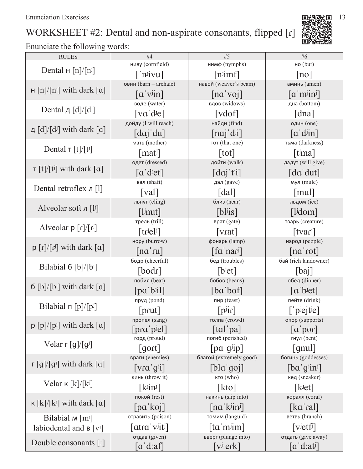# WORKSHEET #2: Dental and non-aspirate consonants, flipped [r]

Enunciate the following words:

| <b>RULES</b>                                                                   | #4                                                                | #5                                                          | #6                                               |
|--------------------------------------------------------------------------------|-------------------------------------------------------------------|-------------------------------------------------------------|--------------------------------------------------|
|                                                                                | ниву (cornfield)                                                  | ним $\phi$ (nymphs)                                         | но $(but)$                                       |
| Dental $\text{H}$ [n]/[n <sup>j</sup> ]                                        | $\lceil$ 'n <sup>j</sup> ivu]                                     | $[n]$ imf                                                   | no                                               |
|                                                                                | овин (barn - archaic)                                             | навой (weaver's beam)                                       | аминь (amen)                                     |
| $H[n]/[n^j]$ with dark $[a]$                                                   | $\lceil a' v^{j}$ in]                                             | [na'vo]                                                     | $\left[ \alpha   \mathbf{m} \right]$             |
|                                                                                | воде (water)                                                      | вдов (widows)                                               | дна (bottom)                                     |
| Dental д $\left[\frac{d}{d}\right]$                                            | [va'die]                                                          | [vdof]                                                      | [dna]                                            |
| д $\lceil d \rceil / \lceil d^j \rceil$ with dark $\lceil a \rceil$            | дойду (I will reach)                                              | найди (find)                                                | один (one)                                       |
|                                                                                | $\lceil da \rceil' du \rceil$                                     | [nai'dii]                                                   | $\lceil a' \text{dim} \rceil$                    |
| Dental $\tau$ [t]/[t <sup>j</sup> ]                                            | мать (mother)                                                     | тот (that one)                                              | тьма (darkness)                                  |
|                                                                                | $[\text{mat}]$                                                    | [tot]                                                       | $[$ t <sup>j</sup> ma]                           |
| $\tau$ [t]/[t <sup>j</sup> ] with dark [a]                                     | одет (dressed)                                                    | дойти (walk)                                                | дадут (will give)                                |
|                                                                                | $\lceil a' \text{det} \rceil$                                     | $\left[da\right]$ t <sup>j</sup> i                          | $\lceil da' \, du \rceil$                        |
| Dental retroflex $\pi$ [1]                                                     | вал (shaft)                                                       | дал (gave)                                                  | мул $(mule)$                                     |
|                                                                                | [val]                                                             | $\lceil$ dal $\rceil$                                       | $\lceil \text{mul} \rceil$                       |
| Alveolar soft $\pi$ [l <sup>j</sup> ]                                          | льнут (cling)                                                     | близ (near)                                                 | льдом (ice)                                      |
|                                                                                | $[1$ <sup>j</sup> nut]                                            | $[b]$ <sup>j</sup> is]                                      | $\lceil$ l <sup>j</sup> dom $\rceil$             |
| Alveolar $p[f]/[f^j]$                                                          | трель (trill)                                                     | врат (gate)                                                 | тварь (creature)                                 |
|                                                                                | [trie]                                                            | $\lceil \text{vrat} \rceil$                                 | [txar]                                           |
| $p \lfloor r \rfloor / \lfloor r^j \rfloor$ with dark $\lfloor \alpha \rfloor$ | нору (burrow)                                                     | фонарь (lamp)                                               | народ (people)                                   |
|                                                                                | $\lceil na'ru \rceil$                                             | $\left[$ fa'nar <sup>j</sup> $\right]$                      | [na'rot]                                         |
| Bilabial $6$ [b]/[bi]                                                          | бодр (cheerful)                                                   | бед (troubles)                                              | бай (rich landowner)                             |
|                                                                                | [bold]                                                            | [b <sub>jet</sub> ]                                         | [ba]                                             |
| $6$ [b]/[b <sup>j</sup> ] with dark [a]                                        | побил (beat)                                                      | бобов (beans)                                               | обед (dinner)                                    |
|                                                                                | $[pa'b^j$ il]                                                     | [ba'bot]                                                    | $\lceil a'b^{j}et \rceil$                        |
| Bilabial $\pi$ [p]/[p <sup>j</sup> ]                                           | пруд (pond)                                                       | пир (feast)                                                 | пейте (drink)                                    |
|                                                                                | [prut]                                                            | $[p^{j}$ ir]                                                | $\lceil$ piejtie]                                |
| $p \left[ p \right] / [p^j]$ with dark $\left[ a \right]$                      | пропел $(sang)$<br>[pra'p!                                        | $\tau$ олпа (crowd)<br>$\lceil \text{tal}'\text{pa} \rceil$ | oπop (supports)<br>$\lceil a' \text{por} \rceil$ |
|                                                                                | горд (proud)                                                      | погиб (perished)                                            | гнул (bent)                                      |
| Velar $\lceil \frac{g}{g} \rceil$                                              | $\lceil$ gort $\rceil$                                            | $\lceil pa'g^{ji}p \rceil$                                  | $\lceil \text{gnul} \rceil$                      |
|                                                                                | враги (enemies)                                                   | благой (extremely good)                                     | богинь (goddesses)                               |
| $\lceil g \rceil / \lceil g^j \rceil$ with dark $\lceil a \rceil$              | $\left[ \text{vra}^{\dagger} \text{g}^{\dagger} \text{i} \right]$ | [b]a'qoj]                                                   | [ba'qjin]                                        |
|                                                                                | кинь (throw it)                                                   | кто (who)                                                   | кед (sneaker)                                    |
| Velar $\kappa$ [k]/[k <sup>j</sup> ]                                           | $\left[\mathrm{k}$ <sup>j</sup> in <sup>j</sup>                   | [kto]                                                       | [k <sup>j</sup> et]                              |
|                                                                                | покой (rest)                                                      | накинь (slip into)                                          | коралл (coral)                                   |
| $\kappa$ [k]/[k <sup>j</sup> ] with dark [a]                                   | [pa'koj]                                                          | $\left[\text{na}'\text{k}$ in <sup>j</sup>                  | $\left[ \text{ka}' \text{ral} \right]$           |
| Bilabial M [m <sup>j</sup> ]                                                   | отравить (poison)                                                 | томим (languid)                                             | ветвь (branch)                                   |
| labiodental and $B[v^j]$                                                       | $\lceil \frac{atra'}{v^j}t^j \rceil$                              | $\lceil \tan \min \rceil$                                   | [ <i>v</i> ]                                     |
|                                                                                | отдав (given)                                                     | вверг (plunge into)                                         | отдать (give away)                               |
| Double consonants [:]                                                          | [aˈdːaf]                                                          | $[v^j:erk]$                                                 | $\left[ \alpha^{\dagger}d:at^{j}\right]$         |

l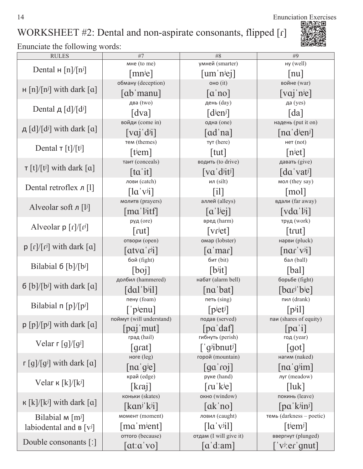14 Enunciation Exercises<br>
国語登記

# WORKSHEET #2: Dental and non-aspirate consonants, flipped [r]



| <b>RULES</b>                                                                   | #7                                                         | #8                                               | #9                                                     |
|--------------------------------------------------------------------------------|------------------------------------------------------------|--------------------------------------------------|--------------------------------------------------------|
|                                                                                | мне (to me)                                                | умней (smarter)                                  | ну (well)                                              |
| Dental $\text{H}$ [n]/[n <sup>j</sup> ]                                        | [mnje]                                                     | [um'njej]                                        | $\lceil \text{nu} \rceil$                              |
|                                                                                | обману (deception)                                         | оно $(it)$                                       | войне (war)                                            |
| $H[n]/[n^j]$ with dark $[a]$                                                   | $[ab'$ manu]                                               | $\lceil a'no \rceil$                             | $\lceil \overline{\text{vaj}} \rceil$ n <sup>j</sup> e |
| Dental д $\left[\frac{d}{d}\right]$                                            | два (two)                                                  | день (day)                                       | да (yes)                                               |
|                                                                                | $\lceil dva \rceil$                                        | $\lceil$ d <sup>j</sup> en <sup>j</sup> $\rceil$ | $\lceil da \rceil$                                     |
| $\mu$ [d]/[d <sup>j</sup> ] with dark [a]                                      | войди (come in)                                            | одна (one)                                       | надень (put it on)                                     |
|                                                                                | $\left[ \text{vaj'}d^{j}i\right]$                          | $\lceil ad'na\rceil$                             | $\lceil na'djen^j \rceil$                              |
| Dental $\tau$ [t]/[t <sup>j</sup> ]                                            | тем (themes)                                               | тут (here)                                       | Her (not)                                              |
|                                                                                | [tiem]                                                     | $\lceil \text{tut} \rceil$                       | $[n$ <sup>j</sup> et                                   |
|                                                                                | таит (conceals)                                            | водить (to drive)                                | давать (give)                                          |
| $\tau$ [t]/[t] with dark [a]                                                   | $\lceil ta'it\rceil$                                       | [va'd <sup>j</sup> it <sup>j</sup> ]             | $\lceil da' \text{vati} \rceil$                        |
| Dental retroflex $\pi$ [1]                                                     | лови (catch)                                               | ил $(silt)$                                      | мол (they say)                                         |
|                                                                                | $\left[ \ln  v_{ij}  \right]$                              | $\lceil 1 \rceil$                                | $\lceil \text{mol} \rceil$                             |
| Alveolar soft $\pi$ [l <sup>j</sup> ]                                          | молитв (prayers)                                           | аллей (alleys)                                   | вдали (far away)                                       |
|                                                                                | $\lceil \text{ma}' \rceil$                                 | $\lceil a' \rceil$                               | $\lceil vda'1^{j}i \rceil$                             |
| Alveolar $p \lfloor r \rfloor / \lfloor r^j \rfloor$                           | руд (ore)                                                  | вред (harm)                                      | труд (work)                                            |
|                                                                                | $\lceil \text{rut} \rceil$                                 | $[\text{vrjet}]$                                 | $[$ trut $]$                                           |
| $p \lfloor r \rfloor / \lfloor r^j \rfloor$ with dark $\lfloor \alpha \rfloor$ | отвори (open)                                              | омар (lobster)                                   | нарви (pluck)                                          |
|                                                                                | $\lceil \frac{atva}{r^{j_1}} \rceil$                       | $\lceil \alpha \rceil$ mar                       | $\lceil$ nar'v <sup>j</sup> i]                         |
| Bilabial $6$ [b]/[bi]                                                          | бой (fight)                                                | $6$ ит (bit)                                     | бал (ball)                                             |
|                                                                                | [bo]                                                       | [b <sub>it</sub> ]                               | [bal]                                                  |
|                                                                                | долбил (hammered)                                          | набат (alarm bell)                               | борьбе (fight)                                         |
| $6$ [b]/[b <sup>j</sup> ] with dark [a]                                        | $\lceil \text{dal}' \cdot b \cdot i \cdot l \rceil \rceil$ | $\lceil na'bat \rceil$                           | $[bar'$ bie]                                           |
| Bilabial $\pi$ [p]/[p <sup>j</sup> ]                                           | пену (foam)                                                | $nerb$ (sing)                                    | пил $(drank)$                                          |
|                                                                                | $\lceil$ p <sup>j</sup> enu                                | $[p^j e^j]$                                      | $[p^{j}1]$                                             |
| $p \left[ p \right] / [p^j]$ with dark $\left[ \alpha \right]$                 | поймут (will understand)                                   | $\eta$ подав (served)                            | паи (shares of equity)                                 |
|                                                                                | $\lceil$ paj'mut $\rceil$                                  | [pa'daf]                                         | $\lceil pa'i \rceil$                                   |
| Velar $\lceil \frac{g}{g^j} \rceil$                                            | град (hail)                                                | гибнуть (perish)                                 | год (year)                                             |
|                                                                                | $\lceil \text{grat} \rceil$                                | $\lceil$ g <sup>j</sup> ibnut <sup>j</sup>       | $\lceil \text{got} \rceil$                             |
| $\lceil \log f(g) \rceil$ with dark $\lceil \alpha \rceil$                     | ноге (leg)                                                 | горой (mountain)                                 | нагим (naked)                                          |
|                                                                                | $\lceil na' g^{j}e \rceil$                                 | $[q\alpha'$ roj]                                 | $\lceil na'g^{j}im \rceil$                             |
| Velar $\kappa$ [k]/[k <sup>j</sup> ]                                           | край (edge)                                                | руке (hand)                                      | луг (meadow)                                           |
|                                                                                | [kra]                                                      | $\lceil \text{ru}'\text{k}$ <sup>j</sup> e]      | $[$ luk $]$                                            |
| $\kappa$ [k]/[kʲ] with dark [a]                                                | коньки (skates)                                            | окно (window)                                    | покинь (leave)                                         |
|                                                                                | $\left[\kappa$ an <sup>j</sup> ' k <sup>j</sup> i]         | $\lceil \mathrm{ak} \rceil$ no $\lceil$          | $[pa' k^{j}in^{j}]$                                    |
| Bilabial $M$ [m <sup>j</sup> ]                                                 | момент (moment)                                            | ловил (caught)                                   | темь (darkness - poetic)                               |
| labiodental and $B[v^j]$                                                       | $\lceil$ ma 'm <sup>j</sup> ent]                           | $\left[ \left[ \alpha$ 'v <sup>i</sup> il]       | [t <sup>j</sup>                                        |
| Double consonants [:]                                                          | оттого (because)                                           | отдам (I will give it)                           | ввергнут (plunged)                                     |
|                                                                                | [atːɑˈvo]                                                  | $\lceil a' d : am \rceil$                        | $\lceil$ 'v <sup>j</sup> :er 'gnut]                    |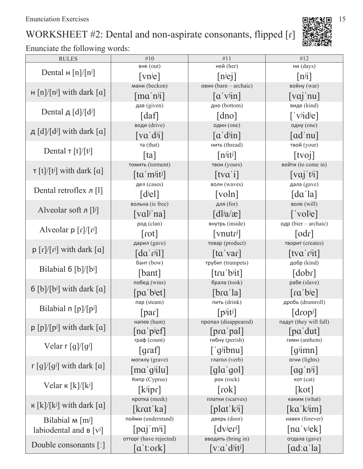# WORKSHEET #2: Dental and non-aspirate consonants, flipped [r]



| <b>RULES</b>                                                                   | #10                                                   | #11                                           | #12                                                |
|--------------------------------------------------------------------------------|-------------------------------------------------------|-----------------------------------------------|----------------------------------------------------|
| Dental $\text{H}$ [n]/[n <sup>j</sup> ]                                        | BHe (out)                                             | ней (her)                                     | ни (days)                                          |
|                                                                                | $\lceil \text{vn} \rceil$                             | $[n^{j}e]$                                    | $[n^{j}i]$                                         |
| $H[n]/[n^j]$ with dark $[a]$                                                   | мани (beckon)                                         | овин (barn $-$ archaic)                       | войну (war)                                        |
|                                                                                | $\lceil \text{ma}' \text{n}^{j} \rceil$               | $\left[\alpha' v^{j}$ in                      | $\lceil \mathrm{vaj} \rceil$ nu                    |
| Dental д $\lceil d \rceil / \lceil d^j \rceil$                                 | дав (given)                                           | дно (bottom)                                  | виде (kind)                                        |
|                                                                                | $\lceil \text{daf} \rceil$                            | $\lceil$ dno $\rceil$                         | $\lceil$ 'v <sup>j</sup> id <sup>j</sup> e]        |
| д $[d]/[d^j]$ with dark $[a]$                                                  | води (drive)                                          | один (one)                                    | одну (one)                                         |
|                                                                                | $\lceil va'd^{j}i\rceil$                              | $\lceil a' \text{dim} \rceil$                 | $\lceil ad'nu \rceil$                              |
| Dental $\tau$ [t]/[t <sup>j</sup> ]                                            | Ta (that)                                             | нить (thread)                                 | твой (your)                                        |
|                                                                                | $\lceil \text{ta} \rceil$                             | $[n$ it <sup>j</sup>                          | [tvoj]                                             |
| $\tau$ [t]/[t <sup>j</sup> ] with dark [a]                                     | томить (torment)                                      | твои (yours)                                  | войти (to come in)                                 |
|                                                                                | $\left[$ ta 'm <sup>j</sup> it <sup>j</sup> $\right]$ | $[$ tva'i]                                    | $\lceil \text{vaj }^{\dagger} \text{t} \rceil$     |
| Dental retroflex $\pi$ [1]                                                     | дел (cases)                                           | волн (waves)                                  | дала (gave)                                        |
|                                                                                | $[d^{j}el]$                                           | $\lceil \text{voln} \rceil$                   | $\lceil da' \rceil a \rceil$                       |
| Alveolar soft $\pi$ [l <sup>j</sup> ]                                          | вольна (is free)                                      | для (for)                                     | воле (will)                                        |
|                                                                                | $\lceil$ val <sup>j</sup> 'na]                        | $\lceil \frac{d}{i}a/\mathbf{x} \rceil$       | $\lceil$ 'vol <sup>j</sup> e]                      |
| Alveolar $p[f]/[f^j]$                                                          | род (clan)                                            | внутрь (inside)                               | одр (bier - archaic)                               |
|                                                                                | $\lceil \text{tot} \rceil$                            | $\lceil \text{vnutr}^j \rceil$                | $\lceil$ odr $\rceil$                              |
| $p \lfloor r \rfloor / \lfloor r^j \rfloor$ with dark $\lfloor \alpha \rfloor$ | дарил (gave)                                          | товар (product)                               | творит (creates)                                   |
|                                                                                | $\lceil da'$ r <sup>j</sup> il]                       | $\lceil \text{ta}' \text{var} \rceil$         | $[{\rm tva}'$ rit]                                 |
| Bilabial $6 \,[b]/[b^j]$                                                       | бант (bow)                                            | трубит (trumpets)                             | добр (kind)                                        |
|                                                                                | [bant]                                                | $[$ tru b <sup>j</sup> it $]$                 | $\lceil$ dobr $\rceil$                             |
| $6$ [b]/[b <sup>j</sup> ] with dark [a]                                        | побед (wins)                                          | брала (took)                                  | рабе (slave)                                       |
|                                                                                | [pa'bjet]                                             | $[bra'$ la]                                   | $\lceil$ ra 'b <sup>j</sup> e]                     |
| Bilabial $\pi$ [p]/[pi]                                                        | пар (steam)                                           | пить (drink)                                  | дробь (drumroll)                                   |
|                                                                                | par                                                   | $\lceil$ p <sup>j</sup> it <sup>j</sup>       | $\lceil \text{drop}^j \rceil$                      |
| $p [p] / [p^j]$ with dark [a]                                                  | напев (hum)                                           | пропал (disappeared)                          | падут (they will fall)                             |
|                                                                                | $\lceil na'p \neq f \rceil$                           | [pra'pal]                                     | $[pa'du$ t]                                        |
| Velar $\lceil \frac{g}{g} \rceil$                                              | $r$ pa $\phi$ (count)                                 | гибну (perish)                                | гимн (anthem)                                      |
|                                                                                | $\lceil \text{graf} \rceil$                           | $\lceil$ g <sup>j</sup> ibnu]                 | $\left[\text{gjmm}\right]$                         |
| $\lceil g \rceil / \lceil g^j \rceil$ with dark $\lceil a \rceil$              | могилу (grave)                                        | глагол (verb)                                 | огни (lights)                                      |
|                                                                                | $\lceil ma'q^jilu\rceil$                              | $\lceil \text{gla} \cdot \text{gol} \rceil$   | $\lceil \text{ag} \cdot \text{n}^{j} \cdot \rceil$ |
| Velar к $[k]/[k^j]$                                                            | Кипр (Cyprus)                                         | рок (rock)                                    | кот (cat)                                          |
|                                                                                | $[k^{j}ipr]$                                          | $\lceil \text{rok} \rceil$                    | [kot]                                              |
| $\kappa$ [k]/[k <sup>j</sup> ] with dark [a]                                   | кротка (meek)                                         | платки (scarves)                              | каким (what)                                       |
|                                                                                | [krat'ka]                                             | $[plat'k^{j}i]$                               | $\lceil ka'k^{j}im \rceil$                         |
| Bilabial $M$ [m <sup>j</sup> ]                                                 | пойми (understand)                                    | дверь (door)                                  | навек (forever)                                    |
| labiodental and $B[v^j]$                                                       | $\lceil$ paj m <sup>j</sup> i]                        | $\lceil d \text{v}$ ier <sup>j</sup> $\rceil$ | $\lceil$ na v <sup>j</sup> ek]                     |
| Double consonants [:]                                                          | отторг (have rejected)                                | вводить (bring in)                            | отдала (gave)                                      |
|                                                                                | [aˈtːoɾk]                                             | $[v:a'd^{j}it^{j}]$                           | [adːɑˈla]                                          |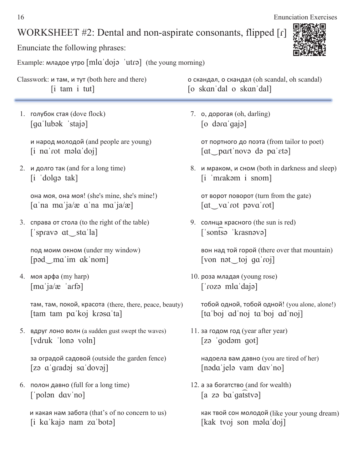#### WORKSHEET  $#2$ : Dental and non-aspirate consonants, flipped [r]

Enunciate the following phrases:

Example: младое утро  $[mla'doja'utra]$  (the young morning)

Classwork: и там, и тут (both here and there) **о скандал, о скандал** (oh scandal, oh scandal) [i tam i tut] [o skan'dal o skan'dal]

1. голубок стая (dove flock)  $[qa'lub \triangleleft k'staj]$ 

> и народ молодой (and people are young)  $[i$  na'rot mala'doj

2. и долго так (and for a long time)  $[i \text{ 'dolge tak}]$ 

> она моя, она моя! (she's mine, she's mine!)  $\lceil \alpha \rceil$ na ma' $\lceil \alpha \rceil$ a/æ  $\alpha$ 'na ma' $\lceil \alpha \rceil$

3. справа от стола (to the right of the table)  $\lceil$ 'spravə at sta'la]

под моим окном (under my window)  $[pad\_ma'im ak'nom]$ 

 $4.$  моя арфа (my harp)  $\lceil$ ma'ja/æ 'arfə $\rceil$ 

> там, там, покой, красота (there, there, peace, beauty) [tam tam pa'koj krasa'ta]

5. ВДруг лоно волн (a sudden gust swept the waves)  $\lceil \text{vdruk} \rceil$  lona voln $\lceil \text{vdruk} \rceil$ 

за оградой садовой (outside the garden fence)  $[za \alpha'qradoj \, s\alpha'dovoj]$ 

6. полон давно (full for a long time)  $\lceil$ 'polən dav'no]

7. **o**, дорогая (oh, darling)  $\lceil$ o dəra'qajə $\lceil$ 

> от портного до поэта (from tailor to poet)  $\lceil$  at part nove departured

8. и мраком, и сном (both in darkness and sleep)  $[i \text{ 'mrakəm } i \text{ sonom}]$ 

от ворот поворот (turn from the gate)  $\lceil$  at va'rot pava'rot]

9. солнца красного (the sun is red)  $\lceil$ 'sontsə 'krasnəvə $\rceil$ 

вон над той горой (there over that mountain) [von nət toj ga roj]

10. роза младая (young rose)  $\lceil \cdot \cdot \cdot \cdot \rceil$  mla dajal

> тобой одной, тобой одной! (you alone, alone!)  $[ta'boj' ad'noj' ta'boj' ad'noj]$

11. за годом год (year after year)  $[zə 'qodəm qot]$ 

надоела вам давно (you are tired of her) [nəda jelə vam dav no]

12. а за богатство (and for wealth)  $[a \text{ zo ba'}\text{ga}$ fatva]

как твой сон молодой (like your young dream) [kak tvoj son mala doj]



и какая нам забота (that's of no concern to us) [i ka'kaja nam za'bota]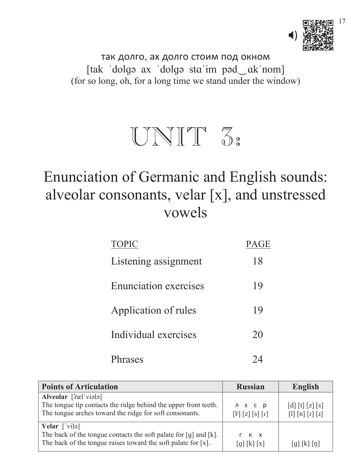

так долго, ах долго стоим под окном [tak 'dolgə ax 'dolgə sta'im pəd\_ak'nom] (for so long, oh, for a long time we stand under the window)



# Enunciation of Germanic and English sounds: alveolar consonants, velar [x], and unstressed vowels

| <b>TOPIC</b>                 | <b>PAGE</b> |
|------------------------------|-------------|
| Listening assignment         | 18          |
| <b>Enunciation exercises</b> | 19          |
| Application of rules         | 19          |
| Individual exercises         | 20          |
| <b>arases</b>                |             |

| <b>Points of Articulation</b>                                                                                                                                                        | <b>Russian</b>                                                                                                                                                                    | <b>English</b>                                                                       |
|--------------------------------------------------------------------------------------------------------------------------------------------------------------------------------------|-----------------------------------------------------------------------------------------------------------------------------------------------------------------------------------|--------------------------------------------------------------------------------------|
| Alveolar [?æl viələ]<br>The tongue tip contacts the ridge behind the upper front teeth.<br>The tongue arches toward the ridge for soft consonants.                                   | л з с р<br>$\left[\begin{matrix}1^{j}\end{matrix}\right]\left[\begin{matrix}z\end{matrix}\right]\left[\begin{matrix}s\end{matrix}\right]\left[\begin{matrix}r\end{matrix}\right]$ | [d] [t] [z] [s]<br>$\lceil 1 \rceil \lceil n \rceil \lceil r \rceil \lceil x \rceil$ |
| <b>Velar</b> $\lceil \text{vil} \rceil$<br>The back of the tongue contacts the soft palate for $[g]$ and $[k]$ .<br>The back of the tongue raises toward the soft palate for $[x]$ . | r k x<br>[g][k][x]                                                                                                                                                                | [g][k][n]                                                                            |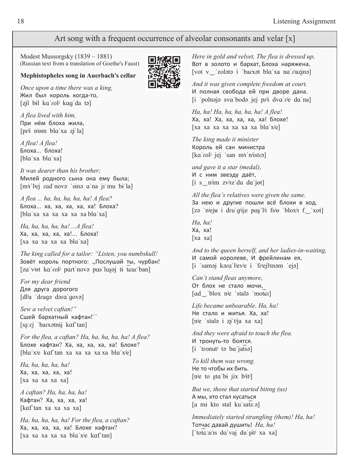#### Art song with a frequent occurrence of alveolar consonants and velar [x]

 Modest Mussorgsky (1839 – 1881) (Russian text from a translation of Goethe's Faust)

#### **Mephistopheles song in Auerbach's cellar**

 *Once upon a time there was a king,* Жил был король когда-то,  $[z_i]$  bil ka rol<sup>j</sup> kaq da tə

 *A flea lived with him,* При нём блоха жила,  $[pr^{ji} n^{j}$ em bla'xa zi la]

 *A flea! A flea!* Блоха... блоха! [bla'xa bla'xa]

 *It was dearer than his brother;* Милей родного сына она ему была;  $[m]$ i l<sup>j</sup>ej rad novo sino a na ji mu bi la]

 *A flea ... ha, ha, ha, ha, ha! A flea?* Блоха... ха, ха, ха, ха, ха! Блоха? [bla xa xa xa xa xa bla xa]

 *Ha, ha, ha, ha, ha! ...A flea!* Ха, ха, ха, ха, ха!... Блоха! [xa xa xa xa xa bla'xa]

 *The king called for a tailor: "Listen, you numbskull!* Зовёт король портного: "Послушай ты, чурбан! [za viet ka roli part nove pas lusej ti teur ban]

 *For my dear friend* Для друга дорогого  $[d]$ a 'drugə dəra'govə]

 *Sew a velvet caftan!"* Сшей бархатный кафтан!``  $[ss:ej$  'barxətnij kaf'tan $]$ 

 *For the flea, a caftan? Ha, ha, ha, ha, ha! A flea?* Блохе кафтан? Ха, ха, ха, ха, ха! Блохе? [bla x<sup>j</sup>e kaf tan xa xa xa xa xa bla x<sup>j</sup>e]

 *Ha, ha, ha, ha, ha!* Xa, xa, xa, xa! [xa xa xa xa xa]

 *A caftan? Ha, ha, ha, ha!* Кафтан? Ха, ха, ха, ха! [kaf tan xa xa xa]

 *Ha, ha, ha, ha, ha! For the flea, a caftan?* Ха, ха, ха, ха, ха! Блохе кафтан? [xa xa xa xa xa bla x<sup>j</sup>e kaf tan]



*Here in gold and velvet, The flea is dressed up,* Вот в золото и бархат, Блоха наряжена, [vot v\_'zolətə i 'barxət bla'xa na'razinə]

*And it was given complete freedom at court.* И полная свобода ей при дворе дана.  $[i$  'polnaja sva boda jej pr $[i]$  dva r $e$  da na]

*Ha, ha! Ha, ha, ha, ha, ha! A flea!* Ха, ха! Ха, ха, ха, ха, ха! блохе!  $\lceil xa \; xa \; xa \; xa \; xa \; xa \; xa \; xa \; ba \; ba \; ba \; b \; a \; xa'$ 

*The king made it minister* Король ей сан министра [ka rolʲ jej ˈsan mʲɪˈnʲistrə]

*and gave it a star (medal),* И с ним звезду даёт,  $[i \ s_{n}]$ im zviz'du da'j $\sigma$ t]

*All the flea's relatives were given the same.* За нею и другие пошли всё блохи в ход.  $[zə 'n'eju i dru'q'ije pas'li isə'bloxi f'xci]$ 

*Ha, ha!* Xa, xa! [xa xa]

*And to the queen herself, and her ladies-in-waiting,* И самой королеве, И фрейлинам ея, [i 'saməj kəra'l<sup>j</sup>ev<sup>j</sup>e i 'fr<sup>j</sup>ejl<sup>j</sup>inəm 'ejə]

*Can't stand fleas anymore,* От блох не стало мочи, [ad blox n<sup>j</sup>e 'stala 'moter]

*Life became unbearable. Ha, ha!* Не стало и житья. Ха, ха!  $[n^je$  'stal $\geq$  i  $z^i$  t $i$ ja xa xa]

*And they were afraid to touch the flea.* И тронуть-то боятся. [i 'tronut<sup>j</sup> ta ba jatsa]

*To kill them was wrong.* Не то чтобы их бить. [n $ie$  to sta bi jix b $\exists$ it $\parallel$ ]

*But we, those that started biting (us)* А мы, кто стал кусаться  $[a \text{ mi} \text{ kto} \text{ stal} \text{ ku} \text{ safs}$ 

*Immediately started strangling (them)! Ha, ha!* Тотчас давай душить! На, ha!  $\lceil \cot \left( \frac{1}{2} \right) \rceil$  tote a/is da vaj du sit<sup>j</sup> xa xa]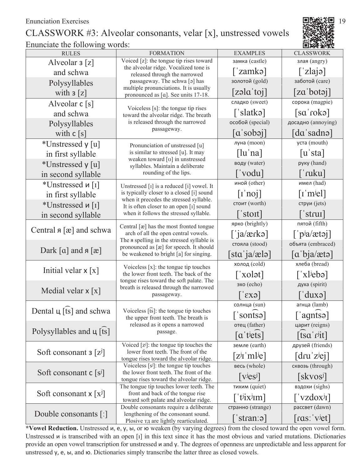#### CLASSWORK #3: Alveolar consonants, velar [x], unstressed vowels Enunciate the following words:



| Voiced [z]: the tongue tip rises toward<br>замка (castle)<br>злая (angry)<br>Alveolar $\mathfrak{z}[z]$<br>the alveolar ridge. Vocalized tone is<br>$\lceil$ 'zlajə]<br>$\lceil$ 'zamkə $\rceil$<br>and schwa<br>released through the narrowed<br>золотой (gold)<br>заботой (care)<br>passageway. The schwa [a] has<br>Polysyllables<br>multiple pronunciations. It is usually<br>[za'botaj]<br>$[z$ əla toj<br>with $\mathsf{3}\left[\mathsf{z}\right]$<br>pronounced as [a]. See units 17-18.<br>сладко (sweet)<br>сорока (magpie)<br>Alveolar $c[s]$<br>Voiceless $[s]$ : the tongue tip rises<br>$\lceil$ 'slatkə $\rceil$<br>[sa'rokə]<br>and schwa<br>toward the alveolar ridge. The breath<br>is released through the narrowed<br>особой (special)<br>досадно (annoying)<br>Polysyllables<br>passageway.<br>$[a\text{ 'sobej]}$<br>[dɑˈsadnə]<br>with $c[s]$<br>уста (mouth)<br>луна (moon)<br>*Unstressed y [u]<br>Pronunciation of unstressed [u]<br>[lu'na]<br>[u'sta]<br>is similar to stressed [u]. It may<br>in first syllable<br>weaken toward [v] in unstressed<br>воду (water)<br>руку (hand)<br>*Unstressed y [u]<br>syllables. Maintain a deliberate<br>rounding of the lips.<br>['vodu]<br>[ˈɾuku]<br>in second syllable<br>иной (other)<br>имел (had)<br>*Unstressed и [1]<br>Unstressed $[i]$ is a reduced $[i]$ vowel. It<br>$\lceil i' \text{no} j \rceil$<br>$\lceil \text{I}'\text{m}^{\text{j}}\text{e} \rceil$<br>is typically closer to a closed [i] sound<br>in first syllable<br>when it precedes the stressed syllable.<br>стоит (worth)<br>струи (jets)<br>*Unstressed и [1]<br>It is often closer to an open [1] sound<br>$\lceil$ 'strui $\rceil$<br>$\lceil$ 'stoit]<br>when it follows the stressed syllable.<br>in second syllable<br>ярко (brightly)<br>пятой (fifth)<br>Central [æ] has the most fronted tongue<br>Central $a [x]$ and schwa<br>$\lceil$ p <sup>j</sup> a/ætəj]<br>arch of all the open central vowels.<br>$\lceil$ 'ja/ærkə]<br>The a spelling in the stressed syllable is<br>стояла (stood)<br>объята (embraced)<br>pronounced as [æ] for speech. It should<br>Dark [a] and $a$ [æ]<br>[sta'ja/ælo]<br>$\lceil a'bja/ætə \rceil$<br>be weakened to bright [a] for singing.<br>холод (cold)<br>хлеба (bread)<br>Voiceless $[x]$ : the tongue tip touches<br>Initial velar $x[x]$<br>the lower front teeth. The back of the<br>$\lceil x \cdot \text{old} \rceil$<br>$\lceil$ 'xl <sup>j</sup> ebə]<br>tongue rises toward the soft palate. The<br>эхо (echo)<br>духа (spirit)<br>breath is released through the narrowed<br>Medial velar $x [x]$<br>$\lceil duxo \rceil$<br>$ \varepsilon X3 $<br>passageway.<br>агнца (lamb)<br>солнца (sun)<br>Dental ц [ts] and schwa<br>Voiceless $\lceil \widehat{\text{ts}} \rceil$ : the tongue tip touches<br>$\lceil$ 'sontsa]<br>['agntsə]<br>the upper front teeth. The breath is<br>released as it opens a narrowed<br>отец (father)<br>царит (reigns)<br>Polysyllables and $\mu$ [ts]<br>passage.<br>$\lceil a'$ t <sup>j</sup> ets]<br>[tsa'r <sup>j</sup> it]<br>друзей (friends)<br>земле (earth)<br>Voiced $[z^j]$ : the tongue tip touches the<br>Soft consonant $3 [z^j]$<br>lower front teeth. The front of the<br>$[z^{j}$ i 'mlʲe]<br>$[dru'z$ ej]<br>tongue rises toward the alveolar ridge.<br>весь (whole)<br>сквозь (through)<br>Voiceless $[s^j]$ : the tongue tip touches<br>Soft consonant $c[s^j]$<br>the lower front teeth. The front of the<br>$\left[\mathrm{v}\mathrm{e}\mathrm{s}\mathrm{s}\mathrm{d}\right]$<br>[skvos <sup>j</sup> ]<br>tongue rises toward the alveolar ridge.<br>вздохи (sighs)<br>тихим (quiet)<br>The tongue tip touches lower teeth. The<br>Soft consonant $x [x^j]$<br>front and back of the tongue rise<br>[ $\langle$ t <sup>j</sup> ix <sup>j</sup> <sub>Im</sub> ]<br>$\left[ \nabla \times \text{dox} \right]$<br>toward soft palate and alveolar ridge.<br>рассвет (dawn)<br>странно (strange)<br>Double consonants require a deliberate<br>Double consonants $\lceil$ :<br>lengthening of the consonant sound.<br>$\lceil \text{ras}' \cdot \text{v} \cdot \text{let} \rceil$<br>$\lceil$ 'stran:ə $\rceil$<br>Plosive TA are lightly rearticulated. | nanciale and following |                  |                 | ------           |
|----------------------------------------------------------------------------------------------------------------------------------------------------------------------------------------------------------------------------------------------------------------------------------------------------------------------------------------------------------------------------------------------------------------------------------------------------------------------------------------------------------------------------------------------------------------------------------------------------------------------------------------------------------------------------------------------------------------------------------------------------------------------------------------------------------------------------------------------------------------------------------------------------------------------------------------------------------------------------------------------------------------------------------------------------------------------------------------------------------------------------------------------------------------------------------------------------------------------------------------------------------------------------------------------------------------------------------------------------------------------------------------------------------------------------------------------------------------------------------------------------------------------------------------------------------------------------------------------------------------------------------------------------------------------------------------------------------------------------------------------------------------------------------------------------------------------------------------------------------------------------------------------------------------------------------------------------------------------------------------------------------------------------------------------------------------------------------------------------------------------------------------------------------------------------------------------------------------------------------------------------------------------------------------------------------------------------------------------------------------------------------------------------------------------------------------------------------------------------------------------------------------------------------------------------------------------------------------------------------------------------------------------------------------------------------------------------------------------------------------------------------------------------------------------------------------------------------------------------------------------------------------------------------------------------------------------------------------------------------------------------------------------------------------------------------------------------------------------------------------------------------------------------------------------------------------------------------------------------------------------------------------------------------------------------------------------------------------------------------------------------------------------------------------------------------------------------------------------------------------------------------------------------------------------------------------------------------------------------------------------------------------------------------------------------------------------------------------------------------------------------------------------------------------------------------------------------------------------------------------------------------------------------------------------------------------------------------------------------------------------------------------------------------------------------------------------------------------------------------------------------------------------------------------------------------------------------------------|------------------------|------------------|-----------------|------------------|
|                                                                                                                                                                                                                                                                                                                                                                                                                                                                                                                                                                                                                                                                                                                                                                                                                                                                                                                                                                                                                                                                                                                                                                                                                                                                                                                                                                                                                                                                                                                                                                                                                                                                                                                                                                                                                                                                                                                                                                                                                                                                                                                                                                                                                                                                                                                                                                                                                                                                                                                                                                                                                                                                                                                                                                                                                                                                                                                                                                                                                                                                                                                                                                                                                                                                                                                                                                                                                                                                                                                                                                                                                                                                                                                                                                                                                                                                                                                                                                                                                                                                                                                                                                                                                | <b>RULES</b>           | <b>FORMATION</b> | <b>EXAMPLES</b> | <b>CLASSWORK</b> |
|                                                                                                                                                                                                                                                                                                                                                                                                                                                                                                                                                                                                                                                                                                                                                                                                                                                                                                                                                                                                                                                                                                                                                                                                                                                                                                                                                                                                                                                                                                                                                                                                                                                                                                                                                                                                                                                                                                                                                                                                                                                                                                                                                                                                                                                                                                                                                                                                                                                                                                                                                                                                                                                                                                                                                                                                                                                                                                                                                                                                                                                                                                                                                                                                                                                                                                                                                                                                                                                                                                                                                                                                                                                                                                                                                                                                                                                                                                                                                                                                                                                                                                                                                                                                                |                        |                  |                 |                  |
|                                                                                                                                                                                                                                                                                                                                                                                                                                                                                                                                                                                                                                                                                                                                                                                                                                                                                                                                                                                                                                                                                                                                                                                                                                                                                                                                                                                                                                                                                                                                                                                                                                                                                                                                                                                                                                                                                                                                                                                                                                                                                                                                                                                                                                                                                                                                                                                                                                                                                                                                                                                                                                                                                                                                                                                                                                                                                                                                                                                                                                                                                                                                                                                                                                                                                                                                                                                                                                                                                                                                                                                                                                                                                                                                                                                                                                                                                                                                                                                                                                                                                                                                                                                                                |                        |                  |                 |                  |
|                                                                                                                                                                                                                                                                                                                                                                                                                                                                                                                                                                                                                                                                                                                                                                                                                                                                                                                                                                                                                                                                                                                                                                                                                                                                                                                                                                                                                                                                                                                                                                                                                                                                                                                                                                                                                                                                                                                                                                                                                                                                                                                                                                                                                                                                                                                                                                                                                                                                                                                                                                                                                                                                                                                                                                                                                                                                                                                                                                                                                                                                                                                                                                                                                                                                                                                                                                                                                                                                                                                                                                                                                                                                                                                                                                                                                                                                                                                                                                                                                                                                                                                                                                                                                |                        |                  |                 |                  |
|                                                                                                                                                                                                                                                                                                                                                                                                                                                                                                                                                                                                                                                                                                                                                                                                                                                                                                                                                                                                                                                                                                                                                                                                                                                                                                                                                                                                                                                                                                                                                                                                                                                                                                                                                                                                                                                                                                                                                                                                                                                                                                                                                                                                                                                                                                                                                                                                                                                                                                                                                                                                                                                                                                                                                                                                                                                                                                                                                                                                                                                                                                                                                                                                                                                                                                                                                                                                                                                                                                                                                                                                                                                                                                                                                                                                                                                                                                                                                                                                                                                                                                                                                                                                                |                        |                  |                 |                  |
|                                                                                                                                                                                                                                                                                                                                                                                                                                                                                                                                                                                                                                                                                                                                                                                                                                                                                                                                                                                                                                                                                                                                                                                                                                                                                                                                                                                                                                                                                                                                                                                                                                                                                                                                                                                                                                                                                                                                                                                                                                                                                                                                                                                                                                                                                                                                                                                                                                                                                                                                                                                                                                                                                                                                                                                                                                                                                                                                                                                                                                                                                                                                                                                                                                                                                                                                                                                                                                                                                                                                                                                                                                                                                                                                                                                                                                                                                                                                                                                                                                                                                                                                                                                                                |                        |                  |                 |                  |
|                                                                                                                                                                                                                                                                                                                                                                                                                                                                                                                                                                                                                                                                                                                                                                                                                                                                                                                                                                                                                                                                                                                                                                                                                                                                                                                                                                                                                                                                                                                                                                                                                                                                                                                                                                                                                                                                                                                                                                                                                                                                                                                                                                                                                                                                                                                                                                                                                                                                                                                                                                                                                                                                                                                                                                                                                                                                                                                                                                                                                                                                                                                                                                                                                                                                                                                                                                                                                                                                                                                                                                                                                                                                                                                                                                                                                                                                                                                                                                                                                                                                                                                                                                                                                |                        |                  |                 |                  |
|                                                                                                                                                                                                                                                                                                                                                                                                                                                                                                                                                                                                                                                                                                                                                                                                                                                                                                                                                                                                                                                                                                                                                                                                                                                                                                                                                                                                                                                                                                                                                                                                                                                                                                                                                                                                                                                                                                                                                                                                                                                                                                                                                                                                                                                                                                                                                                                                                                                                                                                                                                                                                                                                                                                                                                                                                                                                                                                                                                                                                                                                                                                                                                                                                                                                                                                                                                                                                                                                                                                                                                                                                                                                                                                                                                                                                                                                                                                                                                                                                                                                                                                                                                                                                |                        |                  |                 |                  |
|                                                                                                                                                                                                                                                                                                                                                                                                                                                                                                                                                                                                                                                                                                                                                                                                                                                                                                                                                                                                                                                                                                                                                                                                                                                                                                                                                                                                                                                                                                                                                                                                                                                                                                                                                                                                                                                                                                                                                                                                                                                                                                                                                                                                                                                                                                                                                                                                                                                                                                                                                                                                                                                                                                                                                                                                                                                                                                                                                                                                                                                                                                                                                                                                                                                                                                                                                                                                                                                                                                                                                                                                                                                                                                                                                                                                                                                                                                                                                                                                                                                                                                                                                                                                                |                        |                  |                 |                  |
|                                                                                                                                                                                                                                                                                                                                                                                                                                                                                                                                                                                                                                                                                                                                                                                                                                                                                                                                                                                                                                                                                                                                                                                                                                                                                                                                                                                                                                                                                                                                                                                                                                                                                                                                                                                                                                                                                                                                                                                                                                                                                                                                                                                                                                                                                                                                                                                                                                                                                                                                                                                                                                                                                                                                                                                                                                                                                                                                                                                                                                                                                                                                                                                                                                                                                                                                                                                                                                                                                                                                                                                                                                                                                                                                                                                                                                                                                                                                                                                                                                                                                                                                                                                                                |                        |                  |                 |                  |
|                                                                                                                                                                                                                                                                                                                                                                                                                                                                                                                                                                                                                                                                                                                                                                                                                                                                                                                                                                                                                                                                                                                                                                                                                                                                                                                                                                                                                                                                                                                                                                                                                                                                                                                                                                                                                                                                                                                                                                                                                                                                                                                                                                                                                                                                                                                                                                                                                                                                                                                                                                                                                                                                                                                                                                                                                                                                                                                                                                                                                                                                                                                                                                                                                                                                                                                                                                                                                                                                                                                                                                                                                                                                                                                                                                                                                                                                                                                                                                                                                                                                                                                                                                                                                |                        |                  |                 |                  |
|                                                                                                                                                                                                                                                                                                                                                                                                                                                                                                                                                                                                                                                                                                                                                                                                                                                                                                                                                                                                                                                                                                                                                                                                                                                                                                                                                                                                                                                                                                                                                                                                                                                                                                                                                                                                                                                                                                                                                                                                                                                                                                                                                                                                                                                                                                                                                                                                                                                                                                                                                                                                                                                                                                                                                                                                                                                                                                                                                                                                                                                                                                                                                                                                                                                                                                                                                                                                                                                                                                                                                                                                                                                                                                                                                                                                                                                                                                                                                                                                                                                                                                                                                                                                                |                        |                  |                 |                  |
|                                                                                                                                                                                                                                                                                                                                                                                                                                                                                                                                                                                                                                                                                                                                                                                                                                                                                                                                                                                                                                                                                                                                                                                                                                                                                                                                                                                                                                                                                                                                                                                                                                                                                                                                                                                                                                                                                                                                                                                                                                                                                                                                                                                                                                                                                                                                                                                                                                                                                                                                                                                                                                                                                                                                                                                                                                                                                                                                                                                                                                                                                                                                                                                                                                                                                                                                                                                                                                                                                                                                                                                                                                                                                                                                                                                                                                                                                                                                                                                                                                                                                                                                                                                                                |                        |                  |                 |                  |
|                                                                                                                                                                                                                                                                                                                                                                                                                                                                                                                                                                                                                                                                                                                                                                                                                                                                                                                                                                                                                                                                                                                                                                                                                                                                                                                                                                                                                                                                                                                                                                                                                                                                                                                                                                                                                                                                                                                                                                                                                                                                                                                                                                                                                                                                                                                                                                                                                                                                                                                                                                                                                                                                                                                                                                                                                                                                                                                                                                                                                                                                                                                                                                                                                                                                                                                                                                                                                                                                                                                                                                                                                                                                                                                                                                                                                                                                                                                                                                                                                                                                                                                                                                                                                |                        |                  |                 |                  |
|                                                                                                                                                                                                                                                                                                                                                                                                                                                                                                                                                                                                                                                                                                                                                                                                                                                                                                                                                                                                                                                                                                                                                                                                                                                                                                                                                                                                                                                                                                                                                                                                                                                                                                                                                                                                                                                                                                                                                                                                                                                                                                                                                                                                                                                                                                                                                                                                                                                                                                                                                                                                                                                                                                                                                                                                                                                                                                                                                                                                                                                                                                                                                                                                                                                                                                                                                                                                                                                                                                                                                                                                                                                                                                                                                                                                                                                                                                                                                                                                                                                                                                                                                                                                                |                        |                  |                 |                  |
|                                                                                                                                                                                                                                                                                                                                                                                                                                                                                                                                                                                                                                                                                                                                                                                                                                                                                                                                                                                                                                                                                                                                                                                                                                                                                                                                                                                                                                                                                                                                                                                                                                                                                                                                                                                                                                                                                                                                                                                                                                                                                                                                                                                                                                                                                                                                                                                                                                                                                                                                                                                                                                                                                                                                                                                                                                                                                                                                                                                                                                                                                                                                                                                                                                                                                                                                                                                                                                                                                                                                                                                                                                                                                                                                                                                                                                                                                                                                                                                                                                                                                                                                                                                                                |                        |                  |                 |                  |
|                                                                                                                                                                                                                                                                                                                                                                                                                                                                                                                                                                                                                                                                                                                                                                                                                                                                                                                                                                                                                                                                                                                                                                                                                                                                                                                                                                                                                                                                                                                                                                                                                                                                                                                                                                                                                                                                                                                                                                                                                                                                                                                                                                                                                                                                                                                                                                                                                                                                                                                                                                                                                                                                                                                                                                                                                                                                                                                                                                                                                                                                                                                                                                                                                                                                                                                                                                                                                                                                                                                                                                                                                                                                                                                                                                                                                                                                                                                                                                                                                                                                                                                                                                                                                |                        |                  |                 |                  |
|                                                                                                                                                                                                                                                                                                                                                                                                                                                                                                                                                                                                                                                                                                                                                                                                                                                                                                                                                                                                                                                                                                                                                                                                                                                                                                                                                                                                                                                                                                                                                                                                                                                                                                                                                                                                                                                                                                                                                                                                                                                                                                                                                                                                                                                                                                                                                                                                                                                                                                                                                                                                                                                                                                                                                                                                                                                                                                                                                                                                                                                                                                                                                                                                                                                                                                                                                                                                                                                                                                                                                                                                                                                                                                                                                                                                                                                                                                                                                                                                                                                                                                                                                                                                                |                        |                  |                 |                  |
|                                                                                                                                                                                                                                                                                                                                                                                                                                                                                                                                                                                                                                                                                                                                                                                                                                                                                                                                                                                                                                                                                                                                                                                                                                                                                                                                                                                                                                                                                                                                                                                                                                                                                                                                                                                                                                                                                                                                                                                                                                                                                                                                                                                                                                                                                                                                                                                                                                                                                                                                                                                                                                                                                                                                                                                                                                                                                                                                                                                                                                                                                                                                                                                                                                                                                                                                                                                                                                                                                                                                                                                                                                                                                                                                                                                                                                                                                                                                                                                                                                                                                                                                                                                                                |                        |                  |                 |                  |
|                                                                                                                                                                                                                                                                                                                                                                                                                                                                                                                                                                                                                                                                                                                                                                                                                                                                                                                                                                                                                                                                                                                                                                                                                                                                                                                                                                                                                                                                                                                                                                                                                                                                                                                                                                                                                                                                                                                                                                                                                                                                                                                                                                                                                                                                                                                                                                                                                                                                                                                                                                                                                                                                                                                                                                                                                                                                                                                                                                                                                                                                                                                                                                                                                                                                                                                                                                                                                                                                                                                                                                                                                                                                                                                                                                                                                                                                                                                                                                                                                                                                                                                                                                                                                |                        |                  |                 |                  |
|                                                                                                                                                                                                                                                                                                                                                                                                                                                                                                                                                                                                                                                                                                                                                                                                                                                                                                                                                                                                                                                                                                                                                                                                                                                                                                                                                                                                                                                                                                                                                                                                                                                                                                                                                                                                                                                                                                                                                                                                                                                                                                                                                                                                                                                                                                                                                                                                                                                                                                                                                                                                                                                                                                                                                                                                                                                                                                                                                                                                                                                                                                                                                                                                                                                                                                                                                                                                                                                                                                                                                                                                                                                                                                                                                                                                                                                                                                                                                                                                                                                                                                                                                                                                                |                        |                  |                 |                  |
|                                                                                                                                                                                                                                                                                                                                                                                                                                                                                                                                                                                                                                                                                                                                                                                                                                                                                                                                                                                                                                                                                                                                                                                                                                                                                                                                                                                                                                                                                                                                                                                                                                                                                                                                                                                                                                                                                                                                                                                                                                                                                                                                                                                                                                                                                                                                                                                                                                                                                                                                                                                                                                                                                                                                                                                                                                                                                                                                                                                                                                                                                                                                                                                                                                                                                                                                                                                                                                                                                                                                                                                                                                                                                                                                                                                                                                                                                                                                                                                                                                                                                                                                                                                                                |                        |                  |                 |                  |
|                                                                                                                                                                                                                                                                                                                                                                                                                                                                                                                                                                                                                                                                                                                                                                                                                                                                                                                                                                                                                                                                                                                                                                                                                                                                                                                                                                                                                                                                                                                                                                                                                                                                                                                                                                                                                                                                                                                                                                                                                                                                                                                                                                                                                                                                                                                                                                                                                                                                                                                                                                                                                                                                                                                                                                                                                                                                                                                                                                                                                                                                                                                                                                                                                                                                                                                                                                                                                                                                                                                                                                                                                                                                                                                                                                                                                                                                                                                                                                                                                                                                                                                                                                                                                |                        |                  |                 |                  |
|                                                                                                                                                                                                                                                                                                                                                                                                                                                                                                                                                                                                                                                                                                                                                                                                                                                                                                                                                                                                                                                                                                                                                                                                                                                                                                                                                                                                                                                                                                                                                                                                                                                                                                                                                                                                                                                                                                                                                                                                                                                                                                                                                                                                                                                                                                                                                                                                                                                                                                                                                                                                                                                                                                                                                                                                                                                                                                                                                                                                                                                                                                                                                                                                                                                                                                                                                                                                                                                                                                                                                                                                                                                                                                                                                                                                                                                                                                                                                                                                                                                                                                                                                                                                                |                        |                  |                 |                  |
|                                                                                                                                                                                                                                                                                                                                                                                                                                                                                                                                                                                                                                                                                                                                                                                                                                                                                                                                                                                                                                                                                                                                                                                                                                                                                                                                                                                                                                                                                                                                                                                                                                                                                                                                                                                                                                                                                                                                                                                                                                                                                                                                                                                                                                                                                                                                                                                                                                                                                                                                                                                                                                                                                                                                                                                                                                                                                                                                                                                                                                                                                                                                                                                                                                                                                                                                                                                                                                                                                                                                                                                                                                                                                                                                                                                                                                                                                                                                                                                                                                                                                                                                                                                                                |                        |                  |                 |                  |
|                                                                                                                                                                                                                                                                                                                                                                                                                                                                                                                                                                                                                                                                                                                                                                                                                                                                                                                                                                                                                                                                                                                                                                                                                                                                                                                                                                                                                                                                                                                                                                                                                                                                                                                                                                                                                                                                                                                                                                                                                                                                                                                                                                                                                                                                                                                                                                                                                                                                                                                                                                                                                                                                                                                                                                                                                                                                                                                                                                                                                                                                                                                                                                                                                                                                                                                                                                                                                                                                                                                                                                                                                                                                                                                                                                                                                                                                                                                                                                                                                                                                                                                                                                                                                |                        |                  |                 |                  |
|                                                                                                                                                                                                                                                                                                                                                                                                                                                                                                                                                                                                                                                                                                                                                                                                                                                                                                                                                                                                                                                                                                                                                                                                                                                                                                                                                                                                                                                                                                                                                                                                                                                                                                                                                                                                                                                                                                                                                                                                                                                                                                                                                                                                                                                                                                                                                                                                                                                                                                                                                                                                                                                                                                                                                                                                                                                                                                                                                                                                                                                                                                                                                                                                                                                                                                                                                                                                                                                                                                                                                                                                                                                                                                                                                                                                                                                                                                                                                                                                                                                                                                                                                                                                                |                        |                  |                 |                  |
|                                                                                                                                                                                                                                                                                                                                                                                                                                                                                                                                                                                                                                                                                                                                                                                                                                                                                                                                                                                                                                                                                                                                                                                                                                                                                                                                                                                                                                                                                                                                                                                                                                                                                                                                                                                                                                                                                                                                                                                                                                                                                                                                                                                                                                                                                                                                                                                                                                                                                                                                                                                                                                                                                                                                                                                                                                                                                                                                                                                                                                                                                                                                                                                                                                                                                                                                                                                                                                                                                                                                                                                                                                                                                                                                                                                                                                                                                                                                                                                                                                                                                                                                                                                                                |                        |                  |                 |                  |
|                                                                                                                                                                                                                                                                                                                                                                                                                                                                                                                                                                                                                                                                                                                                                                                                                                                                                                                                                                                                                                                                                                                                                                                                                                                                                                                                                                                                                                                                                                                                                                                                                                                                                                                                                                                                                                                                                                                                                                                                                                                                                                                                                                                                                                                                                                                                                                                                                                                                                                                                                                                                                                                                                                                                                                                                                                                                                                                                                                                                                                                                                                                                                                                                                                                                                                                                                                                                                                                                                                                                                                                                                                                                                                                                                                                                                                                                                                                                                                                                                                                                                                                                                                                                                |                        |                  |                 |                  |
|                                                                                                                                                                                                                                                                                                                                                                                                                                                                                                                                                                                                                                                                                                                                                                                                                                                                                                                                                                                                                                                                                                                                                                                                                                                                                                                                                                                                                                                                                                                                                                                                                                                                                                                                                                                                                                                                                                                                                                                                                                                                                                                                                                                                                                                                                                                                                                                                                                                                                                                                                                                                                                                                                                                                                                                                                                                                                                                                                                                                                                                                                                                                                                                                                                                                                                                                                                                                                                                                                                                                                                                                                                                                                                                                                                                                                                                                                                                                                                                                                                                                                                                                                                                                                |                        |                  |                 |                  |
|                                                                                                                                                                                                                                                                                                                                                                                                                                                                                                                                                                                                                                                                                                                                                                                                                                                                                                                                                                                                                                                                                                                                                                                                                                                                                                                                                                                                                                                                                                                                                                                                                                                                                                                                                                                                                                                                                                                                                                                                                                                                                                                                                                                                                                                                                                                                                                                                                                                                                                                                                                                                                                                                                                                                                                                                                                                                                                                                                                                                                                                                                                                                                                                                                                                                                                                                                                                                                                                                                                                                                                                                                                                                                                                                                                                                                                                                                                                                                                                                                                                                                                                                                                                                                |                        |                  |                 |                  |
|                                                                                                                                                                                                                                                                                                                                                                                                                                                                                                                                                                                                                                                                                                                                                                                                                                                                                                                                                                                                                                                                                                                                                                                                                                                                                                                                                                                                                                                                                                                                                                                                                                                                                                                                                                                                                                                                                                                                                                                                                                                                                                                                                                                                                                                                                                                                                                                                                                                                                                                                                                                                                                                                                                                                                                                                                                                                                                                                                                                                                                                                                                                                                                                                                                                                                                                                                                                                                                                                                                                                                                                                                                                                                                                                                                                                                                                                                                                                                                                                                                                                                                                                                                                                                |                        |                  |                 |                  |
|                                                                                                                                                                                                                                                                                                                                                                                                                                                                                                                                                                                                                                                                                                                                                                                                                                                                                                                                                                                                                                                                                                                                                                                                                                                                                                                                                                                                                                                                                                                                                                                                                                                                                                                                                                                                                                                                                                                                                                                                                                                                                                                                                                                                                                                                                                                                                                                                                                                                                                                                                                                                                                                                                                                                                                                                                                                                                                                                                                                                                                                                                                                                                                                                                                                                                                                                                                                                                                                                                                                                                                                                                                                                                                                                                                                                                                                                                                                                                                                                                                                                                                                                                                                                                |                        |                  |                 |                  |
|                                                                                                                                                                                                                                                                                                                                                                                                                                                                                                                                                                                                                                                                                                                                                                                                                                                                                                                                                                                                                                                                                                                                                                                                                                                                                                                                                                                                                                                                                                                                                                                                                                                                                                                                                                                                                                                                                                                                                                                                                                                                                                                                                                                                                                                                                                                                                                                                                                                                                                                                                                                                                                                                                                                                                                                                                                                                                                                                                                                                                                                                                                                                                                                                                                                                                                                                                                                                                                                                                                                                                                                                                                                                                                                                                                                                                                                                                                                                                                                                                                                                                                                                                                                                                |                        |                  |                 |                  |
|                                                                                                                                                                                                                                                                                                                                                                                                                                                                                                                                                                                                                                                                                                                                                                                                                                                                                                                                                                                                                                                                                                                                                                                                                                                                                                                                                                                                                                                                                                                                                                                                                                                                                                                                                                                                                                                                                                                                                                                                                                                                                                                                                                                                                                                                                                                                                                                                                                                                                                                                                                                                                                                                                                                                                                                                                                                                                                                                                                                                                                                                                                                                                                                                                                                                                                                                                                                                                                                                                                                                                                                                                                                                                                                                                                                                                                                                                                                                                                                                                                                                                                                                                                                                                |                        |                  |                 |                  |
|                                                                                                                                                                                                                                                                                                                                                                                                                                                                                                                                                                                                                                                                                                                                                                                                                                                                                                                                                                                                                                                                                                                                                                                                                                                                                                                                                                                                                                                                                                                                                                                                                                                                                                                                                                                                                                                                                                                                                                                                                                                                                                                                                                                                                                                                                                                                                                                                                                                                                                                                                                                                                                                                                                                                                                                                                                                                                                                                                                                                                                                                                                                                                                                                                                                                                                                                                                                                                                                                                                                                                                                                                                                                                                                                                                                                                                                                                                                                                                                                                                                                                                                                                                                                                |                        |                  |                 |                  |
|                                                                                                                                                                                                                                                                                                                                                                                                                                                                                                                                                                                                                                                                                                                                                                                                                                                                                                                                                                                                                                                                                                                                                                                                                                                                                                                                                                                                                                                                                                                                                                                                                                                                                                                                                                                                                                                                                                                                                                                                                                                                                                                                                                                                                                                                                                                                                                                                                                                                                                                                                                                                                                                                                                                                                                                                                                                                                                                                                                                                                                                                                                                                                                                                                                                                                                                                                                                                                                                                                                                                                                                                                                                                                                                                                                                                                                                                                                                                                                                                                                                                                                                                                                                                                |                        |                  |                 |                  |

\*Vowel Reduction. Unstressed  $u$ , e, y, ы, or **ю** weaken (by varying degrees) from the closed toward the open vowel form. Unstressed  $u$  is transcribed with an open [1] in this text since it has the most obvious and varied mutations. Dictionaries provide an open vowel transcription for unstressed  $u$  and  $y$ . The degrees of openness are unpredictable and less apparent for unstressed  $y$ , e,  $b$ , and  $\omega$ . Dictionaries simply transcribe the latter three as closed vowels.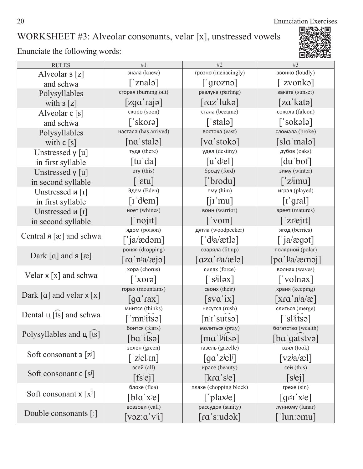20 Enunciation Exercises 同题。

### WORKSHEET #3: Alveolar consonants, velar [x], unstressed vowels

| <b>RULES</b>                 | #1                                                       | #2                                                               | #3                                                      |
|------------------------------|----------------------------------------------------------|------------------------------------------------------------------|---------------------------------------------------------|
| Alveolar $3 \lceil z \rceil$ | знала (knew)                                             | грозно (menacingly)                                              | звонко (loudly)                                         |
| and schwa                    | $\lceil$ 'znalə $\rceil$                                 | $\lceil$ grozna $\rceil$                                         | $\lceil$ 'zvonkə $\rceil$                               |
| Polysyllables                | сгорая (burning out)                                     | разлука (parting)                                                | заката (sunset)                                         |
| with $3[z]$                  | [zga'raja]                                               | $\lceil \text{raz'} \rceil$ ukə $\rceil$                         | [za'kata]                                               |
| Alveolar $c[s]$              | скоро (soon)                                             | стала (became)                                                   | сокола (falcon)                                         |
| and schwa                    | $\lceil$ skorə $\rceil$                                  | $\lceil$ 'stalə $\rceil$                                         | $\lceil$ 'sokələ $\rceil$                               |
| Polysyllables                | настала (has arrived)                                    | востока (east)                                                   | сломала (broke)                                         |
| with $c[s]$                  | [na's tal]                                               | [va'stokə]                                                       | $[s]$ a'malə]                                           |
| Unstressed $y$ [u]           | туда (there)                                             | удел (destiny)                                                   | дубов (oaks)                                            |
| in first syllable            | $\lceil \text{tu}' \text{da} \rceil$                     | $[u'$ <sub>d</sub> $j$ el]                                       | $[du'$ bof $]$                                          |
| Unstressed y [u]             | эту (this)                                               | броду (ford)                                                     | зиму (winter)                                           |
| in second syllable           | $\lceil$ ' $\epsilon$ tu]                                | ['brodu]                                                         | $\lceil$ 'z <sup>j</sup> imu]                           |
| Unstressed $\mu$ [1]         | Эдем (Eden)                                              | emy (him)                                                        | играл (played)                                          |
| in first syllable            | $\lceil \text{I}'$ d <sup>j</sup> em]                    | $\left[\mathbf{j} \mathbf{l} \mathbf{m} \mathbf{u}\right]$       | $\lceil \text{I}'\text{grad}\rceil$                     |
| Unstressed и [1]             | ноет (whines)                                            | воин (warrior)                                                   | зреет (matures)                                         |
| in second syllable           | $\lceil$ 'nojit]                                         | $\lceil \text{vonn} \rceil$                                      | $\lceil$ 'zr <sup>j</sup> ejit]                         |
|                              | ядом (poison)                                            | дятла (woodpecker)                                               | ягод (berries)                                          |
| Central $a [x]$ and schwa    | $\lceil$ 'ja/ædəm]                                       | $\int d^j a / \text{at} a$                                       | $\lceil$ ja/ægət]                                       |
|                              | роняя (dropping)                                         | озаряла (lit up)                                                 | полярной (polar)                                        |
| Dark [a] and $a$ [æ]         | $\lceil \text{ra}' \text{nia}/\text{e} \text{ja} \rceil$ | $\lceil \alpha z \alpha' r^{\dagger} a / \alpha \epsilon \rceil$ | $\lceil pa' ^{j}a/ærnq \rceil$                          |
|                              | xopa (chorus)                                            | силах (force)                                                    | волнах (waves)                                          |
| Velar $x[x]$ and schwa       | $\lceil$ core                                            | $\lceil$ 's <sup>j</sup> iləx]                                   | ['volnəx]                                               |
|                              | ropax (mountains)                                        | своих (their)                                                    | храня (keeping)                                         |
| Dark [a] and velar $x [x]$   | $\lceil \text{ga}' \text{raz} \rceil$                    | [sva'ix]                                                         |                                                         |
|                              | мнится (thinks)                                          | несутся (rush)                                                   | слиться (merge)                                         |
| Dental $\mu$ [ts] and schwa  | $\lceil$ 'mn <sup>j</sup> itsə]                          | $[n^j]$ sutsa]                                                   | $\lceil$ 'sl <sup>j</sup> itsə]                         |
|                              | боится (fears)                                           | молиться (pray)                                                  | богатство (wealth)                                      |
| Polysyllables and $\mu$ [ts] | $[ba$ itsə $]$                                           | $\lceil \text{ma}' \rceil$ <sup>i</sup> itsə $\lceil$            | $[ba]$ gatstva]                                         |
|                              | зелен (green)                                            | газель (gazelle)                                                 | взял (took)                                             |
| Soft consonant $3 [z^j]$     | $\lceil$ z <sup>j</sup> el <sup>j</sup> In]              | $\left[ \text{qa z}   \text{e} \right]$                          | $\lceil vz^{\dagger}a/\mathcal{E}l\rceil$               |
|                              | всей (all)                                               | красе (beauty)                                                   | сей (this)                                              |
| Soft consonant $c[s^j]$      | $[fs^{j}ej]$                                             | $\lceil\text{kra}'\text{si}e\rceil$                              | $[s^{j}e^{j}]$                                          |
|                              | блохе (flea)                                             | плахе (chopping block)                                           | rpexe (sin)                                             |
| Soft consonant $x [x^j]$     | $[\text{bla}' \text{x} \text{je}]$                       | [ $[$ plax <sup>j</sup> e]                                       | $\lceil \text{gr}^{\text{ij}} \rceil$ x <sup>j</sup> e] |
|                              | воззови (call)                                           | рассудок (sanity)                                                | лунному (lunar)                                         |
| Double consonants [:]        | $\left[\text{vəz:}\text{a}'\text{v}^{\text{ji}}\right]$  | [ra's:udək]                                                      | ˈlunːəmu]                                               |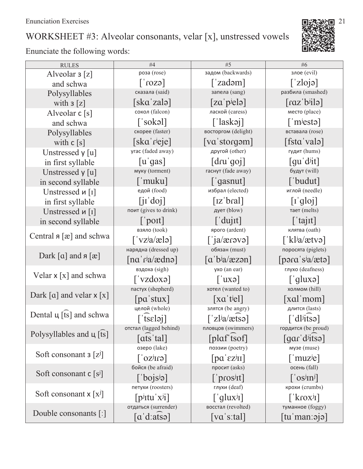# WORKSHEET #3: Alveolar consonants, velar [x], unstressed vowels

| <b>RULES</b>                 | #4                                                                     | #5                                                           | #6                                                            |
|------------------------------|------------------------------------------------------------------------|--------------------------------------------------------------|---------------------------------------------------------------|
| Alveolar $\mathfrak{z}[z]$   | роза (rose)                                                            | задом (backwards)                                            | злое (evil)                                                   |
| and schwa                    | $\lceil \cosh \rceil$                                                  | [ $zadəm$ ]                                                  | $\lceil$ 'zlojə]                                              |
| Polysyllables                | сказала (said)                                                         | запела (sang)                                                | разбила (smashed)                                             |
| with $3 \lfloor z \rfloor$   | [ska zalə]                                                             | $[za'p$ ielə $]$                                             | $\lceil \text{caz'b'ilə} \rceil$                              |
| Alveolar $c[s]$              | сокол (falcon)                                                         | лаской (caress)                                              | место (place)                                                 |
| and schwa                    | $\lceil$ 'sokəl]                                                       | $\lceil$ 'laskəj]                                            | $\lceil$ m <sup>j</sup> esta                                  |
| Polysyllables                | скорее (faster)                                                        | восторгом (delight)                                          | вставала (rose)                                               |
| with $c[s]$                  | $[ska']$ rieje]                                                        | $\lceil \text{va} \cdot \text{storg} \cdot \text{sm} \rceil$ | [fsta valə]                                                   |
| Unstressed $y$ [u]           | yrac (faded away)                                                      | другой (other)                                               | гудит (hums)                                                  |
| in first syllable            | $[u]$ gas]                                                             | [dru'qoj]                                                    | $\left[$ qu'd <sup>i</sup> it $\right]$                       |
| Unstressed y [u]             | муку (torment)                                                         | гаснут (fade away)                                           | будут (will)                                                  |
| in second syllable           | $\lceil$ 'muku]                                                        | $\lceil$ gasnut]                                             | ['budut]                                                      |
| Unstressed $\mu$ [1]         | едой (food)                                                            | избрал (elected)                                             | иглой (needle)                                                |
| in first syllable            | [iidoj]                                                                | $\lceil z' b$ ral]                                           | [i'gloj]                                                      |
| Unstressed <i>u</i> [1]      | поит (gives to drink)                                                  | дует (blow)                                                  | тает (melts)                                                  |
| in second syllable           | $\lceil$ 'poit]                                                        | $\lceil$ 'dujit]                                             | $\lceil$ 'tajit]                                              |
|                              | взяло (took)                                                           | ярого (ardent)                                               | клятва (oath)                                                 |
| Central $a [x]$ and schwa    | $\lceil \text{vz} \cdot \text{a} \cdot \text{e} \cdot \text{b} \rceil$ | [iacarea                                                     | ['kl $i$ a/ætvə]                                              |
|                              | нарядна (dressed up)                                                   | обязан (must)                                                | поросята (piglets)                                            |
| Dark [a] and $a$ [æ]         | $\lceil na' r^j a / \text{edno} \rceil$                                | $\lceil a'b^{\dagger}a/\text{zzan}\rceil$                    | $\lceil \text{para}' \cdot \text{s} \cdot \text{data} \rceil$ |
|                              | вздоха (sigh)                                                          | yxo (an ear)                                                 | глухо (deafness)                                              |
| Velar $x[x]$ and schwa       | $\lceil$ vzdoxə $\rceil$                                               | $[$ $\alpha$                                                 | [ $'$ qluxə]                                                  |
|                              | пастух (shepherd)                                                      | хотел (wanted to)                                            | холмом (hill)                                                 |
| Dark [a] and velar $x [x]$   | [pa's tux]                                                             | $\left[ \text{xa}'\text{ tiel} \right]$                      | [xal mom]                                                     |
|                              | целой (whole)                                                          | злятся (be angry)                                            | длится (lasts)                                                |
| Dental $\mu$ [ts] and schwa  | $[$ tseləj]                                                            | $\lceil$ 'zl <sup>j</sup> a/ætsə]                            | $\lceil$ 'dl <sup>j</sup> itsə]                               |
|                              | отстал (lagged behind)                                                 | пловцов (swimmers)                                           | гордится (be proud)                                           |
| Polysyllables and $\mu$ [ts] | [ats'tal]                                                              | $[plat]$ isof]                                               | $\lceil \text{gar}' \cdot \text{d} \cdot \text{itso} \rceil$  |
|                              | озеро (lake)                                                           | поэзии (poetry)                                              | музе (muse)                                                   |
| Soft consonant $3 [z^j]$     | $[\text{enixo}']$                                                      | $[pa' \varepsilon z^{j}II]$                                  | $\lceil$ muz <sup>j</sup> e]                                  |
|                              | бойся (be afraid)                                                      | просит (asks)                                                | осень (fall)                                                  |
| Soft consonant $c[s^j]$      | $\lceil$ bojs <sup>j</sup> ə]                                          | $\lceil$ 'pros <sup>j</sup> It                               | $\left[$ 'os <sup>j</sup> In <sup>j</sup> ]                   |
|                              | петухи (roosters)                                                      | глухи (deaf)                                                 | крохи (crumbs)                                                |
| Soft consonant $x [x^j]$     | $\lceil$ p <sup>j</sup> <sub>Itu</sub> ' x <sup>j</sup> <sub>1</sub> ] | $\lceil$ glux <sup>j</sup> <sub>I</sub> ]                    | $\left[$ krox <sup>j</sup> I]                                 |
|                              | отдаться (surrender)                                                   | восстал (revolted)                                           | туманное (foggy)                                              |
| Double consonants [:]        | $\lceil a' d:atso \rceil$                                              | $\lceil \mathrm{va}\,\vert$ 's:tal]                          | [tuˈmanːəjə]                                                  |

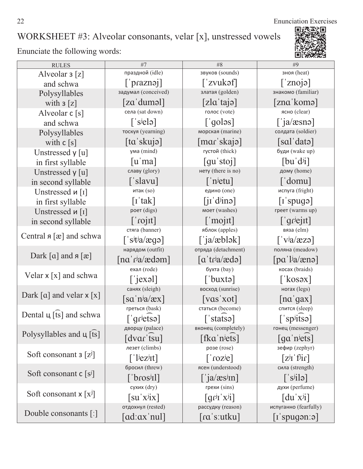22 Enunciation Exercises 回热热

П

### WORKSHEET #3: Alveolar consonants, velar [x], unstressed vowels

| <b>RULES</b>                                           | #7                                                                                                                                                                                                                                                                                                                                                                                                                                                         | #8                                            | #9                                                              |
|--------------------------------------------------------|------------------------------------------------------------------------------------------------------------------------------------------------------------------------------------------------------------------------------------------------------------------------------------------------------------------------------------------------------------------------------------------------------------------------------------------------------------|-----------------------------------------------|-----------------------------------------------------------------|
| Alveolar $\mathsf{3}\left[\mathsf{z}\right]$           | праздной (idle)                                                                                                                                                                                                                                                                                                                                                                                                                                            | звуков (sounds)                               | зноя (heat)                                                     |
| and schwa                                              | $[\n]$ praznəj]                                                                                                                                                                                                                                                                                                                                                                                                                                            | $\lceil$ 'zvukəf $\rceil$                     | $\lceil$ 'znoja]                                                |
| Polysyllables                                          | задумал (conceived)                                                                                                                                                                                                                                                                                                                                                                                                                                        | златая (golden)                               | знакомо (familiar)                                              |
| with $3 \lceil z \rceil$                               | [zaˈduməl]                                                                                                                                                                                                                                                                                                                                                                                                                                                 | $[z]$ a 'tajə]                                | [zna komə]                                                      |
| Alveolar $c[s]$                                        | села (sat down)                                                                                                                                                                                                                                                                                                                                                                                                                                            | голос (vote)                                  | ясно (clear)                                                    |
| and schwa                                              | $\lceil$ 's <sup>j</sup> elə]                                                                                                                                                                                                                                                                                                                                                                                                                              | $\lceil$ goləs]                               | $\lceil$ 'ja/æsnə]                                              |
| Polysyllables                                          | тоскуя (yearning)                                                                                                                                                                                                                                                                                                                                                                                                                                          | морская (marine)                              | солдата (soldier)                                               |
| with $c[s]$                                            | [ta'skujə]                                                                                                                                                                                                                                                                                                                                                                                                                                                 | $[\text{mar's}kaj]$                           | [sal' data]                                                     |
| Unstressed $y[u]$                                      | ума (mind)                                                                                                                                                                                                                                                                                                                                                                                                                                                 | густой (thick)                                | буди (wake up)                                                  |
| in first syllable                                      | $\lceil u'$ ma]                                                                                                                                                                                                                                                                                                                                                                                                                                            | $\lceil qu' \right $ stoj                     | [bu'dii]                                                        |
| Unstressed y [u]                                       | славу (glory)                                                                                                                                                                                                                                                                                                                                                                                                                                              | нету (there is no)                            | дому (home)                                                     |
| in second syllable                                     | ['slavu]                                                                                                                                                                                                                                                                                                                                                                                                                                                   | $\lceil$ 'n <sup>j</sup> etu]                 | $\lceil$ 'domu]                                                 |
| Unstressed $\mu$ [1]                                   | итак (so)                                                                                                                                                                                                                                                                                                                                                                                                                                                  | едино (one)                                   | испуга (fright)                                                 |
| in first syllable                                      | $\lceil$ r 'tak]                                                                                                                                                                                                                                                                                                                                                                                                                                           | $\left[$ jı'd <sup>j</sup> inə]               | $\lceil$ spuga $\rceil$                                         |
| Unstressed <i>u</i> [1]                                | роет (digs)                                                                                                                                                                                                                                                                                                                                                                                                                                                | моет (washes)                                 | греет (warms up)                                                |
| in second syllable                                     | $\lceil$ 'rojit]                                                                                                                                                                                                                                                                                                                                                                                                                                           | $\lceil$ 'mojit]                              | $\lceil$ griejit]                                               |
|                                                        | стяга (banner)                                                                                                                                                                                                                                                                                                                                                                                                                                             | яблок (apples)                                | вяза (elm)                                                      |
| Central $a [x]$ and schwa                              | $\lceil$ 's <sup>j</sup> t <sup>j</sup> a/ægə]                                                                                                                                                                                                                                                                                                                                                                                                             | $\lceil$ 'ja/æblək]                           | $\lceil \nabla^{\mathsf{i}} a / \mathsf{e} z \mathsf{e} \rceil$ |
|                                                        | нарядом (outfit)                                                                                                                                                                                                                                                                                                                                                                                                                                           | отряда (detachment)                           | поляна (meadow)                                                 |
| Dark $\lceil \alpha \rceil$ and $\lceil \alpha \rceil$ | $\lceil na' r^{\frac{1}{2}} \rangle$ and $\lceil na' \cdot r^{\frac{1}{2}} \rangle$                                                                                                                                                                                                                                                                                                                                                                        | $\lceil a'$ tr <sup>j</sup> a/ædə]            | $\lceil pa' ^j a / gen \rceil$                                  |
|                                                        | ехал (rode)                                                                                                                                                                                                                                                                                                                                                                                                                                                | бухта (bay)                                   | косах (braids)                                                  |
| Velar $x[x]$ and schwa                                 | $\lceil$ 'jexəl]                                                                                                                                                                                                                                                                                                                                                                                                                                           | ['buxtə]                                      | [ $\kappa$ osəx]                                                |
|                                                        | санях (sleigh)                                                                                                                                                                                                                                                                                                                                                                                                                                             | восход (sunrise)                              | ногах (legs)                                                    |
| Dark [a] and velar $x [x]$                             | $\lceil$ sa 'n <sup>j</sup> a/æx]                                                                                                                                                                                                                                                                                                                                                                                                                          | $\lceil \mathrm{vas} \, \mathrm{ixot} \rceil$ | $\lceil na' gax \rceil$                                         |
|                                                        | греться (bask)                                                                                                                                                                                                                                                                                                                                                                                                                                             | статься (become)                              | спится (sleep)                                                  |
| Dental $\mu$ [ts] and schwa                            | $\lceil$ grietsa]                                                                                                                                                                                                                                                                                                                                                                                                                                          | $\lceil$ 'statsə $\rceil$                     | $\lceil$ 'sp <sup>j</sup> itsə]                                 |
|                                                        | дворцу (palace)                                                                                                                                                                                                                                                                                                                                                                                                                                            | вконец (completely)                           | гонец (messenger)                                               |
| Polysyllables and $\mu$ [ts]                           | $\lceil \frac{d}{d} \cdot \frac{d}{d} \cdot \frac{d}{d} \cdot \frac{d}{d} \cdot \frac{d}{d} \cdot \frac{d}{d} \cdot \frac{d}{d} \cdot \frac{d}{d} \cdot \frac{d}{d} \cdot \frac{d}{d} \cdot \frac{d}{d} \cdot \frac{d}{d} \cdot \frac{d}{d} \cdot \frac{d}{d} \cdot \frac{d}{d} \cdot \frac{d}{d} \cdot \frac{d}{d} \cdot \frac{d}{d} \cdot \frac{d}{d} \cdot \frac{d}{d} \cdot \frac{d}{d} \cdot \frac{d}{d} \cdot \frac{d}{d} \cdot \frac{d}{d} \cdot \$ | [fka $'$ n <sup>j</sup> ets]                  | $\lceil$ ga 'n <sup>j</sup> ets]                                |
|                                                        | лезет (climbs)                                                                                                                                                                                                                                                                                                                                                                                                                                             | розе (rose)                                   | зефир (zephyr)                                                  |
| Soft consonant $3 [z^j]$                               | $\lceil$ <sup>'</sup> $\lceil$ <sup>'</sup> $\lceil$ <sup>'</sup> $\lceil$ <sup>'</sup> $\lceil$ <sup>'</sup>                                                                                                                                                                                                                                                                                                                                              | $\lceil$ 'roz $e$ ]                           | $[z^{j}I'$ f <sup><math>j</math></sup> ir]                      |
|                                                        | бросил (threw)                                                                                                                                                                                                                                                                                                                                                                                                                                             | ясен (understood)                             | сила (strength)                                                 |
| Soft consonant $c[s^j]$                                | ['bros <sup>j</sup> Il]                                                                                                                                                                                                                                                                                                                                                                                                                                    | [ $ja/æs^j$ In]                               | $\lceil$ 's <sup>j</sup> ilə]                                   |
|                                                        | сухих (dry)                                                                                                                                                                                                                                                                                                                                                                                                                                                | грехи (sins)                                  | духи (perfume)                                                  |
| Soft consonant $x [x^j]$                               | $\left[\mathrm{su}^{\dagger}\mathrm{X}^{\dagger}\mathrm{i}\mathrm{X}\right]$                                                                                                                                                                                                                                                                                                                                                                               | $\left[qr^{j}r^{j}x^{j}i\right]$              | $\left[du'x^{j}\right]$                                         |
|                                                        | отдохнул (rested)                                                                                                                                                                                                                                                                                                                                                                                                                                          | рассудку (reason)                             | испуганно (fearfully)                                           |
| Double consonants [:]                                  | [ad:axˈnul]                                                                                                                                                                                                                                                                                                                                                                                                                                                | [ɾɑˈsːutku]                                   | $\lceil$ i spugən:ə $\rceil$                                    |

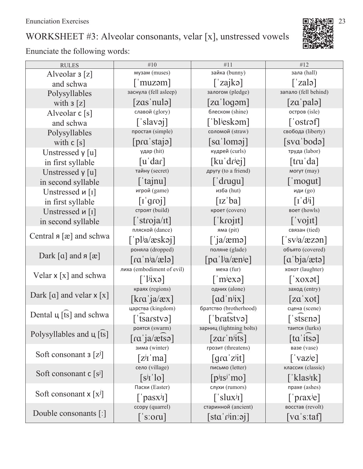## WORKSHEET #3: Alveolar consonants, velar [x], unstressed vowels

| <b>RULES</b>                                           | #10                                                                                             | #11                                                        | #12                                                    |
|--------------------------------------------------------|-------------------------------------------------------------------------------------------------|------------------------------------------------------------|--------------------------------------------------------|
| Alveolar $3 \lceil z \rceil$                           | музам (muses)                                                                                   | зайка (bunny)                                              | зала (hall)                                            |
| and schwa                                              | $\lceil$ 'muzəm]                                                                                | $\lceil$ zajkə $\rceil$                                    | $\lceil$ zalə $\rceil$                                 |
| Polysyllables                                          | заснула (fell asleep)                                                                           | залогом (pledge)                                           | запало (fell behind)                                   |
| with $3 \lfloor z \rfloor$                             | [zas'nula]                                                                                      | $\lceil$ za 'logəm]                                        | [za'pala]                                              |
| Alveolar $c[s]$                                        | славой (glory)                                                                                  | блеском (shine)                                            | остров (isle)                                          |
| and schwa                                              | $\lceil$ 'slavəj]                                                                               | ['bl <sup>j</sup> eskəm]                                   | $\lceil \text{costref} \rceil$                         |
| Polysyllables                                          | простая (simple)                                                                                | соломой (straw)                                            | свобода (liberty)                                      |
| with $c[s]$                                            | $[\text{pra}' \text{staja}]$                                                                    | [sa'lomo]                                                  | [sva bodə]                                             |
| Unstressed $y$ [u]                                     | удар (hit)                                                                                      | кудрей (curls)                                             | труда (labor)                                          |
| in first syllable                                      | $\lceil u' \, \text{dar} \rceil$                                                                | [ku'drjej]                                                 | [tru' da]                                              |
| Unstressed y [u]                                       | тайну (secret)                                                                                  | другу (to a friend)                                        | могут (may)                                            |
| in second syllable                                     | $\lceil$ 'tajnu]                                                                                | $\lceil$ 'drugu]                                           | $\lceil$ moqut                                         |
| Unstressed $\mu$ [1]                                   | игрой (game)                                                                                    | изба (hut)                                                 | иди (go)                                               |
| in first syllable                                      | [i'groj]                                                                                        | $\lceil$ <sub>IZ</sub> 'ba]                                | $\lceil \mathbf{I} \cdot d^{j} \mathbf{I} \rceil$      |
| Unstressed $\mu$ [I]                                   | строят (build)                                                                                  | кроет (covers)                                             | воет (howls)                                           |
| in second syllable                                     | $\lceil$ 'stroja/It]                                                                            | $\lceil$ krojit]                                           | $\lceil$ 'vojit]                                       |
|                                                        | пляской (dance)                                                                                 | яма (pit)                                                  | связан (tied)                                          |
| Central $a [x]$ and schwa                              | $\lceil$ 'pl <sup>j</sup> a/æskəj]                                                              | $\lceil$ ja/æmə]                                           | $\lceil$ 'sv <sup>j</sup> a/æzən]                      |
|                                                        | роняла (dropped)                                                                                | поляне (glade)                                             | объято (covered)                                       |
| Dark $\lceil \alpha \rceil$ and $\lceil \alpha \rceil$ | $\lceil \text{ra}' \cdot \text{n} \cdot \text{a}' \cdot \text{a} \cdot \text{n} \cdot \text{n}$ | $\lceil pa' ^{j}a/(\text{sn}^{j}e) \rceil$                 | [a'bja/ætə]                                            |
|                                                        | лиха (embodiment of evil)                                                                       | меха (fur)                                                 | хохот (laughter)                                       |
| Velar $x[x]$ and schwa                                 | $\lceil$ 'l <sup>j</sup> ixə]                                                                   | $\lceil$ m <sup>j</sup> exa                                | $\lceil x \cdot x \cdot x \rceil$                      |
|                                                        | краях (regions)                                                                                 | одних (alone)                                              | заход (entry)                                          |
| Dark [a] and velar $x [x]$                             | $\left[\text{kra}\right]$ ja/æx $\left]$                                                        | $\lceil ad'_{ij}x \rceil$                                  | [za'xot]                                               |
|                                                        | царства (kingdom)                                                                               | братство (brotherhood)                                     | сцена (scene)                                          |
| Dental $\mu$ [ts] and schwa                            | $[$ tsarstvə $]$                                                                                | ['bratstvə]                                                | ['sts $\epsilon$ nə]                                   |
|                                                        | роятся (swarm)                                                                                  | зарниц (lightning bolts)                                   | таится (lurks)                                         |
| Polysyllables and $\mu$ [ts]                           | $\lceil \text{ra}' \rceil a/\text{atso} \rceil$                                                 | $[zar'$ n <sup>j</sup> its]                                | [ta'itsə]                                              |
|                                                        | зима (winter)                                                                                   | грозит (threatens)                                         | вазе (vase)                                            |
| Soft consonant $3 [z^j]$                               | $[z^{j}$ i ma]                                                                                  | $\lceil \text{gra}' \cdot \text{z} \cdot \text{it} \rceil$ | $\left[$ 'vaz <sup>j</sup> e]                          |
|                                                        | село (village)                                                                                  | письмо (letter)                                            | классик (classic)                                      |
| Soft consonant $c[s^j]$                                | $[s^{j}I'$ lo]                                                                                  | $[p^j$ <sub>IS</sub> $j$ 'mo]                              | [ˈklas <sup>j</sup> ɪk]                                |
|                                                        | Пасхи (Easter)                                                                                  | слухи (rumors)                                             | прахе (ashes)                                          |
| Soft consonant $x [x^j]$                               | $\lceil$ 'pasx <sup>j</sup> I]                                                                  | $\lceil$ 'slux <sup>j</sup> I]                             | $\lceil$ 'prax <sup>j</sup> e]                         |
|                                                        | ccopy (quarrel)                                                                                 | старинной (ancient)                                        | восстав (revolt)                                       |
| Double consonants $\lceil$ :                           | $\lceil$ 's:oru]                                                                                | $[sta'r^{\text{lin}}$ : $\sigma$ <sup>1</sup>              | $\lceil \mathrm{va}\,\vert\, \mathrm{s}$ :taf $\lceil$ |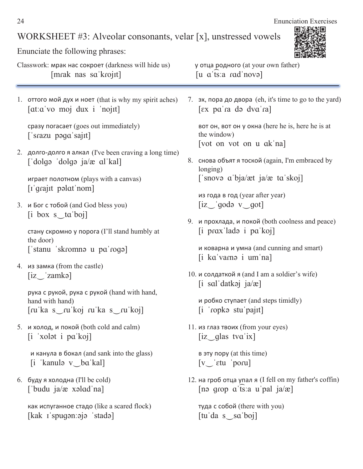#### WORKSHEET #3: Alveolar consonants, velar [x], unstressed vowels

Enunciate the following phrases:

Classwork: мрак нас сокроет (darkness will hide us) у отца родного (at your own father) [mrak nas sa krojit] [u a ts: a rad novə]

1. оттого мой дух и ноет (that is why my spirit aches)  $[at:a'vo moj dux i'nojut]$ 

cpasy noracaet (goes out immediately)  $\lceil$ 'srazu pəga $\lceil$ sajıt $\rceil$ 

2. долго-долго я алкал (I've been craving a long time)  $\lceil$ 'dolgə 'dolgə ja/æ al'kal]

играет полотном (plays with a canvas)  $[i]$ qrajit pəlat'nom

3. и Бог с тобой (and God bless you)  $[i \text{ box } s \text{ ta'bo}]$ 

стану скромно у порога (I'll stand humbly at the door) ['stanu 'skromna u pa'roga]

4. из замка (from the castle)  $[iz]zamkə]$ 

> рука с рукой, рука с рукой (hand with hand, hand with hand)  $\lceil \text{ru'ka s} \rceil$   $\lceil \text{ru'ka s} \rceil$   $\lceil \text{ru'koj} \rceil$

5. и холод, и покой (both cold and calm)  $[i$  'xolat i pa'koj]

> и канула в бокал (and sank into the glass)  $[i$  'kanula v ba'kal]

 $6.$  буду я холодна (I'll be cold) ['budu ja/æ  $x$ əlad'na]

> как испуганное стадо (like a scared flock)  $[kak]$  ispugon: $q$ jo 'stadə]

(that is why my spirit aches)  $\overline{7}$ .  $\overline{5}$ ,  $\overline{7}$ ,  $\overline{7}$ ,  $\overline{9}$ ,  $\overline{9}$ ,  $\overline{9}$ ,  $\overline{9}$ ,  $\overline{1}$  abopa (eh, it's time to go to the yard)  $\lceil \exp(\alpha) \cdot \exp(\alpha) \rceil$ 

> ̨̯̏ ̨̦, ̨̯̏ ̨̦ ̱ ̨̡̦̌ (here he is, here he is at the window) [vot on vot on u ak na]

8. снова объят я тоской (again, I'm embraced by longing)  $\lceil$ 'snovə a'bja/æt ja/æ ta'skoj]

из года в год (year after year)  $[iz_jq$ odə v $g$ ot]

9. и прохлада, и покой (both coolness and peace)  $[i]$  prax lada i pa koj

и коварна и умна (and cunning and smart)  $[i$  ka'vam $\in$  i um'na]

10. и солдаткой я (and I am a soldier's wife)  $[i \text{ sal'}datkoj \text{ ja}/\mathcal{E}]$ 

и робко ступает (and steps timidly)  $[i$  'ropka stu'paj $it]$ 

 $11.$  из глаз твоих (from your eyes)  $[iz]$  glas tva ix]

в эту пору (at this time)  $[v_{\sim}]$  etu 'poru]

12. на гроб отца упал я (I fell on my father's coffin)  $[nə qrop a'ts'a u'pal ja/e]$ 

**туда с собой** (there with you)  $[tu'da s]$  sa'boj]

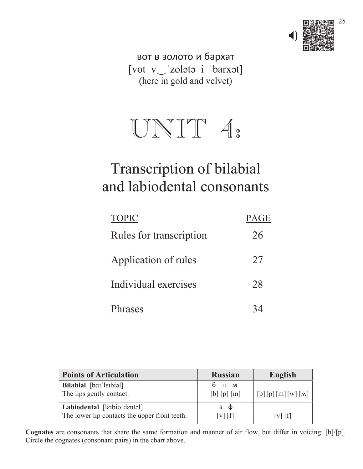

вот в золото и бархат [vot v\_'zolətə i 'barxət] (here in gold and velvet)

# $UNIT 4.$

# Transcription of bilabial and labiodental consonants

| <b>TOPIC</b>            | <b>PAGE</b> |
|-------------------------|-------------|
| Rules for transcription | 26          |
| Application of rules    | 27          |
| Individual exercises    | 28          |
| Phrases                 |             |

| <b>Points of Articulation</b>                                                | <b>Russian</b>                             | <b>English</b>  |
|------------------------------------------------------------------------------|--------------------------------------------|-----------------|
| <b>Bilabial</b> [barlerbial]<br>The lips gently contact.                     | бпм<br>[b] [p] [m]                         | [b][p][m][w][M] |
| Labiodental [larbio dentel]<br>The lower lip contacts the upper front teeth. | в ф<br>$\lceil v \rceil$ $\lceil f \rceil$ | $[v]$ $[f]$     |

**Cognates** are consonants that share the same formation and manner of air flow, but differ in voicing: [b]/[p]. Circle the cognates (consonant pairs) in the chart above.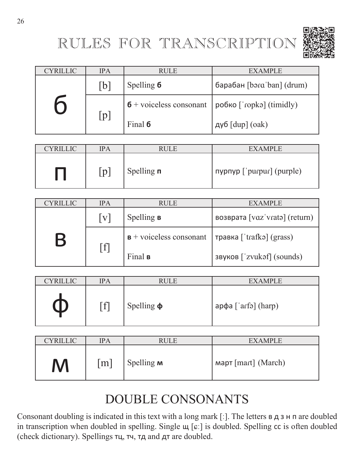# RULES FOR TRANSCRIPTION



| <b>CYRILLIC</b> | <b>IPA</b> | <b>RULE</b>                             | <b>EXAMPLE</b>                                            |
|-----------------|------------|-----------------------------------------|-----------------------------------------------------------|
|                 | [b]        | Spelling 6<br>барабан [bərɑˈban] (drum) |                                                           |
|                 | [p]        |                                         | $\sigma$ + voiceless consonant   робко ['ropka] (timidly) |
|                 |            | Final 6                                 | дуб $[dup]$ (oak)                                         |

| <b>CYRILLIC</b> | IPA | <b>RULE</b>          | <b>EXAMPLE</b>            |
|-----------------|-----|----------------------|---------------------------|
|                 | lp. | Spelling $\mathbf n$ | πγρηγρ ['purpur] (purple) |

| <b>CYRILLIC</b> | <b>IPA</b>     | <b>RULE</b>                        | EXAMPLE                       |
|-----------------|----------------|------------------------------------|-------------------------------|
|                 | V              | Spelling <b>B</b>                  | возврата [vɑzˈvratə] (return) |
| B               | $[\mathrm{f}]$ | $\mathbf{B}$ + voiceless consonant | травка [ˈtrafkə] (grass)      |
|                 |                | Final <b>B</b>                     | звуков ['zvukəf] (sounds)     |

| <b>CYRILLIC</b> | <b>IPA</b>        | <b>RULE</b>     | <b>EXAMPLE</b>            |
|-----------------|-------------------|-----------------|---------------------------|
|                 | $\lceil f \rceil$ | Spelling $\phi$ | $ap\phi a$ ['arfə] (harp) |

| <b>CYRILLIC</b> | <b>IPA</b>        | <b>RULE</b>       | <b>EXAMPLE</b>                  |
|-----------------|-------------------|-------------------|---------------------------------|
| M               | $\lceil m \rceil$ | Spelling <b>M</b> | Map <sub>T</sub> [mart] (March) |

# DOUBLE CONSONANTS

Consonant doubling is indicated in this text with a long mark  $[$ :  $]$ . The letters  $\mathbf{B} \neq \mathbf{A}$  are doubled in transcription when doubled in spelling. Single  $\mu$  [ $\varepsilon$ :] is doubled. Spelling  $\alpha$  is often doubled (check dictionary). Spellings тц, тч, тд and дт are doubled.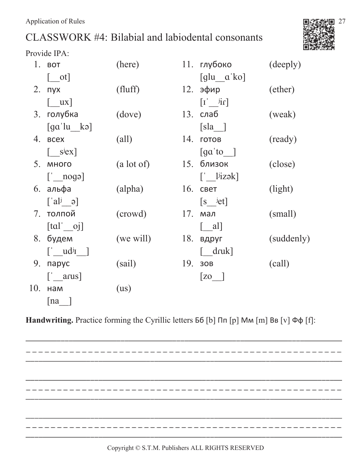# CLASSWORK #4: Bilabial and labiodental consonants



Provide IPA:

|     | 1. BOT                                                           | (here)         |     | 11. глубоко                                                         | (deeply)   |
|-----|------------------------------------------------------------------|----------------|-----|---------------------------------------------------------------------|------------|
|     | $\begin{bmatrix} 1 & 1 \end{bmatrix}$                            |                |     | $\left[\begin{array}{cc} g \end{array} \right]$ $\alpha' \text{ko}$ |            |
|     | 2. пух                                                           | (fluff)        |     | $12.$ эфир                                                          | (ether)    |
|     | $\begin{bmatrix} \quad u \end{bmatrix}$                          |                |     | $\begin{bmatrix} 1' & \mathbf{j} \mathbf{i} \end{bmatrix}$          |            |
|     | 3. голубка                                                       | (dove)         |     | 13. слаб                                                            | (weak)     |
|     | $\begin{bmatrix} \text{ga}' \text{lu} & \text{ko} \end{bmatrix}$ |                |     | $[s]a$ ]                                                            |            |
| 4.  | <b>BCEX</b>                                                      | $\text{(all)}$ |     | 14. готов                                                           | (ready)    |
|     | $\begin{bmatrix} \text{sigx} \end{bmatrix}$                      |                |     | $\lceil$ ga'to $\lceil$                                             |            |
|     | 5. много                                                         | (a lot of)     |     | 15. близок                                                          | (close)    |
|     | $\begin{bmatrix} 1 & \text{noga} \end{bmatrix}$                  |                |     | $\begin{bmatrix} 1 & 1 & 1 \\ 1 & 1 & 1 \end{bmatrix}$              |            |
|     | 6. альфа                                                         | (alpha)        |     | 16. свет                                                            | (light)    |
|     | $\begin{bmatrix} a & b \\ c & d \end{bmatrix}$                   |                |     | $\begin{bmatrix} s & \text{jet} \end{bmatrix}$                      |            |
|     | 7. толпой                                                        | (crowd)        |     | 17. мал                                                             | (small)    |
|     | $[tal'$ oj                                                       |                |     | $ $ all                                                             |            |
| 8.  | будем                                                            | (we will)      | 18. | вдруг                                                               | (suddenly) |
|     | $\begin{bmatrix} 1 & u d^{j} & 1 \end{bmatrix}$                  |                |     | $\begin{bmatrix} dx \end{bmatrix}$                                  |            |
| 9.  | парус                                                            | (sail)         | 19. | 30B                                                                 | (call)     |
|     | $\begin{bmatrix} 1 \\ 2 \end{bmatrix}$ arus                      |                |     | $\begin{bmatrix} 20 \end{bmatrix}$                                  |            |
| 10. | нам                                                              | (us)           |     |                                                                     |            |
|     | [na                                                              |                |     |                                                                     |            |

Handwriting. Practice forming the Cyrillic letters **56** [b] Ππ [p] ΜΜ [m] ΒΒ [v] Φφ [f]:

. \_ \_ \_ \_ \_ \_ \_ \_ \_ \_ \_ \_ \_ \_ \_ \_ ---------------------------------\_\_\_\_\_\_\_\_\_\_\_\_\_\_\_\_\_\_\_\_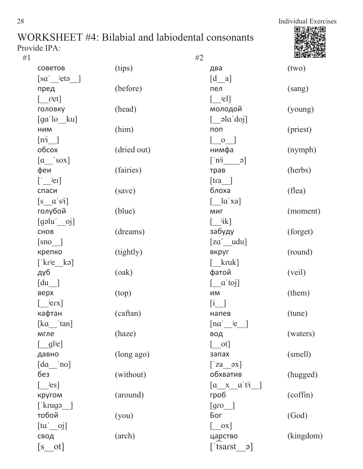| #1 |                                                                         |             | #2                                                                                                                                                       | 回到海关      |
|----|-------------------------------------------------------------------------|-------------|----------------------------------------------------------------------------------------------------------------------------------------------------------|-----------|
|    | советов                                                                 | (tips)      | два                                                                                                                                                      | (two)     |
|    | $[sa'$ <sup>j</sup> eta ]                                               |             | $[d_ a]$                                                                                                                                                 |           |
|    | пред                                                                    | (before)    | пел                                                                                                                                                      | (sang)    |
|    | $\lceil$ r <sup>j</sup> et]                                             |             | $[\quad$ <sup>j</sup> el]                                                                                                                                |           |
|    | головку                                                                 | (head)      | молодой                                                                                                                                                  | (young)   |
|    | $\left[\text{ga}\text{'lo}\_\text{ku}\right]$                           |             | $\begin{bmatrix} \text{a} & \text{b} & \text{c} \\ \text{c} & \text{c} & \text{d} & \text{d} \\ \text{d} & \text{d} & \text{e} & \text{d} \end{bmatrix}$ |           |
|    | НИМ                                                                     | (him)       | поп                                                                                                                                                      | (priest)  |
|    | $[n^{j}i]$                                                              |             | $\begin{bmatrix} 0 \end{bmatrix}$                                                                                                                        |           |
|    | обсох                                                                   | (dried out) | нимфа                                                                                                                                                    | (nymph)   |
|    | $\begin{bmatrix} a \quad   & s \text{ox} \end{bmatrix}$                 |             | $\begin{bmatrix} \n n^{j} & \neq \n \end{bmatrix}$                                                                                                       |           |
|    | феи                                                                     | (fairies)   | трав                                                                                                                                                     | (herbs)   |
|    | $\left[\begin{array}{c} \end{array}\right]$                             |             | [tra]                                                                                                                                                    |           |
|    | спаси                                                                   | (save)      | блоха                                                                                                                                                    | (flea)    |
|    | $\begin{bmatrix} s & a' s^{j} \end{bmatrix}$                            |             | $\begin{bmatrix} \alpha' \cdot xa \end{bmatrix}$                                                                                                         |           |
|    | голубой                                                                 | (blue)      | МИГ                                                                                                                                                      | (moment)  |
|    | $[g$ əlu $'$ oj]                                                        |             | $\begin{bmatrix} i_{ik} \end{bmatrix}$                                                                                                                   |           |
|    | CHOB                                                                    | (dreams)    | забуду                                                                                                                                                   | (forget)  |
|    | $[$ sno $]$                                                             |             | $[za' - udu]$                                                                                                                                            |           |
|    | крепко                                                                  | (tightly)   | вкруг                                                                                                                                                    | (round)   |
|    | $[\n kr^{\text{je}} \ k\text{e}]$                                       |             | $\lceil$ kruk]                                                                                                                                           |           |
|    | дуб                                                                     | (oak)       | фатой                                                                                                                                                    | (veil)    |
|    | $\begin{bmatrix} du \end{bmatrix}$                                      |             | $\left[ \begin{array}{c} a' \text{to} \end{array} \right]$                                                                                               |           |
|    | верх                                                                    | (top)       | ИМ                                                                                                                                                       | (them)    |
|    |                                                                         |             | $\begin{bmatrix} 1 & 1 \end{bmatrix}$                                                                                                                    |           |
|    | кафтан                                                                  | (caftan)    | напев                                                                                                                                                    | (tune)    |
|    | $\begin{bmatrix} ka & 'tan \end{bmatrix}$                               |             | $\begin{bmatrix} \text{na}^{\dagger} & \text{ja} \end{bmatrix}$                                                                                          |           |
|    | мгле                                                                    | (haze)      | вод                                                                                                                                                      | (waters)  |
|    | $\begin{bmatrix} 1 & 0 \\ 0 & 0 \end{bmatrix}$                          |             | $\begin{bmatrix} 1 & 1 \end{bmatrix}$                                                                                                                    |           |
|    | давно                                                                   | (long ago)  | запах                                                                                                                                                    | (smell)   |
|    | $\begin{bmatrix} da & \n\end{bmatrix}$                                  |             | $[\text{z}a \quad \text{ox}]$                                                                                                                            |           |
|    | без                                                                     | (without)   | обхватив                                                                                                                                                 | (hugged)  |
|    | $\begin{bmatrix} & & & \text{je} \\ & & & & \text{je} \\ \end{bmatrix}$ |             | $\begin{bmatrix} a & x & a' \end{bmatrix}$                                                                                                               |           |
|    | кругом                                                                  | (around)    | гроб                                                                                                                                                     | (coffin)  |
|    | $[$ krugə $]$                                                           |             | $[$ gro $]$                                                                                                                                              |           |
|    | тобой                                                                   | (you)       | Бог                                                                                                                                                      | (God)     |
|    | $[\text{ta}' \quad \text{o} \text{j}]$                                  |             | $\begin{bmatrix} \quad 0 \end{bmatrix}$                                                                                                                  |           |
|    | свод                                                                    | (arch)      | царство                                                                                                                                                  | (kingdom) |
|    | $\begin{bmatrix} s & ot \end{bmatrix}$                                  |             | tsarst <sup>'</sup><br>$\Theta$                                                                                                                          |           |
|    |                                                                         |             |                                                                                                                                                          |           |

28 Individual Exercises пν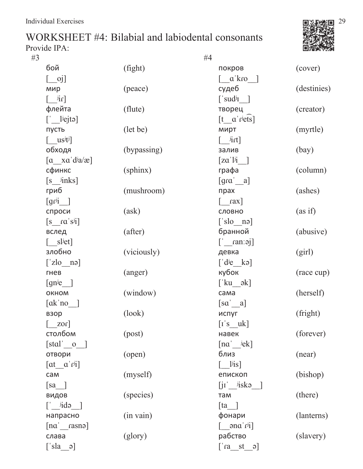

| #3 | #4                                                                                    |             |                                                                   |             |  |
|----|---------------------------------------------------------------------------------------|-------------|-------------------------------------------------------------------|-------------|--|
|    | бой                                                                                   | (fight)     | покров                                                            | (cover)     |  |
|    | $[\ ]$                                                                                |             | $\begin{bmatrix} a' kro \end{bmatrix}$                            |             |  |
|    | мир                                                                                   | (peace)     | судеб                                                             | (destinies) |  |
|    | $\left[ \begin{array}{c} \phantom{-}^{\text{1}}\text{if} \end{array} \right]$         |             | $[$ 'sud <sup>j</sup> I ]                                         |             |  |
|    | флейта                                                                                | (flute)     | творец                                                            | (creator)   |  |
|    | $\left[\begin{array}{c} \end{array}\right]$                                           |             | $[t_a$ riets]                                                     |             |  |
|    | пусть                                                                                 | (let be)    | мирт                                                              | (myrtle)    |  |
|    | $\left[\begin{array}{c} \text{us}^{\text{ }j}\text{t}^{\text{ }}j \end{array}\right]$ |             | $\left[\begin{array}{c} \phantom{-} \text{int}\end{array}\right]$ |             |  |
|    | обходя                                                                                | (bypassing) | залив                                                             | (bay)       |  |
|    | $\begin{bmatrix} a & xa' d^{\dagger}a/x \end{bmatrix}$                                |             | $\lceil z\alpha' \rceil$                                          |             |  |
|    | сфинкс                                                                                | (sphinx)    | графа                                                             | (column)    |  |
|    | $[s_{{}_{\text{links}}}]$                                                             |             | $\begin{bmatrix} \text{gra}' & \text{a} \end{bmatrix}$            |             |  |
|    | гриб                                                                                  | (mushroom)  | прах                                                              | (ashes)     |  |
|    | $\lceil \text{gr}^{j_1} \rceil$                                                       |             | $\begin{bmatrix} \text{rax} \end{bmatrix}$                        |             |  |
|    | спроси                                                                                | (ask)       | СЛОВНО                                                            | (as if)     |  |
|    | $\begin{bmatrix} s & r\alpha' s^{j} \end{bmatrix}$                                    |             | $['slo$ nə]                                                       |             |  |
|    | вслед                                                                                 | (after)     | бранной                                                           | (abusive)   |  |
|    | $[\_\$ s] <sup>j</sup> et]                                                            |             | $[\text{rans}]$                                                   |             |  |
|    | злобно                                                                                | (viciously) | девка                                                             | (girl)      |  |
|    | $[\text{'zlo}\_\text{no}]$                                                            |             | $\begin{bmatrix} d^{j}e & k^{j} \end{bmatrix}$                    |             |  |
|    | гнев                                                                                  | (anger)     | кубок                                                             | (race cup)  |  |
|    | [gn <sup>j</sup> e ]                                                                  |             | $\begin{bmatrix} ku & -\nu \end{bmatrix}$                         |             |  |
|    | OKHOM                                                                                 | (window)    | сама                                                              | (herself)   |  |
|    | $[\text{ak}'\text{no}]$                                                               |             | [sa' a]                                                           |             |  |
|    | взор                                                                                  | (look)      | испуг                                                             | (fright)    |  |
|    | $\lceil 201 \rceil$                                                                   |             | $\begin{bmatrix} 1 & s & uk \end{bmatrix}$                        |             |  |
|    | столбом                                                                               | (post)      | навек                                                             | (forever)   |  |
|    | $[stat'$ 0 $]$                                                                        |             | $[na]$ $jek]$                                                     |             |  |
|    | отвори                                                                                | (open)      | близ                                                              | (near)      |  |
|    | $\begin{bmatrix} at & a'f^{ij} \end{bmatrix}$                                         |             | $\begin{bmatrix} & \frac{1}{1} \text{is} \end{bmatrix}$           |             |  |
|    | сам                                                                                   | (myself)    | епископ                                                           | (bishop)    |  |
|    | $\begin{bmatrix} sa \end{bmatrix}$                                                    |             | $\left[ j\Gamma\right]$ $\left[$ jiska $\right]$                  |             |  |
|    | видов                                                                                 | (species)   | там                                                               | (there)     |  |
|    | $\left[\begin{array}{cc} \n\end{array}\right]$ idə                                    |             | $\begin{bmatrix} \n\tan \n\end{bmatrix}$                          |             |  |
|    | напрасно                                                                              | (in vain)   | фонари                                                            | (lanterns)  |  |
|    | $[n\alpha]$ rasna]                                                                    |             | $\left[\frac{\text{and}}{\text{right}}\right]$                    |             |  |
|    | слава                                                                                 | (glory)     | рабство                                                           | (slavery)   |  |
|    | $\begin{bmatrix} s & a \\ c & d \end{bmatrix}$                                        |             | $\begin{bmatrix} \text{ra} & \text{st} & \text{o} \end{bmatrix}$  |             |  |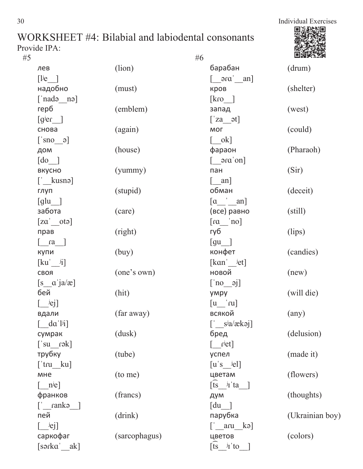| #5                                                                                      |               | #6                                                                            | 茴酒等男            |
|-----------------------------------------------------------------------------------------|---------------|-------------------------------------------------------------------------------|-----------------|
| лев                                                                                     | (lion)        | барабан                                                                       | (drum)          |
| $[$ l <sup>j</sup> e ]                                                                  |               | $\begin{bmatrix} \text{or } \text{and} \\ \text{or } \text{or} \end{bmatrix}$ |                 |
| надобно                                                                                 | (must)        | кров                                                                          | (shelter)       |
| $\lceil \nabla \cdot \mathbf{n} \cdot \mathbf{n} \cdot \mathbf{n} \rceil$               |               | $\lceil \text{kro} \rceil$                                                    |                 |
| герб                                                                                    | (emblem)      | запад                                                                         | (west)          |
| $[gjer$ ]                                                                               |               | $[\text{z}a \quad \text{at}]$                                                 |                 |
| снова                                                                                   | (again)       | МОГ                                                                           | (could)         |
| $[\text{Sno} \quad \circ]$                                                              |               | $\begin{bmatrix} \text{ok} \end{bmatrix}$                                     |                 |
| дом                                                                                     | (house)       | фараон                                                                        | (Pharaoh)       |
| $\begin{bmatrix} \text{do} \end{bmatrix}$                                               |               | $\lceil$ $\arctan$                                                            |                 |
| вкусно                                                                                  | (yummy)       | пан                                                                           | (Sir)           |
| $\left[\begin{array}{c} \cdot \end{array}\right]$ kusnə]                                |               | $[\quad$ an]                                                                  |                 |
| глуп                                                                                    | (stupid)      | обман                                                                         | (deceit)        |
| $\lceil \text{glu} \rceil$                                                              |               | $\begin{bmatrix} a & \end{bmatrix}$ an]                                       |                 |
| забота                                                                                  | (care)        | (все) равно                                                                   | (still)         |
| $[za'$ ota]                                                                             |               | $\lceil \text{ca} \rceil$ no                                                  |                 |
| прав                                                                                    | (right)       | губ                                                                           | (lips)          |
| $\lceil$ ra $\rceil$                                                                    |               | $\left[\text{gu}\_\right]$                                                    |                 |
| купи                                                                                    | (buy)         | конфет                                                                        | (candies)       |
| $\begin{bmatrix} \kappa u' & \mathrm{i} \end{bmatrix}$                                  |               | $[kan]$ $jet]$                                                                |                 |
| СВОЯ                                                                                    | (one's own)   | новой                                                                         | (new)           |
| $[s \ a \ ja/\mathbf{\alpha}]$                                                          |               | $[\text{no} \quad \text{oj}]$                                                 |                 |
| бей                                                                                     | (hit)         | умру                                                                          | (will die)      |
| $[\_\_$ iej]                                                                            |               | $[u]'$ ru]                                                                    |                 |
| вдали                                                                                   | (far away)    | всякой                                                                        | $\text{(any)}$  |
| $\begin{bmatrix} da' \end{bmatrix}$                                                     |               | $[\ ]$ sia/ækəj]                                                              |                 |
| сумрак                                                                                  | (dusk)        | бред                                                                          | (delusion)      |
| $[\text{su} \quad \text{rək}]$                                                          |               | $\lceil$ r <sup>j</sup> et]                                                   |                 |
| трубку                                                                                  | (tube)        | успел                                                                         | (made it)       |
| $[\text{'tru\_ku}]$                                                                     |               | $[u's$ <sup>jel</sup> ]                                                       |                 |
| мне                                                                                     | (to me)       | цветам                                                                        | (flowers)       |
| $\begin{bmatrix} n^{j}e \end{bmatrix}$                                                  |               | $\begin{bmatrix} \overline{ts} & \overline{y} & \overline{ta} \end{bmatrix}$  |                 |
| франков                                                                                 | (francs)      | дум                                                                           | (thoughts)      |
| $\left[\begin{array}{cc} \cdot & \text{rank} \circ \\ \cdot & \cdot \end{array}\right]$ |               | $\lceil du \rceil$                                                            |                 |
| пей                                                                                     | (drink)       | парубка                                                                       | (Ukrainian boy) |
| $[\quad \text{je}j]$                                                                    |               | $\left[\begin{array}{c} \alpha & \beta \\ \alpha & \beta \end{array}\right]$  |                 |
| саркофаг                                                                                | (sarcophagus) | цветов                                                                        | (colors)        |
| [sərka   ak]                                                                            |               | $[ts \quad iI$ to                                                             |                 |
|                                                                                         |               |                                                                               |                 |

30 Individual Exercises 回源縣 п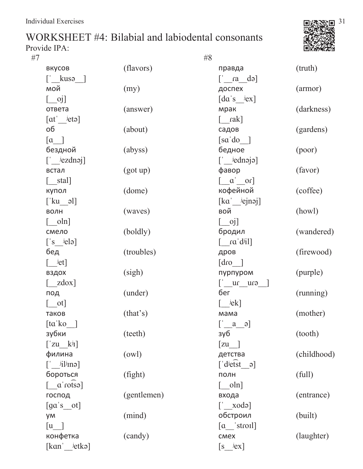



| #7                                                                       |             | #8                                                         |             |
|--------------------------------------------------------------------------|-------------|------------------------------------------------------------|-------------|
| вкусов                                                                   | (flavors)   | правда                                                     | (truth)     |
| $\left[\begin{array}{cc} \cdot & k$ usə ]                                |             | $\begin{bmatrix} \n\alpha & d\n\end{bmatrix}$              |             |
| мой                                                                      | (my)        | доспех                                                     | (armor)     |
|                                                                          |             | $\left[da\right]s$ $\left[ex\right]$                       |             |
| ответа                                                                   | (answer)    | мрак                                                       | (darkness)  |
| $[\alpha t]$ $[etc.]$                                                    |             | $[\quad$ rak]                                              |             |
| об                                                                       | (about)     | садов                                                      | (gardens)   |
| $\begin{bmatrix} a & \\ \end{bmatrix}$                                   |             | $\lceil$ sa'do $\rceil$                                    |             |
| бездной                                                                  | (abyss)     | бедное                                                     | (poor)      |
| $\left[\begin{array}{cc} \end{array}\right]$ iezdnoj                     |             | $\lceil$ iednojo]                                          |             |
| встал                                                                    | (got up)    | фавор                                                      | (favor)     |
| $[$ stal]                                                                |             | $\begin{bmatrix} a' \end{bmatrix}$ or                      |             |
| купол                                                                    | (dome)      | кофейной                                                   | (coffee)    |
| $[\text{ku} \quad \text{all}]$                                           |             | $\left[\text{ka} \_\text{jejnaj}\right]$                   |             |
| ВОЛН                                                                     | (waves)     | вой                                                        | (howl)      |
| $\lceil$ oln]                                                            |             | $[\ ]$                                                     |             |
| смело                                                                    | (boldly)    | бродил                                                     | (wandered)  |
| $\begin{bmatrix} s & j \end{bmatrix}$                                    |             | $\begin{bmatrix} \text{ra'} d^{j} \text{il} \end{bmatrix}$ |             |
| бед                                                                      | (troubles)  | дров                                                       | (firewood)  |
| $[\quad \text{jet}]$                                                     |             | $\begin{bmatrix} \text{drop} \end{bmatrix}$                |             |
| вздох                                                                    | (sigh)      | пурпуром                                                   | (purple)    |
| $\begin{bmatrix} zdox \end{bmatrix}$                                     |             | $\begin{bmatrix} 1 & 0 \\ 0 & 1 \end{bmatrix}$             |             |
| под                                                                      | (under)     | бег                                                        | (running)   |
| $\lceil$ _ot]                                                            |             | $\lceil$ <sup>j</sup> ek]                                  |             |
| таков                                                                    | (this)      | мама                                                       | (mother)    |
| [ta'ko ]                                                                 |             | $[a \overline{\phantom{a}}]$                               |             |
| зубки                                                                    | (teeth)     | зуб                                                        | (tooth)     |
| $[\begin{array}{cc} \mathbf{z}u & k^{j}I \end{array}]$                   |             | $[zu$ ]                                                    |             |
| филина                                                                   | (owl)       | детства                                                    | (childhood) |
| $\left[\begin{smallmatrix} 1 & i \\ 1 & 1 \end{smallmatrix}\right]$ inə] |             | $\left[ \text{ 'd}\right]$ dietst a                        |             |
| бороться                                                                 | (fight)     | ПОЛН                                                       | (full)      |
| $\begin{bmatrix} \text{citos} \\ \text{catos} \end{bmatrix}$             |             | $\lceil$ oln]                                              |             |
| господ                                                                   | (gentlemen) | входа                                                      | (entrance)  |
| $\left[\text{ga's\_ot}\right]$                                           |             | $[\text{Xodo}]$                                            |             |
| ум                                                                       | (mind)      | обстроил                                                   | (built)     |
| $\lceil u \rceil$                                                        |             | $\begin{bmatrix} a \end{bmatrix}$ stroil                   |             |
| конфетка                                                                 | (candy)     | cmex                                                       | (laughter)  |
| $[kan]$ $jetkə$                                                          |             | $[s_i$ <sup><math>j</math></sup> ex]                       |             |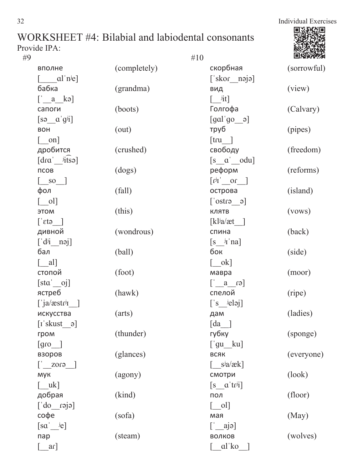# WORKSHEET #4: Bilabial and labiodental consonants

| Provide IPA:                                                 |              |                                                    |             |
|--------------------------------------------------------------|--------------|----------------------------------------------------|-------------|
| #9                                                           |              | #10                                                |             |
| вполне                                                       | (completely) | скорбная                                           | (sorrowful) |
| $\begin{bmatrix} \text{al}'\text{n}^\text{je} \end{bmatrix}$ |              | $[$ skor nəjə]                                     |             |
| бабка                                                        | (grandma)    | ВИД                                                | (view)      |
| $\begin{bmatrix} a & k \end{bmatrix}$                        |              | $\begin{bmatrix} 1 \\ 1 \end{bmatrix}$             |             |
| сапоги                                                       | (boots)      | Голгофа                                            | (Calvary)   |
| $\begin{bmatrix} s \vartheta & \alpha' g^{j}i \end{bmatrix}$ |              | $\lceil \text{gal} \rceil$ go a                    |             |
| <b>BOH</b>                                                   | (out)        | труб                                               | (pipes)     |
| $\lceil$ on]                                                 |              | $[$ tru $]$                                        |             |
| дробится                                                     | (crushed)    | свободу                                            | (freedom)   |
| $\lceil dra' \rceil$ itsə                                    |              | $[s \ a' \ odu]$                                   |             |
| ПСОВ                                                         | (dogs)       | реформ                                             | (reforms)   |
| $\begin{bmatrix} \quad & so & \quad \end{bmatrix}$           |              | $\begin{bmatrix} r^{j_1} & 0 \end{bmatrix}$        |             |
| фол                                                          | (fall)       | острова                                            | (island)    |
| $\begin{bmatrix} 0 \end{bmatrix}$                            |              | $\begin{bmatrix} 6 & 6 \\ 1 & 1 \end{bmatrix}$     |             |
| ЭТОМ                                                         | (this)       | КЛЯТВ                                              | (vows)      |
| $[\text{etc}]$                                               |              | [kl <sup>j</sup> a/æt ]                            |             |
| дивной                                                       | (wondrous)   | спина                                              | (back)      |
| $\left[\begin{array}{cc} d^{j} & n^{j} \end{array}\right]$   |              | $\begin{bmatrix} s & j \end{bmatrix}$ 'na]         |             |
| бал                                                          | (ball)       | бок                                                | (side)      |
| $\begin{bmatrix} \quad a \end{bmatrix}$                      |              | $\begin{bmatrix} \quad$ ok]                        |             |
| стопой                                                       | (foot)       | мавра                                              | (moor)      |
| [sta'oj]                                                     |              | $[\text{c}_1 \quad \text{a} \quad \text{c}_2]$     |             |
| ястреб                                                       | (hawk)       | спелой                                             | (ripe)      |
| $\int$ ja/æstr <sup>j</sup>                                  |              | $\begin{bmatrix} s & \text{delay} \end{bmatrix}$   |             |
| искусства                                                    | (arts)       | дам                                                | (ladies)    |
| $\begin{bmatrix} 1 \text{ 'skust } \end{bmatrix}$            |              | $\lceil da \rceil$                                 |             |
| гром                                                         | (thunder)    | губку                                              | (sponge)    |
| $\lceil \text{gro} \rceil$                                   |              | $[\text{'}gu \quad ku]$                            |             |
| взоров                                                       | (glances)    | ВСЯК                                               | (everyone)  |
| $\begin{bmatrix} 1 & 20 & 1 \end{bmatrix}$                   |              | $\begin{bmatrix} s^{j}a/ak \end{bmatrix}$          |             |
| <b>MYK</b>                                                   | (agony)      | смотри                                             | (look)      |
| $\begin{bmatrix} \quad uk \end{bmatrix}$                     |              | $[s \ \alpha' \text{tr}^{j}i]$                     |             |
| добрая                                                       | (kind)       | ПОЛ                                                | (floor)     |
| $[$ do $\equiv$ do $\equiv$                                  |              | $\begin{bmatrix} 0 \end{bmatrix}$                  |             |
| софе                                                         | (sofa)       | мая                                                | (May)       |
| $[sa \quad je]$                                              |              | $\left[\begin{array}{c} a \\ c \end{array}\right]$ |             |
| пар                                                          | (steam)      | ВОЛКОВ                                             | (wolves)    |
| ar]                                                          |              | al ko                                              |             |

回源無益

 $\Box$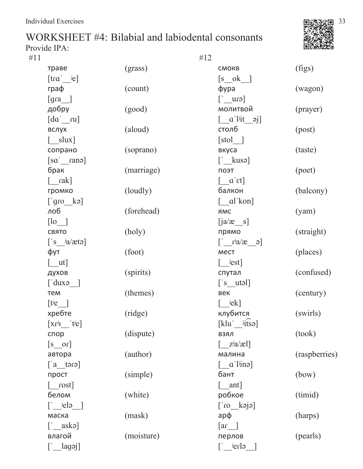

| #11 | #12                                              |            |                                                                             |               |  |
|-----|--------------------------------------------------|------------|-----------------------------------------------------------------------------|---------------|--|
|     | траве                                            | (grass)    | <b>CMOKB</b>                                                                | (figs)        |  |
|     | $[\text{tra}'$ $]$                               |            | $\begin{bmatrix} s & 0 & k \end{bmatrix}$                                   |               |  |
|     | граф                                             | (count)    | $\phi$ ypa                                                                  | (wagon)       |  |
|     | $\left[\text{gra}\_\right]$                      |            | $[$ cn $\Box$                                                               |               |  |
|     | добру                                            | (good)     | молитвой                                                                    | (prayer)      |  |
|     | $\begin{bmatrix} da' & ru \end{bmatrix}$         |            | $\begin{bmatrix} \alpha' & 1 & 1 \\ 0 & 0 & 1 \end{bmatrix}$                |               |  |
|     | вслух                                            | (aloud)    | столб                                                                       | (post)        |  |
|     | $[\quad slux]$                                   |            | [std]                                                                       |               |  |
|     | сопрано                                          | (soprano)  | вкуса                                                                       | (taste)       |  |
|     | $[sa'_{\text{max}}]$                             |            | $\left[\begin{array}{c} \cdot \end{array}\right]$                           |               |  |
|     | брак                                             | (marriage) | поэт                                                                        | (poet)        |  |
|     | $\lceil$ rak]                                    |            | $\left[ \alpha \right]$ a $\left[ \alpha \right]$                           |               |  |
|     | громко                                           | (loudly)   | балкон                                                                      | (balcony)     |  |
|     | $[\text{sgn} \quad \text{ke}]$                   |            | $\begin{bmatrix} \alpha' & k \alpha' \end{bmatrix}$                         |               |  |
|     | лоб                                              | (forehead) | <b>AMC</b>                                                                  | (yam)         |  |
|     | $[$ lo $]$                                       |            | $[ia/\mathbf{a} \quad s]$                                                   |               |  |
|     | СВЯТО                                            | (holy)     | прямо                                                                       | (straight)    |  |
|     | $[$ 's $\frac{a}{\alpha}$ tə]                    |            | $\begin{bmatrix} c & b \end{bmatrix}$ $\begin{bmatrix} c & d \end{bmatrix}$ |               |  |
|     | фут                                              | (foot)     | <b>MECT</b>                                                                 | (places)      |  |
|     | $\lceil$ ut]                                     |            | $\lceil$ $^{\text{j}}est\rceil$                                             |               |  |
|     | духов                                            | (spirits)  | спутал                                                                      | (confused)    |  |
|     | $\lceil$ duxə $\lceil$                           |            | $[$ 's utəl]                                                                |               |  |
|     | тем                                              | (themes)   | век                                                                         | (century)     |  |
|     | $[t^{\text{je}}]$                                |            | $[$ $]$ $e$ k]                                                              |               |  |
|     | хребте                                           | (ridge)    | клубится                                                                    | (swirls)      |  |
|     | $\begin{bmatrix} Xf^{jI} & f^{j}e \end{bmatrix}$ |            | $[klu'$ $iitso]$                                                            |               |  |
|     | спор                                             | (dispute)  | <b>ВЗЯЛ</b>                                                                 | (took)        |  |
|     | $[s \quad or]$                                   |            | $\begin{bmatrix} z^{\mathsf{i}}a/\mathsf{a} \end{bmatrix}$                  |               |  |
|     | автора                                           | (author)   | малина                                                                      | (raspberries) |  |
|     | $[a$ tərə $]$                                    |            | $\begin{bmatrix} a' \text{ } \text{lin} \cdot \end{bmatrix}$                |               |  |
|     | прост                                            | (simple)   | бант                                                                        | (bow)         |  |
|     | $\lceil$ rost                                    |            | $\lceil$ ant]                                                               |               |  |
|     | белом                                            | (white)    | робкое                                                                      | (timid)       |  |
|     | $\begin{bmatrix} 1 & i\text{else} \end{bmatrix}$ |            | $[$ ejex on $]$                                                             |               |  |
|     | маска                                            | (mask)     | $ap\varphi$                                                                 | (harps)       |  |
|     | $\begin{bmatrix} 1 \\ 2 \end{bmatrix}$ asks      |            | $\lceil \text{ar} \rfloor$                                                  |               |  |
|     | влагой                                           | (moisture) | перлов                                                                      | (pearls)      |  |
|     | $\lceil \underline{\hspace{.5cm}}$ lagəj]        |            | $\epsilon$ la                                                               |               |  |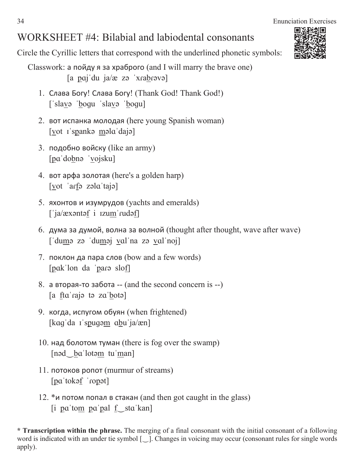# WORKSHEET #4: Bilabial and labiodental consonants

Circle the Cyrillic letters that correspond with the underlined phonetic symbols:

- Classwork:  $\alpha$  пойду я за храброго (and I will marry the brave one)  $[a \text{ paj'}du \text{ ja}/x \text{ zo } 'xrabr\text{ o}$ 
	- 1. Слава Богу! Слава Богу! (Thank God! Thank God!) ['slavə 'boqu 'slavə 'boqu]
	- 2. вот испанка молодая (here young Spanish woman)  $[\text{vot } I \text{ 'spankə məla' daja}]$
	- 3. подобно войску (like an army) [pa dobnə vojsku]
	- 4. вот арфа золотая (here's a golden harp)  $\lceil \underline{v}$ ot arfa zəla tajəl
	- 5. яхонтов и изумрудов (yachts and emeralds) ['ja/æxəntəf i ızum'rudəf]
	- 6. дума за думой, волна за волной (thought after thought, wave after wave) ['dumə zə 'duməj val'na zə val'noj]
	- 7. поклон да пара слов (bow and a few words) [pɑk lon da 'parə slof]
	- $8. a$  вторая-то забота  $-$  (and the second concern is  $-$ )  $[a \text{ fta}'\text{raja} \text{ to } \text{za}'\text{bota}]$
	- 9. когда, испугом обуян (when frightened) [kaq da *I* spuqom abu ja/æn]
	- 10. над болотом туман (there is fog over the swamp) [nəd ba lotəm tu man]
	- 11. потоков ропот (murmur of streams) [pɑˈtokəf ˈɾopət]
	- 12.  $*$ и потом попал в стакан (and then got caught in the glass)  $[i]$  pa'tom pa'pal  $f$  sta'kan]

**\* Transcription within the phrase.** The merging of a final consonant with the initial consonant of a following word is indicated with an under tie symbol  $[\Box]$ . Changes in voicing may occur (consonant rules for single words apply).

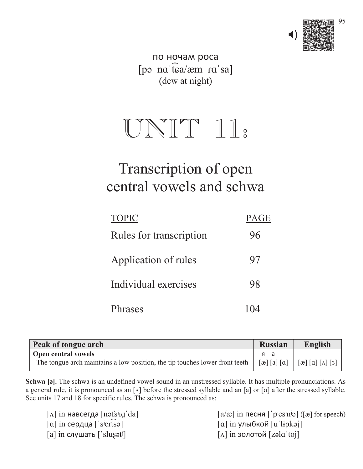

по ночам роса [pə na tea/æm ra sa] (dew at night)

# $UNIT 11.$

# Transcription of open central vowels and schwa

| <b>TOPIC</b>            | <b>PAGE</b> |
|-------------------------|-------------|
| Rules for transcription | 96          |
| Application of rules    | 97          |
| Individual exercises    | 98          |
| Phrases                 |             |

| <b>Peak of tongue arch</b>                                                  | <b>Russian</b>                               | English                                                                                                           |
|-----------------------------------------------------------------------------|----------------------------------------------|-------------------------------------------------------------------------------------------------------------------|
| <b>Open central vowels</b>                                                  |                                              |                                                                                                                   |
| The tongue arch maintains a low position, the tip touches lower front teeth | $[\mathfrak{B}][\mathfrak{a}][\mathfrak{a}]$ | $\left[ \begin{array}{c} \alpha \end{array} \right]$ [a] $\left[ \begin{array}{c} \alpha \end{array} \right]$ [3] |

**Schwa** [a]. The schwa is an undefined vowel sound in an unstressed syllable. It has multiple pronunciations. As a general rule, it is pronounced as an  $[A]$  before the stressed syllable and an  $[a]$  or  $[a]$  after the stressed syllable. See units 17 and 18 for specific rules. The schwa is pronounced as:

[л] in навсегда [nəfs<sup>j</sup>ıg da] [a] in сердца ['s<sup>j</sup>ertsa] [a] in слушать ['slusot<sup>j</sup>]

 $[a/\mathbf{x}]$  in песня  $\lceil$  p<sup>j</sup>es<sup>i</sup>n<sup>j</sup>ə] ( $\lceil \mathbf{x} \rceil$  for speech) [a] in улыбкой [u'lipkaj]  $\lceil \Delta \rceil$  in золотой  $\lceil$ zəla $\lceil \text{toj} \rceil$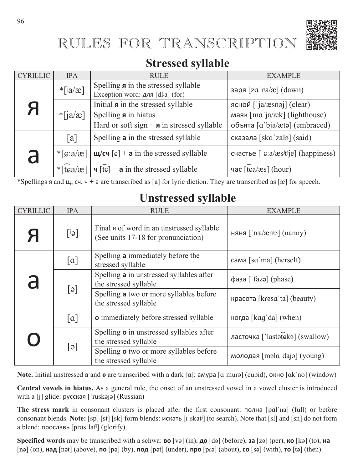# RULES FOR TRANSCRIPTION



## **Stressed syllable**

| <b>CYRILLIC</b> | <b>IPA</b>          | <b>RULE</b>                                                                                                                                                                                                                                                                                                     | <b>EXAMPLE</b>                                                                             |
|-----------------|---------------------|-----------------------------------------------------------------------------------------------------------------------------------------------------------------------------------------------------------------------------------------------------------------------------------------------------------------|--------------------------------------------------------------------------------------------|
|                 | $*$ [ $ja$ /æ]      | Spelling <b>a</b> in the stressed syllable<br>Exception word: для [dlʲa] (for)                                                                                                                                                                                                                                  | заря $[za'r^ja/e]$ (dawn)                                                                  |
| Я               | $*$ [ja/æ]          | Initial <b>a</b> in the stressed syllable<br>Spelling <b>a</b> in hiatus<br>Hard or soft sign + $\boldsymbol{n}$ in stressed syllable                                                                                                                                                                           | ясной ['ja/æsnəj] (clear)<br>маяк [mɑˈja/æk] (lighthouse)<br>объята [a'bja/ætə] (embraced) |
|                 | [a]                 | Spelling <b>a</b> in the stressed syllable                                                                                                                                                                                                                                                                      | сказала [ska'zalə] (said)                                                                  |
| a               | $\sqrt[k]{g}$ :a/æ] | $\mu$ (cu [c] + a in the stressed syllable                                                                                                                                                                                                                                                                      | счастье ['cːa/æsʲtʲje] (happiness)                                                         |
|                 |                     | * $\left[\frac{1}{2}$ ( $\frac{1}{2}$   $\frac{1}{2}$   $\frac{1}{2}$   $\frac{1}{2}$   $\frac{1}{2}$   $\frac{1}{2}$   $\frac{1}{2}$   $\frac{1}{2}$   $\frac{1}{2}$   $\frac{1}{2}$   $\frac{1}{2}$   $\frac{1}{2}$   $\frac{1}{2}$   $\frac{1}{2}$   $\frac{1}{2}$   $\frac{1}{2}$   $\frac{1}{2}$   $\frac$ | час $\lceil \widehat{\text{tea}}/\text{æs} \rceil$ (hour)                                  |

\*Spellings  $\alpha$  and  $\mu$ ,  $\alpha$ ,  $\beta$  +  $\alpha$  are transcribed as [a] for lyric diction. They are transcribed as [æ] for speech.

## **Unstressed syllable**

| <b>CYRILLIC</b>                        | <b>IPA</b>             | <b>RULE</b>                                                                      | <b>EXAMPLE</b>                                             |
|----------------------------------------|------------------------|----------------------------------------------------------------------------------|------------------------------------------------------------|
| Я                                      | $[e^i]$                | Final a of word in an unstressed syllable<br>(See units 17-18 for pronunciation) | няня $\lceil$ 'n <sup>j</sup> a/æn <sup>j</sup> ə] (nanny) |
|                                        | [a]                    | Spelling a immediately before the<br>stressed syllable                           | cama [s $\alpha$ ma] (herself)                             |
| a                                      | $[\circ]$              | Spelling a in unstressed syllables after<br>the stressed syllable                | фаза ['fazә] (phase)                                       |
|                                        |                        | Spelling a two or more syllables before<br>the stressed syllable                 | красота [krasa'ta] (beauty)                                |
|                                        | $\lceil \alpha \rceil$ | <b>o</b> immediately before stressed syllable                                    | когда [kag'da] (when)                                      |
| $\begin{pmatrix} 1 \\ 1 \end{pmatrix}$ | $\lceil e \rceil$      | Spelling <b>o</b> in unstressed syllables after<br>the stressed syllable         | ласточка ['lastateka] (swallow)                            |
|                                        |                        | Spelling o two or more syllables before<br>the stressed syllable                 | молодая [mala daja] (young)                                |

**Note.** Initial unstressed **a** and **o** are transcribed with a dark [a]: амура [a'mura] (cupid), окно [ak'no] (window)

**Central vowels in hiatus.** As a general rule, the onset of an unstressed vowel in a vowel cluster is introduced with a  $[j]$  glide: русская  $['ruskəjə]$  (Russian)

The stress mark in consonant clusters is placed after the first consonant:  $\text{normal}$   $\text{normal}$   $\text{ball}$   $\text{ball}$  or before consonant blends. **Note:** [sp] [st] [sk] form blends:  $\mu$ ckato [iˈskatʲ] (to search). Note that [sl] and [sn] do not form а blend: прославь  $[\text{pras'}\text{la}f\text{]}\text{ (glorify)}$ .

**Specified words** may be transcribed with a schwa: **BO** [və] (in),  $\underline{\mathsf{A}}\mathsf{o}$  [də] (before),  $\underline{\mathsf{a}}\mathsf{a}$  [zə] (per),  $\mathsf{a}\mathsf{o}$  [kə] (to),  $\mathsf{a}\mathsf{a}$  $\lceil$ nə $\rceil$  (on),  $\lceil \mathsf{naq} \rceil$  [nət $\rceil$  (above),  $\lceil \mathsf{no} \rceil$  [pə $\lceil$  [bət $\rceil$  (under),  $\lceil \mathsf{no} \rceil$  [about),  $\lceil \mathsf{co} \rceil$  [with),  $\lceil \mathsf{no} \rceil$  (then)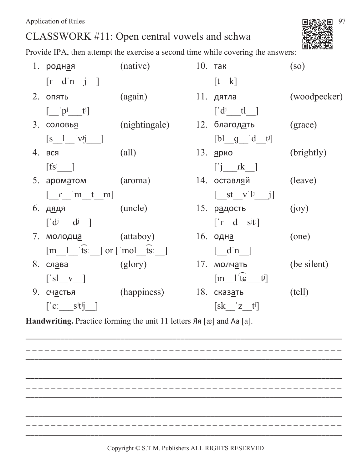# CLASSWORK #11: Open central vowels and schwa

Provide IPA, then attempt the exercise a second time while covering the answers:

|    | 1. родн <u>а</u> я                                                   | (native)       | $10.$ так                                   | $\left($ so $\right)$ |
|----|----------------------------------------------------------------------|----------------|---------------------------------------------|-----------------------|
|    | $[r_d^n_j]$                                                          |                | $[t_k]$                                     |                       |
|    | 2. оп <u>я</u> ть                                                    | (again)        | 11. д <u>я</u> тла                          | (woodpecker)          |
|    | $\begin{bmatrix}   &   & p^j & f^j   \end{bmatrix}$                  |                | $\begin{bmatrix} d^j & t \end{bmatrix}$     |                       |
|    | 3. соловь <u>я</u>                                                   | (nightingale)  | 12. благод <u>а</u> ть                      | (grace)               |
|    | $\begin{bmatrix} s & 1 & 'v^jj & \end{bmatrix}$                      |                | $[b]$ g d t <sup>j</sup>                    |                       |
|    | 4. вся                                                               | $\text{(all)}$ | 13. <u>я</u> рко                            | (brightly)            |
|    | $\begin{bmatrix} \text{fs}^{\text{j}} & \text{ } \end{bmatrix}$      |                | $\begin{bmatrix} i & k \end{bmatrix}$       |                       |
|    | 5. apomatom (aroma)                                                  |                | 14. оставляй                                | (leave)               |
|    | $\begin{bmatrix} r & m & t & m \end{bmatrix}$                        |                | $\begin{bmatrix} st & v' & j \end{bmatrix}$ |                       |
|    | 6. дядя (uncle)                                                      |                | <u>15. рад</u> ость                         | (ioy)                 |
|    | $\left[\begin{array}{cc} d^j & d^j \end{array}\right]$               |                | $[i \cdot d \cdot s]$                       |                       |
|    | 7. молодц <u>а</u> (attaboy)                                         |                | 16. одн <u>а</u>                            | (one)                 |
|    | $[m \ 1 \ \text{fs}$ : $]$ or $[\text{mol} \ \text{fs}$ : $]$        |                | $\lceil d^n \rceil$                         |                       |
|    | 8. сл <u>а</u> ва                                                    | (glory)        | 17. молч <u>а</u> ть                        | (be silent)           |
|    | $\begin{bmatrix} s & v \end{bmatrix}$                                |                | $[m_1'\hat{t}\hat{\epsilon} \quad t^j]$     |                       |
| 9. | сч <u>а</u> стья                                                     | (happiness)    | 18. сказ <u>а</u> ть                        | (tell)                |
|    | $\begin{bmatrix} \mathbf{c} & \mathbf{s} & \mathbf{c} \end{bmatrix}$ |                | $[sk \ z \ t^j]$                            |                       |

Handwriting. Practice forming the unit 11 letters  $A$ <sup>*n*</sup> [æ] and Aa [a].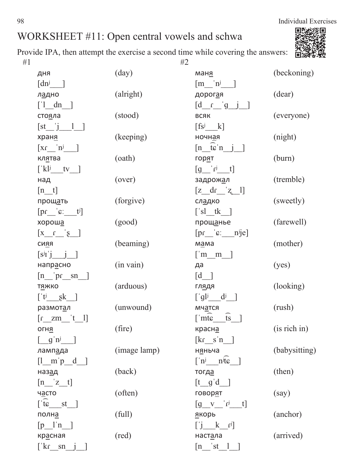

| дня                                                                     | (day)          | ман <u>я</u>                                                     | (beckoning)   |
|-------------------------------------------------------------------------|----------------|------------------------------------------------------------------|---------------|
| $[dn^j$ ]                                                               |                | $\left[\text{m}$ $\text{n}$ <sup>j</sup> $\right]$               |               |
| л <u>а</u> дно                                                          | (alright)      | дорог <u>а</u> я                                                 | (dear)        |
| $\begin{bmatrix} 1 & \mathrm{d}n \end{bmatrix}$                         |                | $\begin{bmatrix} d & q & q \end{bmatrix}$                        |               |
| сто <u>я</u> ла                                                         | (stood)        | ВСЯК                                                             | (everyone)    |
| $[st_j] = 1$                                                            |                | $[fs^j \quad k]$                                                 |               |
| храня                                                                   | (keeping)      | ночн <u>а</u> я                                                  | (night)       |
| $\left[ \text{Xf} \_\text{n}^j \_\text{n} \right]$                      |                | $[n$ $\overline{t}$ $\overline{c}$ $\overline{n}$ $\overline{j}$ |               |
| кл <u>я</u> тва                                                         | (oath)         | гор <u>я</u> т                                                   | (burn)        |
| $\left[$ 'kl <sup>j</sup> _tv_]                                         |                | $[g$ <sup>'r<sup>j</sup> t]</sup>                                |               |
| над                                                                     | (over)         | задрож <u>а</u> л                                                | (tremble)     |
| $[n_t]$                                                                 |                | $[z_d \, dr \, z_l]$                                             |               |
| прощать                                                                 | (forgive)      | сл <u>а</u> дко                                                  | (sweetly)     |
| $[pr_i^{\prime}c_i^{\prime}]$                                           |                | $['sl_t k$                                                       |               |
| хорош <u>а</u>                                                          | (good)         | прощанье                                                         | (farewell)    |
| $\begin{bmatrix} x & f \\ -g & -x \end{bmatrix}$                        |                | $[pr_i^{\circ}c_i^{\circ}]$                                      |               |
| <b>CURR</b>                                                             | (beaming)      | м <u>а</u> ма                                                    | (mother)      |
| $[s^{j}I^{\prime}j \quad j \quad]$                                      |                | $\begin{bmatrix} \text{m} & \text{m} \end{bmatrix}$              |               |
| напрасно                                                                | $(in \, vain)$ | да                                                               | (yes)         |
| $[n$ <sup>'p<sub>f</sub> sn</sup>                                       |                | [d]                                                              |               |
| т <u>я</u> жко                                                          | (arduous)      | гл <u>я</u> дя                                                   | (looking)     |
| $\begin{bmatrix} \n\mathbf{t} & \mathbf{g} & \mathbf{k} \end{bmatrix}$  |                | $\left[\begin{array}{cc} g l^j & d^j \end{array}\right]$         |               |
| размотал                                                                | (unwound)      | мч <u>а</u> тся                                                  | (rush)        |
| $[r \quad zm \quad 't \quad l]$                                         |                | $\overline{ts}$<br>$\lceil \text{intc} \rceil$                   |               |
| ОГНЯ                                                                    | (fire)         | красна                                                           | (is rich in)  |
| $\left[\begin{array}{cc} g' \mathbf{n}^{\mathbf{j}} \end{array}\right]$ |                | $\begin{bmatrix} \text{kr} & \text{s} \text{'n} \end{bmatrix}$   |               |
| ламп <u>а</u> да                                                        | (image lamp)   | н <u>я</u> ньча                                                  | (babysitting) |
| $[1 \underline{m} \underline{p} \underline{d}]$                         |                | $\begin{bmatrix} n^j \end{bmatrix}$ $n^j$ te ]                   |               |
| наз <u>ад</u>                                                           | (back)         | тогд <u>а</u>                                                    | (then)        |
| $[n_2 z_t]$                                                             |                | $[t \ q'd]$                                                      |               |
| часто                                                                   | (often)        | говор <u>я</u> т                                                 | (say)         |
| $\lceil \widehat{\text{te}} \rfloor$ st_]                               |                | $[g \quad v \quad 'r^j \quad t]$                                 |               |
| полн <u>а</u>                                                           | (full)         | <u>я</u> корь                                                    | (anchor)      |
| $[p_1^n]$                                                               |                | $[j \quad k \quad r^j]$                                          |               |
| кр <u>а</u> сная                                                        | (red)          | наст <u>а</u> ла                                                 | (arrived)     |
| $\lceil k \cdot \text{sn} \rceil$                                       |                | $\begin{bmatrix} n & st & 1 \end{bmatrix}$                       |               |

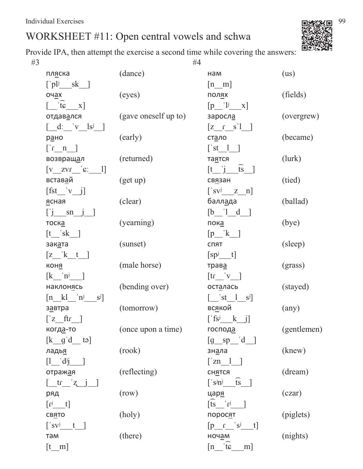

Provide IPA, then attempt the exercise a second time while covering the answers:

| #3 |                                                                                              |                      |  | #4                                                      |                |  |  |
|----|----------------------------------------------------------------------------------------------|----------------------|--|---------------------------------------------------------|----------------|--|--|
|    | пл <u>я</u> ска                                                                              | (dance)              |  | нам                                                     | (us)           |  |  |
|    | $[\n]$ pl <sup>j</sup> sk ]                                                                  |                      |  | $[n_m]$                                                 |                |  |  |
|    | оч <u>а</u> х                                                                                | (eyes)               |  | ПОЛЯХ                                                   | (fields)       |  |  |
|    | $\widehat{\mathfrak{t}\mathfrak{e}}$ $\mathfrak{X}$                                          |                      |  | $[p$ <sup>'l<sup>j</sup> x]</sup>                       |                |  |  |
|    | отдавался                                                                                    | (gave oneself up to) |  | заросла                                                 | (overgrew)     |  |  |
|    | $\begin{bmatrix} \mathbf{d} & \mathbf{v} & \mathbf{l} \mathbf{s}^{\mathbf{j}} \end{bmatrix}$ |                      |  | $[z_1 \quad s']$                                        |                |  |  |
|    | рано                                                                                         | (early)              |  | ст <u>а</u> ло                                          | (became)       |  |  |
|    | $\lfloor n \rfloor$                                                                          |                      |  | $[\text{st}\quad 1]$                                    |                |  |  |
|    | возвращал                                                                                    | (returned)           |  | та <u>я</u> тся                                         | (lurk)         |  |  |
|    | $[v_2v_1'']$                                                                                 |                      |  | $[t \quad j \quad \widehat{ts} \quad ]$                 |                |  |  |
|    | встав <u>а</u> й                                                                             | (get up)             |  | св <u>я</u> зан                                         | (tied)         |  |  |
|    | $[fst' v_j]$                                                                                 |                      |  | $['svj \quad z \quad n]$                                |                |  |  |
|    | ясная                                                                                        | (clear)              |  | балл <u>а</u> да                                        | (ballad)       |  |  |
|    | $[j \quad sn \quad j]$                                                                       |                      |  | $[b \quad 1 \quad d]$                                   |                |  |  |
|    | тоска                                                                                        | (yearning)           |  | <u>пока</u>                                             | (bye)          |  |  |
|    | $[t$ sk ]                                                                                    |                      |  | $[p_k]$                                                 |                |  |  |
|    | зак <u>а</u> та                                                                              | (sunset)             |  | СПЯТ                                                    | (sleep)        |  |  |
|    | $[z_ 'k_t ]$                                                                                 |                      |  | $[sp^{j} t]$                                            |                |  |  |
|    | коня                                                                                         | (male horse)         |  | трава                                                   | (grass)        |  |  |
|    | $\begin{bmatrix} k & n^j \end{bmatrix}$                                                      |                      |  | $\begin{bmatrix} tr & v \end{bmatrix}$                  |                |  |  |
|    | наклон <u>я</u> сь                                                                           | (bending over)       |  | осталась                                                | (stayed)       |  |  |
|    | $\begin{bmatrix} n & k \end{bmatrix}$ 'n <sup>j</sup><br>$S^{j}$                             |                      |  | $\begin{bmatrix} 1 & s \\ s & -1 \end{bmatrix}$         |                |  |  |
|    | з <u>а</u> втра                                                                              | (tomorrow)           |  | вс <u>я</u> кой                                         | $(\text{any})$ |  |  |
|    | $\lceil z \quad \text{ftr} \rceil$                                                           |                      |  | $[$ fs <sup>j</sup> k j]                                |                |  |  |
|    | когда-то                                                                                     | (once upon a time)   |  | господа                                                 | (gentlemen)    |  |  |
|    | $[k \ q' d \ t$                                                                              |                      |  | $[g$ sp d $]$                                           |                |  |  |
|    | ладья                                                                                        | (rook)               |  | зн <u>а</u> ла                                          | (knew)         |  |  |
|    | $[1 - d^j]$                                                                                  |                      |  | $\lceil 2n \rceil$                                      |                |  |  |
|    | отражая                                                                                      | (reflecting)         |  | <b>СН<u>Я</u>ТСЯ</b>                                    | (dream)        |  |  |
|    | $[$ $\pm$ $\pm$ $\pm$ $\pm$ $\pm$ $\pm$                                                      |                      |  | $\begin{bmatrix} \n\ \sin^j & \cos^j \n\end{bmatrix}$   |                |  |  |
|    | ряд                                                                                          | (row)                |  | царя                                                    | (czar)         |  |  |
|    | $[r^j \t t]$                                                                                 |                      |  | $\overline{[ts]}$ $r^j$                                 |                |  |  |
|    | <b>CBRTO</b>                                                                                 | (holy)               |  | поросят                                                 | (piglets)      |  |  |
|    | $\begin{bmatrix} s \\ v \end{bmatrix}$ t ]                                                   |                      |  | $[p \t s^j t]$                                          |                |  |  |
|    | там                                                                                          | (there)              |  | ноч <u>а</u> м                                          | (nights)       |  |  |
|    | $[t_m]$                                                                                      |                      |  | $\begin{bmatrix} n & \mathbf{c} \end{bmatrix}$<br>$m$ ] |                |  |  |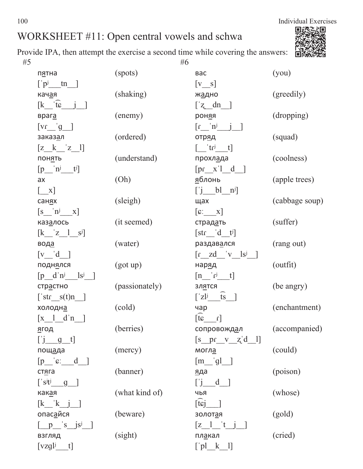

Provide IPA, then attempt the exercise a second time while covering the answers:  $#5$  #5

| п <u>я</u> тна                                                                       | (spots)        | вас                                                                   | (you)          |
|--------------------------------------------------------------------------------------|----------------|-----------------------------------------------------------------------|----------------|
| $\left[\begin{array}{cc}$ $p^j$ tn $\end{array}\right]$                              |                | $[v_s]$                                                               |                |
| кач <u>а</u> я                                                                       | (shaking)      | жадно                                                                 | (greedily)     |
| $\begin{bmatrix} k & \overline{t} & j \end{bmatrix}$                                 |                | $\left[\begin{array}{cc} z \end{array}\right]$                        |                |
| враг <u>а</u>                                                                        | (enemy)        | рон <u>я</u> я                                                        | (dropping)     |
| $\begin{bmatrix} \n\text{vr} & \text{g} \n\end{bmatrix}$                             |                | $\left[ \begin{matrix} r & n^j & j \end{matrix} \right]$              |                |
| заказ <u>а</u> л                                                                     | (ordered)      | отр <u>я</u> д                                                        | (squad)        |
| $[z_k z_1]$                                                                          |                | $\begin{bmatrix} tr^{j} & t \end{bmatrix}$                            |                |
| пон <u>я</u> ть                                                                      | (understand)   | прохл <u>а</u> да                                                     | (coolness)     |
| $[p \quad n^j \quad t^j]$                                                            |                | $[pr_x']_d$ ]                                                         |                |
| ax                                                                                   | (Oh)           | <u>я</u> блонь                                                        | (apple trees)  |
| $\begin{bmatrix} & x \end{bmatrix}$                                                  |                | $[j_b1^n]$                                                            |                |
| сан <u>я</u> х                                                                       | (sleigh)       | щах                                                                   | (cabbage soup) |
| $[s \underline{n}^j \underline{x}]$                                                  |                | $\begin{bmatrix} \mathbf{c} & \mathbf{x} \end{bmatrix}$               |                |
| каз <u>а</u> лось                                                                    | (it seemed)    | страд <u>а</u> ть                                                     | (suffer)       |
| $\begin{bmatrix} k & z & 1 & s^j \end{bmatrix}$                                      |                | $[str_d d_t]$                                                         |                |
| вод <u>а</u>                                                                         | (water)        | раздав <u>а</u> лся                                                   | (rang out)     |
| [v]'d                                                                                |                | $\begin{bmatrix} r & zd & v & ls^j \end{bmatrix}$                     |                |
| подн <u>я</u> лся                                                                    | (got up)       | нар <u>я</u> д                                                        | (outfit)       |
| $[p \quad d \quad n^j \quad ls^j]$                                                   |                | $[n \t - r^j \t - t]$                                                 |                |
| стр <u>а</u> стно                                                                    | (passionately) | зл <u>я</u> тся                                                       | (be angry)     |
| $['str_s(t)n$ ]                                                                      |                | $\begin{bmatrix} 2l^{j} & ts \end{bmatrix}$                           |                |
| холодн <u>а</u>                                                                      | (cold)         | чар                                                                   | (enchantment)  |
| $\begin{bmatrix} x & 1 & d^n \end{bmatrix}$                                          |                | $\begin{bmatrix} \widehat{\mathfrak{t}} & \mathfrak{s} \end{bmatrix}$ |                |
| <u>я</u> год это                                                                     | (berries)      | сопровожд <u>а</u> л                                                  | (accompanied)  |
| $[\underline{\mathbf{j} \quad \mathbf{g} \quad \mathbf{t}}]$                         |                | $[s pr_v_z^d]$                                                        |                |
| пощада                                                                               | (mercy)        | могл <u>а</u>                                                         | (could)        |
| $[p \underline{\hspace{1cm}} c \underline{\hspace{1cm}} d \underline{\hspace{1cm}}]$ |                | $[m$ gl                                                               |                |
| стяга                                                                                | (banner)       | яда                                                                   | (poison)       |
| $['s^{j}t^{j}$ g ]                                                                   |                | $[\cdot]$ $d$ ]                                                       |                |
| как <u>а</u> я                                                                       | (what kind of) | ЧЬЯ                                                                   | (whose)        |
| $\begin{bmatrix} k & k & j \end{bmatrix}$                                            |                | $[\hat{t} \hat{s}]$ ]                                                 |                |
| опас <u>а</u> йся                                                                    | (beware)       | золот <u>а</u> я                                                      | (gold)         |
| $[\underline{p}$ 's $\underline{j}$ s <sup>j</sup>                                   |                | $[z_1^{\prime\prime},t_1^{\prime\prime}]$                             |                |
| <b>ВЗГЛЯД</b>                                                                        | (sight)        | пл <u>а</u> кал                                                       | (cried)        |
| $[vzglj$ t]                                                                          |                | $[\rho]$ $k$ $]$                                                      |                |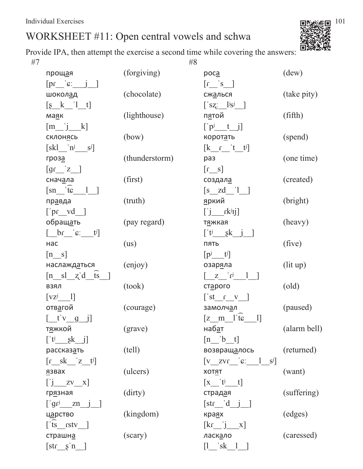

Provide IPA, then attempt the exercise a second time while covering the answers:  $\#7$   $\#8$ 

| прощая                                                                                                | (forgiving)    | poca                                                              | (dew)          |
|-------------------------------------------------------------------------------------------------------|----------------|-------------------------------------------------------------------|----------------|
| $[pr_i^{\circ} \cdot j]$                                                                              |                | $\left[ \frac{1}{s} \right]$                                      |                |
| ШОКОЛАД                                                                                               | (chocolate)    | сж <u>а</u> лься                                                  | (take pity)    |
| $\left[\begin{matrix}8 & k'\\ 1 & t\end{matrix}\right]$                                               |                | $['sz'_{i} \underline{]}$ <sup>j</sup> s <sup>j</sup>             |                |
| ма <u>я</u> к                                                                                         | (lighthouse)   | п <u>я</u> той                                                    | (fifth)        |
| $[m_j k]$                                                                                             |                | $[\n\ \mathbf{p}^j \quad t \quad j]$                              |                |
| <b>СКЛОНЯСЬ</b>                                                                                       | (bow)          | корот <u>а</u> ть                                                 | (spend)        |
| $[skl \underline{\hspace{1cm}} n^j \underline{\hspace{1cm}} s^j]$                                     |                | $\begin{bmatrix} k & r' & t' \end{bmatrix}$                       |                |
| гроза                                                                                                 | (thunderstorm) | раз                                                               | (one time)     |
| $\left[ \text{gr}_{z} \right]$ $\left[ z \right]$                                                     |                | $[s_1]$                                                           |                |
| снач <u>а</u> ла                                                                                      | (first)        | создал <u>а</u>                                                   | (created)      |
| $[sn$ <sup><math>t\epsilon</math></sup> <sup>1</sup> <sup>1</sup>                                     |                | $[s_zd_']$                                                        |                |
| пр <u>а</u> вда                                                                                       | (truth)        | <u>я</u> ркий                                                     | (bright)       |
| $[\text{pr\_vd}$ ]                                                                                    |                | $[\,\,j\,\,$ rk <sup>j</sup> ij]                                  |                |
| обращ <u>а</u> ть                                                                                     | (pay regard)   | т <u>я</u> жкая                                                   | (heavy)        |
| $[\underline{\qquad}$ br $\underline{\qquad}$ ' $\varepsilon$ ' $\underline{\qquad}$ t <sup>j</sup> ] |                | $\left[ \begin{array}{cc} t^{j} & sk & j \end{array} \right]$     |                |
| нас                                                                                                   | (us)           | ПЯТЬ                                                              | (five)         |
| $[n_s]$                                                                                               |                | $[p^j - t^j]$                                                     |                |
| наслаждаться                                                                                          | (enjoy)        | озар <u>я</u> ла                                                  | (lit up)       |
| $[n_s]$ $[z]$ $d$ $\overline{ts}$ ]                                                                   |                | $\begin{bmatrix} Z & r^{j} & 1 \end{bmatrix}$                     |                |
| ВЗЯЛ                                                                                                  | (took)         | ст <u>а</u> рого                                                  | $\text{(old)}$ |
| $[vz^j \t1]$                                                                                          |                | $[$ 'st_c_v_V_]                                                   |                |
| отв <u>а</u> гой                                                                                      | (courage)      | замолчал                                                          | (paused)       |
| [t'v g j]                                                                                             |                | $[z \quad m \quad l' \overline{t} \varepsilon]$<br>$\boxed{1}$    |                |
| т <u>я</u> жкой                                                                                       | (grave)        | наб <u>а</u> т                                                    | (alarm bell)   |
| $[t^j$ sk j]                                                                                          |                | $[n \quad b \quad t]$                                             |                |
| рассказ <u>а</u> ть                                                                                   | (tell)         | возвращ <u>а</u> лось                                             | (returned)     |
| $\begin{bmatrix} r & sk & z & t^j \end{bmatrix}$                                                      |                | $[v \quad zvr \quad c: \quad 1 \quad s^j]$                        |                |
| <u>я</u> звах                                                                                         | (ulcers)       | ΧΟΤ <u>Я</u> Τ                                                    | (want)         |
| $\begin{bmatrix} 1 & 0 \\ 0 & -7 & 0 \end{bmatrix}$                                                   |                | $\begin{bmatrix} x & t^{j} & t \end{bmatrix}$                     |                |
| гр <u>я</u> зная                                                                                      | (dirty)        | страд <u>а</u> я                                                  | (suffering)    |
| $[\n\text{gr}^j$ zn j                                                                                 |                | [str d j ]                                                        |                |
| ц <u>а</u> рство                                                                                      | (kingdom)      | кра <u>я</u> х                                                    | (edges)        |
| $[$ 'ts_rstv_]                                                                                        |                | $\begin{bmatrix} \text{kr} \\ \text{j} \\ \text{k} \end{bmatrix}$ |                |
|                                                                                                       | (scary)        |                                                                   | (caressed)     |
| страшн <u>а</u>                                                                                       |                | ласк <u>а</u> ло                                                  |                |
| $[str_8^n]$                                                                                           |                | $\begin{bmatrix} 1 & 'sk & 1 \end{bmatrix}$                       |                |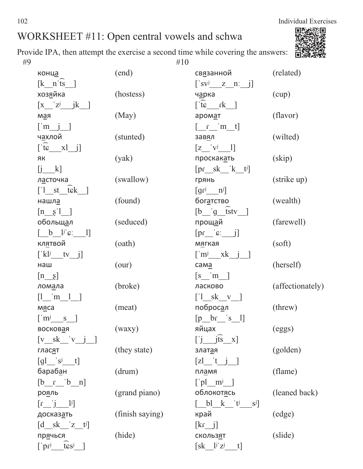Provide IPA, then attempt the exercise a second time while covering the answers: #9  $\#10$ 

| конца                                                                 | (end)           | св <u>я</u> занной                                                       | (related)        |
|-----------------------------------------------------------------------|-----------------|--------------------------------------------------------------------------|------------------|
| $\begin{bmatrix} k & n' \overline{ts} \end{bmatrix}$                  |                 | $['sv^j \quad z \quad n; j]$                                             |                  |
| хоз <u>я</u> йка                                                      | (hostess)       | ч <u>а</u> рка                                                           | (cup)            |
| $\begin{bmatrix} x & z^j & jk \end{bmatrix}$                          |                 | $\lceil \overline{\text{te}} \rceil$ $\text{rk}$                         |                  |
| <u>кы</u> м                                                           | (May)           | аромат                                                                   | (flavor)         |
| $\left[\begin{array}{cc} m & j \end{array}\right]$                    |                 | $\begin{bmatrix} r & m & t \end{bmatrix}$                                |                  |
| ч <u>а</u> хлой                                                       | (stunted)       | зав <u>я</u> л                                                           | (wilted)         |
| $[\hat{\tau} \hat{\epsilon} \quad x \quad j]$                         |                 | $\begin{bmatrix} z & v^{j} & 1 \end{bmatrix}$                            |                  |
| ЯК                                                                    | (yak)           | проскакать                                                               | (skip)           |
| $\begin{bmatrix} j & k \end{bmatrix}$                                 |                 | $[pr\_sk\_k_t]$                                                          |                  |
| ласточка                                                              | (swallow)       | грянь                                                                    | (strike up)      |
| $\begin{bmatrix} 1 & st & tk \end{bmatrix}$                           |                 | $\left[ \text{gr}^{\text{j}} \quad \text{ } \text{n}^{\text{j}} \right]$ |                  |
| нашла                                                                 | (found)         | бог <u>а</u> тство                                                       | (wealth)         |
| $\begin{bmatrix} n & s' \\ l & l \end{bmatrix}$                       |                 | $[b \t g \t stv ]$                                                       |                  |
| обольщ <u>а</u> л                                                     | (seduced)       | прощ <u>а</u> й                                                          | (farewell)       |
| $\begin{bmatrix} b & b \\ -b & -1 \end{bmatrix}$                      |                 | $[pr_i^{\alpha}$ $\in$ $j]$                                              |                  |
| кл <u>я</u> твой                                                      | (oath)          | м <u>я</u> гкая                                                          | (soft)           |
| $[\n k! \n k! \n k! \n j]$                                            |                 | $\begin{bmatrix} m^j & xk & j \end{bmatrix}$                             |                  |
| наш                                                                   | (our)           | $c$ ama                                                                  | (herself)        |
| $[n_8]$                                                               |                 | $\begin{bmatrix} s & m \end{bmatrix}$                                    |                  |
| лом <u>а</u> ла                                                       | (broke)         | ласково                                                                  | (affectionately) |
| $[1 \quad m \quad 1]$                                                 |                 | $\begin{bmatrix} 1 & sk & v \end{bmatrix}$                               |                  |
| м <u>я</u> са                                                         | (meat)          | поброс <u>а</u> л                                                        | (threw)          |
| $\lceil m^j \rceil$ s $\lceil$                                        |                 | $[p$ br $s$ 1]                                                           |                  |
| восковая                                                              | (waxy)          | яйцах                                                                    | (eggs)           |
| $[v$ sk 'v $i$ ]                                                      |                 | $\begin{bmatrix} i & j\overline{ts} & x \end{bmatrix}$                   |                  |
| <b>ГЛАСЯТ</b>                                                         | (they state)    | злат <u>а</u> я                                                          | (golden)         |
| $\left[\mathrm{gl} \right]$ $\left[\mathrm{s}^{\mathrm{j}}\right]$ t] |                 | $\begin{bmatrix} zl & t & j \end{bmatrix}$                               |                  |
| бараб <u>а</u> н                                                      | (drum)          | пл <u>а</u> мя                                                           | (flame)          |
| $[b \quad c \quad b \quad n]$                                         |                 | $\lceil$ 'pl m <sup>j</sup> ]                                            |                  |
| рояль                                                                 | (grand piano)   | облокот <u>я</u> сь                                                      | (leaned back)    |
| $[r \quad j \quad 1]$                                                 |                 | $\begin{bmatrix} bl & k & 't^j & s^j \end{bmatrix}$                      |                  |
| досказ <u>а</u> ть                                                    | (finish saying) | край                                                                     | (edge)           |
| $\begin{bmatrix} d & sk & z & t \end{bmatrix}$                        |                 | $\begin{bmatrix} \text{kr} & \text{j} \end{bmatrix}$                     |                  |
| пр <u>я</u> чься                                                      | (hide)          | скольз <u>я</u> т                                                        | (slide)          |
| $t$ $\mathbf{s}$ $\mathbf{s}$<br>$\lceil$ 'pr $^j$                    |                 | $[sk \quad l^j z^j]$<br>$t$ ]                                            |                  |

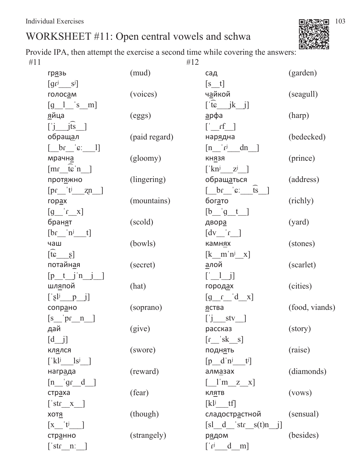Provide IPA, then attempt the exercise a second time while covering the answers:  $\#11$   $\#12$ 

| <b>грязь</b>                                                     | (mud)         | сад                                                         | (garden)       |
|------------------------------------------------------------------|---------------|-------------------------------------------------------------|----------------|
| $\left[gr^{j} \underline{\hspace{1cm}} s^{j}\right]$             |               | $[s_t]$                                                     |                |
| голос <u>а</u> м                                                 | (voices)      | ч <u>а</u> йкой                                             | (seagull)      |
| $[g_1$ 's m]                                                     |               | $[\hat{\tau} \hat{\epsilon} \quad jk \quad j]$              |                |
| <u>я</u> йца                                                     | (eggs)        | $\frac{\text{a}}{\text{b}}$ рфа                             | (harp)         |
| $\begin{bmatrix} j & j\end{bmatrix}$ its                         |               | $\lceil \int$ of $\lceil \int$                              |                |
| обращ <u>а</u> л                                                 | (paid regard) | нар <u>я</u> дна                                            | (bedecked)     |
| $\begin{bmatrix} br & c & 1 \end{bmatrix}$                       |               | $[n 'r'$ dn ]                                               |                |
| мрачна                                                           | (gloomy)      | <b>KHR3A</b>                                                | (prince)       |
| $[mr]$ $\widehat{\mathfrak{t}}$ $\widehat{\mathfrak{e}}$ $n$ $]$ |               | $\begin{bmatrix} kn^j & z^j \end{bmatrix}$                  |                |
| протяжно                                                         | (lingering)   | обращ <u>а</u> ться                                         | (address)      |
| $[pr_i^{\text{th}}]$ zn                                          |               | $\overline{ts}$ ]<br>$\int$ br $\int$ c:                    |                |
| гор <u>а</u> х                                                   | (mountains)   | бог <u>а</u> то                                             | (richly)       |
| $[g_i^{r} \cdot x]$                                              |               | $[b \underline{g} t]$                                       |                |
| бран <u>я</u> т                                                  | (scold)       | двора                                                       | (yard)         |
| $[br \quad n^j \quad t]$                                         |               | $\begin{bmatrix} dv & r \end{bmatrix}$                      |                |
| чаш                                                              | (bowls)       | камн <u>я</u> х                                             | (stones)       |
| $\bar{t} \in \underline{\qquad}$                                 |               | $\begin{bmatrix} k & m'n^j & x \end{bmatrix}$               |                |
| потайная                                                         | (secret)      | <u>а</u> лой                                                | (scarlet)      |
| $[p_t j'n_j]$                                                    |               | $\begin{bmatrix} 1 & 1 & j \end{bmatrix}$                   |                |
| шл <u>я</u> пой                                                  | (hat)         | городах                                                     | (cities)       |
| $[$ [ $ $ [sl <sup>j</sup> p_j]]                                 |               | [g r d x]                                                   |                |
| сопрано                                                          | (soprano)     | яства                                                       | (food, viands) |
| $[s$ <sup>p<sub>r</sub>_n<sup>1</sup></sup>                      |               | $\left[\begin{array}{cc} 1 & \text{stv} \end{array}\right]$ |                |
| дай                                                              | (give)        | рассказ                                                     | (story)        |
| $[d_j]$                                                          |               | $\begin{bmatrix} r & sk & s \end{bmatrix}$                  |                |
| кл <u>я</u> лся                                                  | (swore)       | подн <u>я</u> ть                                            | (raise)        |
| $\begin{bmatrix} k & i \\ k & j \end{bmatrix}$                   |               | $[p d'n^j - t^j]$                                           |                |
| нагр <u>а</u> да                                                 | (reward)      | алм <u>а</u> зах                                            | (diamonds)     |
| $[n$ gr $d$ ]                                                    |               | $\begin{bmatrix} 1 \text{ m} & z & x \end{bmatrix}$         |                |
| стр <u>а</u> ха                                                  | (fear)        | <b>КЛЯТВ</b>                                                | (vows)         |
| $[\text{str} \quad \text{x} \quad]$                              |               | $[k]^{j}$ tf]                                               |                |
| хот <u>я</u>                                                     | (though)      | сладостр <u>а</u> стной                                     | (sensual)      |
| $\begin{bmatrix} x & 't^j & \end{bmatrix}$                       |               | $[s]$ d str $s(t)n$ j                                       |                |
| стр <u>а</u> нно                                                 | (strangely)   | рядом                                                       | (besides)      |
| $['str_n$ n:                                                     |               | $\begin{bmatrix} r^{j} & d \end{bmatrix}$                   |                |
|                                                                  |               |                                                             |                |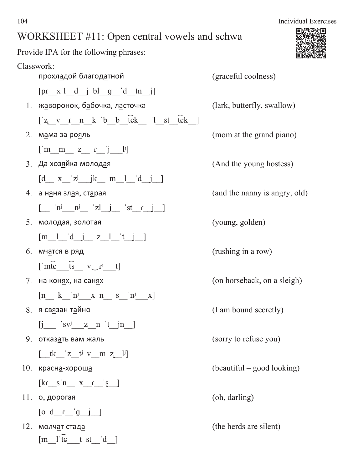Provide IPA for the following phrases:

Classwork: прохладой благодатной и тем (graceful coolness)  $[pr x']$  d  $j$  bl  $q$  d  $tn j]$ 1. жаворонок, бабочка, ласточка (lark, butterfly, swallow)  $\lceil z \, v \, r \, n \, k \, b \, b \, \bar{t} \, k \, \lceil s \, k \, k \, \bar{t} \, k \, \rceil$  $2.$   $M = 2$   $M = 2$   $M = 2$   $M = 2$   $M = 2$   $M = 2$   $M = 2$   $M = 2$   $M = 2$   $M = 2$   $M = 2$   $M = 2$   $M = 2$   $M = 2$   $M = 2$   $M = 2$   $M = 2$   $M = 2$   $M = 2$   $M = 2$   $M = 2$   $M = 2$   $M = 2$   $M = 2$   $M = 2$   $M = 2$   $M = 2$   $M = 2$   $M = 2$   $M = 2$   $M = 2$  $\begin{bmatrix} \mathbf{m} & \mathbf{m} & \mathbf{z} & \mathbf{r} \end{bmatrix}$ 3. Да хозяйка молодая (And the young hostess)  $[d_x z'z'$   $jk$   $m_l$   $d_j$ 4. **а няня злая, старая** (and the nanny is angry, old)  $\begin{bmatrix} \text{in} & \text{in} & \text{in} \\ \text{in} & \text{in} & \text{in} \end{bmatrix}$ 5. молодая, золотая (young, golden)  $[m 1 d j z 1 t j ]$  $6.$  мчатся в ряд $($ rushing in a row)  $\lceil \widehat{\text{mte}} \ \widehat{\text{ts}} \ \text{v}_f \ \text{t} \rceil$ 7. на конях, на санях (on horseback, on a sleigh)  $[n_k \text{ in } \text{in} \text{ in } \text{in} \text{ in } \text{in} \text{ in } \text{in} \text{ in } \text{in} \text{ in } \text{in} \text{ in } \text{in} \text{ in } \text{in} \text{ in } \text{in} \text{ in } \text{in} \text{ in } \text{in} \text{ in } \text{in} \text{ in } \text{in} \text{ in } \text{in} \text{ in } \text{in} \text{ in } \text{in} \text{ in } \text{in} \text{ in } \text{in} \text{ in } \text{in} \text{ in } \text{in} \text{ in } \text{in} \text{ in } \text{$  $8.$  я связан тайно (I am bound secretly)  $[i \text{ s}v^j \text{ z} n' t j n]$ 9. **ОТКАЗАТЬ ВАМ ЖАЛЬ** (sorry to refuse you)  $\left[\begin{array}{ccc} tk & z & t^j & v & m & z \\ s & 1 & v & w & z \end{array}\right]$ 10. **Represents the example of the example of the example of the example of the example of the example of the example of the example of the example of the example of the example of the example of the example of the example**  $\begin{bmatrix} \frac{kr}{s} \cdot n & x & r \\ s & s & s \end{bmatrix}$ 11. **о**, дорогая (oh, darling)  $\begin{bmatrix} 0 & d & r & g & j \end{bmatrix}$ 12. молч<u>а</u>т ста<u>да</u> exercise the silent of the herds are silent)  $[m]$ <sup>1'fc</sup> t st 'd ]

104 Individual Exercises